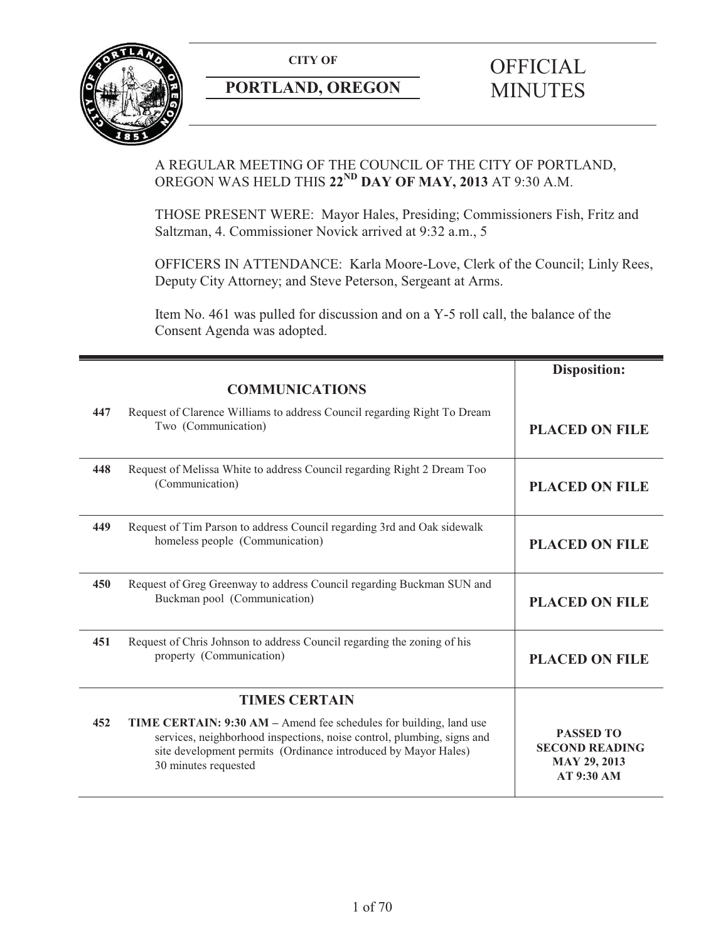

# **PORTLAND, OREGON MINUTES**

# **CITY OF** OFFICIAL

# A REGULAR MEETING OF THE COUNCIL OF THE CITY OF PORTLAND, OREGON WAS HELD THIS **22ND DAY OF MAY, 2013** AT 9:30 A.M.

THOSE PRESENT WERE: Mayor Hales, Presiding; Commissioners Fish, Fritz and Saltzman, 4. Commissioner Novick arrived at 9:32 a.m., 5

OFFICERS IN ATTENDANCE: Karla Moore-Love, Clerk of the Council; Linly Rees, Deputy City Attorney; and Steve Peterson, Sergeant at Arms.

Item No. 461 was pulled for discussion and on a Y-5 roll call, the balance of the Consent Agenda was adopted.

|     |                                                                                                                                                                                                                                        | <b>Disposition:</b>                                                                   |
|-----|----------------------------------------------------------------------------------------------------------------------------------------------------------------------------------------------------------------------------------------|---------------------------------------------------------------------------------------|
|     | <b>COMMUNICATIONS</b>                                                                                                                                                                                                                  |                                                                                       |
| 447 | Request of Clarence Williams to address Council regarding Right To Dream<br>Two (Communication)                                                                                                                                        | <b>PLACED ON FILE</b>                                                                 |
| 448 | Request of Melissa White to address Council regarding Right 2 Dream Too<br>(Communication)                                                                                                                                             | <b>PLACED ON FILE</b>                                                                 |
| 449 | Request of Tim Parson to address Council regarding 3rd and Oak sidewalk<br>homeless people (Communication)                                                                                                                             | <b>PLACED ON FILE</b>                                                                 |
| 450 | Request of Greg Greenway to address Council regarding Buckman SUN and<br>Buckman pool (Communication)                                                                                                                                  | <b>PLACED ON FILE</b>                                                                 |
| 451 | Request of Chris Johnson to address Council regarding the zoning of his<br>property (Communication)                                                                                                                                    | <b>PLACED ON FILE</b>                                                                 |
|     | <b>TIMES CERTAIN</b>                                                                                                                                                                                                                   |                                                                                       |
| 452 | TIME CERTAIN: 9:30 AM – Amend fee schedules for building, land use<br>services, neighborhood inspections, noise control, plumbing, signs and<br>site development permits (Ordinance introduced by Mayor Hales)<br>30 minutes requested | <b>PASSED TO</b><br><b>SECOND READING</b><br><b>MAY 29, 2013</b><br><b>AT 9:30 AM</b> |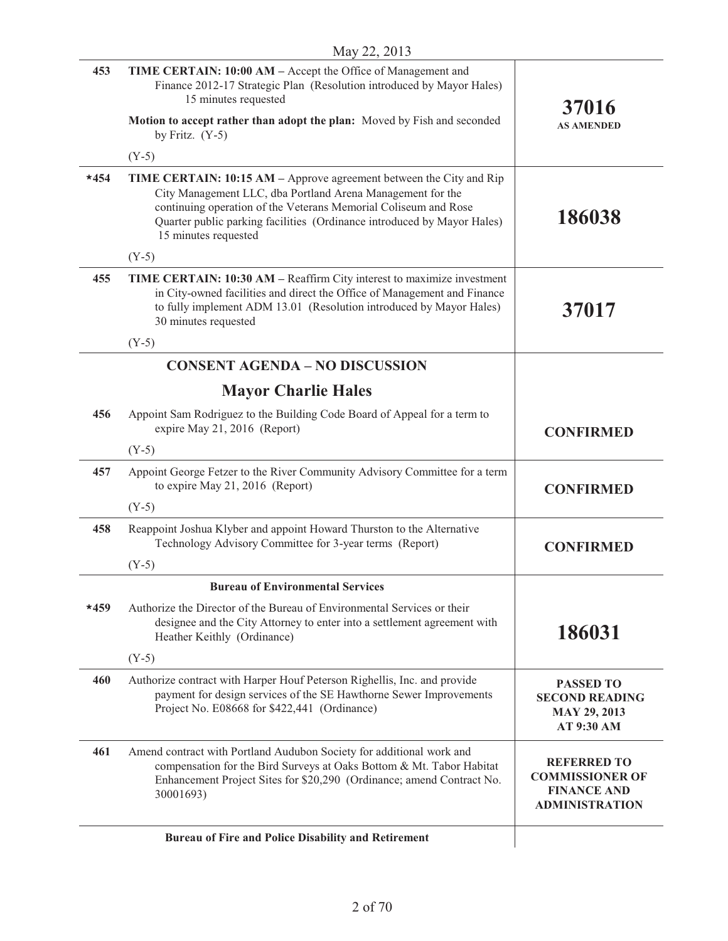| 453    | TIME CERTAIN: 10:00 AM - Accept the Office of Management and<br>Finance 2012-17 Strategic Plan (Resolution introduced by Mayor Hales)<br>15 minutes requested                                                                                                                                           | 37016                                                                                       |
|--------|---------------------------------------------------------------------------------------------------------------------------------------------------------------------------------------------------------------------------------------------------------------------------------------------------------|---------------------------------------------------------------------------------------------|
|        | Motion to accept rather than adopt the plan: Moved by Fish and seconded<br>by Fritz. $(Y-5)$                                                                                                                                                                                                            | <b>AS AMENDED</b>                                                                           |
|        | $(Y-5)$                                                                                                                                                                                                                                                                                                 |                                                                                             |
| $*454$ | TIME CERTAIN: 10:15 AM – Approve agreement between the City and Rip<br>City Management LLC, dba Portland Arena Management for the<br>continuing operation of the Veterans Memorial Coliseum and Rose<br>Quarter public parking facilities (Ordinance introduced by Mayor Hales)<br>15 minutes requested | 186038                                                                                      |
|        | $(Y-5)$                                                                                                                                                                                                                                                                                                 |                                                                                             |
| 455    | TIME CERTAIN: 10:30 AM – Reaffirm City interest to maximize investment<br>in City-owned facilities and direct the Office of Management and Finance<br>to fully implement ADM 13.01 (Resolution introduced by Mayor Hales)<br>30 minutes requested                                                       | 37017                                                                                       |
|        | $(Y-5)$                                                                                                                                                                                                                                                                                                 |                                                                                             |
|        | <b>CONSENT AGENDA - NO DISCUSSION</b>                                                                                                                                                                                                                                                                   |                                                                                             |
|        | <b>Mayor Charlie Hales</b>                                                                                                                                                                                                                                                                              |                                                                                             |
| 456    | Appoint Sam Rodriguez to the Building Code Board of Appeal for a term to<br>expire May 21, 2016 (Report)                                                                                                                                                                                                | <b>CONFIRMED</b>                                                                            |
|        | $(Y-5)$                                                                                                                                                                                                                                                                                                 |                                                                                             |
| 457    | Appoint George Fetzer to the River Community Advisory Committee for a term<br>to expire May 21, 2016 (Report)                                                                                                                                                                                           | <b>CONFIRMED</b>                                                                            |
|        | $(Y-5)$                                                                                                                                                                                                                                                                                                 |                                                                                             |
| 458    | Reappoint Joshua Klyber and appoint Howard Thurston to the Alternative<br>Technology Advisory Committee for 3-year terms (Report)                                                                                                                                                                       | <b>CONFIRMED</b>                                                                            |
|        | $(Y-5)$                                                                                                                                                                                                                                                                                                 |                                                                                             |
|        | <b>Bureau of Environmental Services</b>                                                                                                                                                                                                                                                                 |                                                                                             |
| $*459$ | Authorize the Director of the Bureau of Environmental Services or their<br>designee and the City Attorney to enter into a settlement agreement with<br>Heather Keithly (Ordinance)                                                                                                                      | 186031                                                                                      |
|        | $(Y-5)$                                                                                                                                                                                                                                                                                                 |                                                                                             |
| 460    | Authorize contract with Harper Houf Peterson Righellis, Inc. and provide<br>payment for design services of the SE Hawthorne Sewer Improvements<br>Project No. E08668 for \$422,441 (Ordinance)                                                                                                          | <b>PASSED TO</b><br><b>SECOND READING</b><br><b>MAY 29, 2013</b><br>AT 9:30 AM              |
| 461    | Amend contract with Portland Audubon Society for additional work and<br>compensation for the Bird Surveys at Oaks Bottom & Mt. Tabor Habitat<br>Enhancement Project Sites for \$20,290 (Ordinance; amend Contract No.<br>30001693)                                                                      | <b>REFERRED TO</b><br><b>COMMISSIONER OF</b><br><b>FINANCE AND</b><br><b>ADMINISTRATION</b> |
|        | Bureau of Fire and Police Disability and Retirement                                                                                                                                                                                                                                                     |                                                                                             |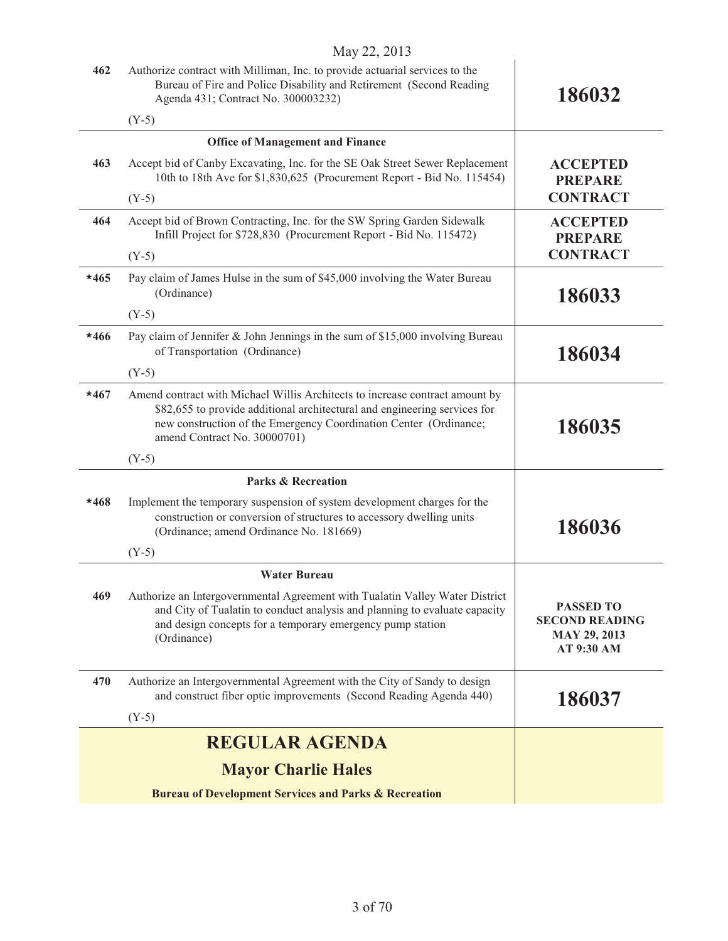|        | $1Vlay \angle 2, \angle 01J$                                                                                                                                                                                                                                   |                                                                                |
|--------|----------------------------------------------------------------------------------------------------------------------------------------------------------------------------------------------------------------------------------------------------------------|--------------------------------------------------------------------------------|
| 462    | Authorize contract with Milliman, Inc. to provide actuarial services to the<br>Bureau of Fire and Police Disability and Retirement (Second Reading<br>Agenda 431; Contract No. 300003232)                                                                      | 186032                                                                         |
|        | $(Y-5)$                                                                                                                                                                                                                                                        |                                                                                |
|        | <b>Office of Management and Finance</b>                                                                                                                                                                                                                        |                                                                                |
| 463    | Accept bid of Canby Excavating, Inc. for the SE Oak Street Sewer Replacement<br>10th to 18th Ave for \$1,830,625 (Procurement Report - Bid No. 115454)                                                                                                         | <b>ACCEPTED</b><br><b>PREPARE</b>                                              |
|        | $(Y-5)$                                                                                                                                                                                                                                                        | <b>CONTRACT</b>                                                                |
| 464    | Accept bid of Brown Contracting, Inc. for the SW Spring Garden Sidewalk<br>Infill Project for \$728,830 (Procurement Report - Bid No. 115472)                                                                                                                  | <b>ACCEPTED</b><br><b>PREPARE</b>                                              |
|        | $(Y-5)$                                                                                                                                                                                                                                                        | <b>CONTRACT</b>                                                                |
| $*465$ | Pay claim of James Hulse in the sum of \$45,000 involving the Water Bureau<br>(Ordinance)                                                                                                                                                                      | 186033                                                                         |
|        | $(Y-5)$                                                                                                                                                                                                                                                        |                                                                                |
| $*466$ | Pay claim of Jennifer & John Jennings in the sum of \$15,000 involving Bureau<br>of Transportation (Ordinance)                                                                                                                                                 | 186034                                                                         |
|        | $(Y-5)$                                                                                                                                                                                                                                                        |                                                                                |
| $*467$ | Amend contract with Michael Willis Architects to increase contract amount by<br>\$82,655 to provide additional architectural and engineering services for<br>new construction of the Emergency Coordination Center (Ordinance;<br>amend Contract No. 30000701) | 186035                                                                         |
|        | $(Y-5)$                                                                                                                                                                                                                                                        |                                                                                |
|        | <b>Parks &amp; Recreation</b>                                                                                                                                                                                                                                  |                                                                                |
| *468   | Implement the temporary suspension of system development charges for the<br>construction or conversion of structures to accessory dwelling units<br>(Ordinance; amend Ordinance No. 181669)                                                                    | 186036                                                                         |
|        | $(Y-5)$                                                                                                                                                                                                                                                        |                                                                                |
|        | <b>Water Bureau</b>                                                                                                                                                                                                                                            |                                                                                |
| 469    | Authorize an Intergovernmental Agreement with Tualatin Valley Water District<br>and City of Tualatin to conduct analysis and planning to evaluate capacity<br>and design concepts for a temporary emergency pump station<br>(Ordinance)                        | <b>PASSED TO</b><br><b>SECOND READING</b><br><b>MAY 29, 2013</b><br>AT 9:30 AM |
| 470    | Authorize an Intergovernmental Agreement with the City of Sandy to design                                                                                                                                                                                      |                                                                                |
|        | and construct fiber optic improvements (Second Reading Agenda 440)<br>$(Y-5)$                                                                                                                                                                                  | 186037                                                                         |
|        | <b>REGULAR AGENDA</b>                                                                                                                                                                                                                                          |                                                                                |
|        |                                                                                                                                                                                                                                                                |                                                                                |
|        | <b>Mayor Charlie Hales</b>                                                                                                                                                                                                                                     |                                                                                |
|        | <b>Bureau of Development Services and Parks &amp; Recreation</b>                                                                                                                                                                                               |                                                                                |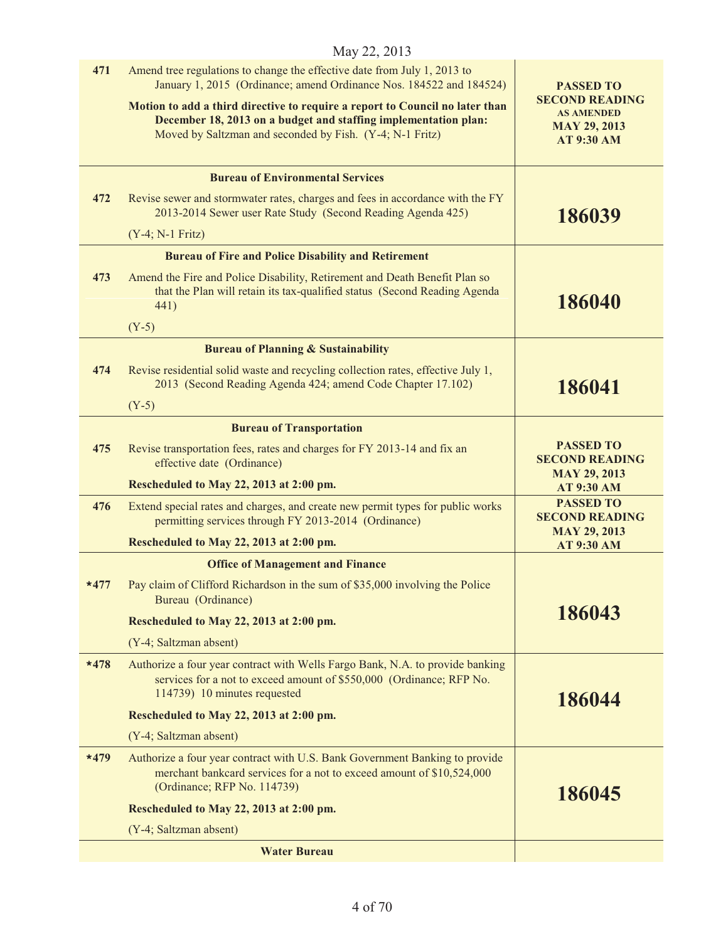|        | May 22, 2013                                                                                                                                                                                                                                                                                                                                                   |                                                                                                            |
|--------|----------------------------------------------------------------------------------------------------------------------------------------------------------------------------------------------------------------------------------------------------------------------------------------------------------------------------------------------------------------|------------------------------------------------------------------------------------------------------------|
| 471    | Amend tree regulations to change the effective date from July 1, 2013 to<br>January 1, 2015 (Ordinance; amend Ordinance Nos. 184522 and 184524)<br>Motion to add a third directive to require a report to Council no later than<br>December 18, 2013 on a budget and staffing implementation plan:<br>Moved by Saltzman and seconded by Fish. (Y-4; N-1 Fritz) | <b>PASSED TO</b><br><b>SECOND READING</b><br><b>AS AMENDED</b><br><b>MAY 29, 2013</b><br><b>AT 9:30 AM</b> |
|        | <b>Bureau of Environmental Services</b>                                                                                                                                                                                                                                                                                                                        |                                                                                                            |
| 472    | Revise sewer and stormwater rates, charges and fees in accordance with the FY<br>2013-2014 Sewer user Rate Study (Second Reading Agenda 425)                                                                                                                                                                                                                   | 186039                                                                                                     |
|        | $(Y-4; N-1 Fritz)$                                                                                                                                                                                                                                                                                                                                             |                                                                                                            |
|        | <b>Bureau of Fire and Police Disability and Retirement</b>                                                                                                                                                                                                                                                                                                     |                                                                                                            |
| 473    | Amend the Fire and Police Disability, Retirement and Death Benefit Plan so<br>that the Plan will retain its tax-qualified status (Second Reading Agenda<br>441)                                                                                                                                                                                                | 186040                                                                                                     |
|        | $(Y-5)$                                                                                                                                                                                                                                                                                                                                                        |                                                                                                            |
|        | <b>Bureau of Planning &amp; Sustainability</b>                                                                                                                                                                                                                                                                                                                 |                                                                                                            |
| 474    | Revise residential solid waste and recycling collection rates, effective July 1,<br>2013 (Second Reading Agenda 424; amend Code Chapter 17.102)                                                                                                                                                                                                                | 186041                                                                                                     |
|        | $(Y-5)$                                                                                                                                                                                                                                                                                                                                                        |                                                                                                            |
| 475    | <b>Bureau of Transportation</b><br>Revise transportation fees, rates and charges for FY 2013-14 and fix an<br>effective date (Ordinance)                                                                                                                                                                                                                       | <b>PASSED TO</b><br><b>SECOND READING</b><br><b>MAY 29, 2013</b>                                           |
|        | Rescheduled to May 22, 2013 at 2:00 pm.                                                                                                                                                                                                                                                                                                                        | <b>AT 9:30 AM</b>                                                                                          |
| 476    | Extend special rates and charges, and create new permit types for public works<br>permitting services through FY 2013-2014 (Ordinance)                                                                                                                                                                                                                         | <b>PASSED TO</b><br><b>SECOND READING</b><br><b>MAY 29, 2013</b>                                           |
|        | Rescheduled to May 22, 2013 at 2:00 pm.                                                                                                                                                                                                                                                                                                                        | <b>AT 9:30 AM</b>                                                                                          |
|        | <b>Office of Management and Finance</b>                                                                                                                                                                                                                                                                                                                        |                                                                                                            |
| $*477$ | Pay claim of Clifford Richardson in the sum of \$35,000 involving the Police<br>Bureau (Ordinance)                                                                                                                                                                                                                                                             |                                                                                                            |
|        | Rescheduled to May 22, 2013 at 2:00 pm.                                                                                                                                                                                                                                                                                                                        | 186043                                                                                                     |
|        | (Y-4; Saltzman absent)                                                                                                                                                                                                                                                                                                                                         |                                                                                                            |
| $*478$ | Authorize a four year contract with Wells Fargo Bank, N.A. to provide banking<br>services for a not to exceed amount of \$550,000 (Ordinance; RFP No.<br>114739) 10 minutes requested                                                                                                                                                                          | 186044                                                                                                     |
|        | Rescheduled to May 22, 2013 at 2:00 pm.                                                                                                                                                                                                                                                                                                                        |                                                                                                            |
|        | (Y-4; Saltzman absent)                                                                                                                                                                                                                                                                                                                                         |                                                                                                            |
| $*479$ | Authorize a four year contract with U.S. Bank Government Banking to provide<br>merchant bankcard services for a not to exceed amount of \$10,524,000<br>(Ordinance; RFP No. 114739)                                                                                                                                                                            | 186045                                                                                                     |
|        | Rescheduled to May 22, 2013 at 2:00 pm.                                                                                                                                                                                                                                                                                                                        |                                                                                                            |
|        | (Y-4; Saltzman absent)                                                                                                                                                                                                                                                                                                                                         |                                                                                                            |
|        | <b>Water Bureau</b>                                                                                                                                                                                                                                                                                                                                            |                                                                                                            |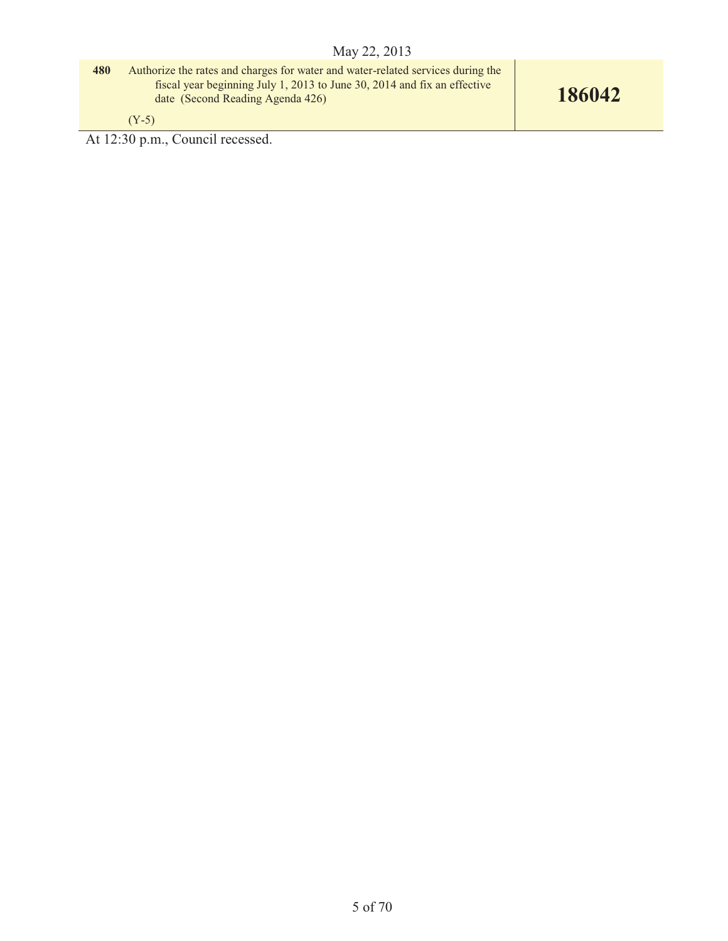**480** Authorize the rates and charges for water and water-related services during the fiscal year beginning July 1, 2013 to June 30, 2014 and fix an effective date (Second Reading Agenda 426)

(Y-5)

At 12:30 p.m., Council recessed.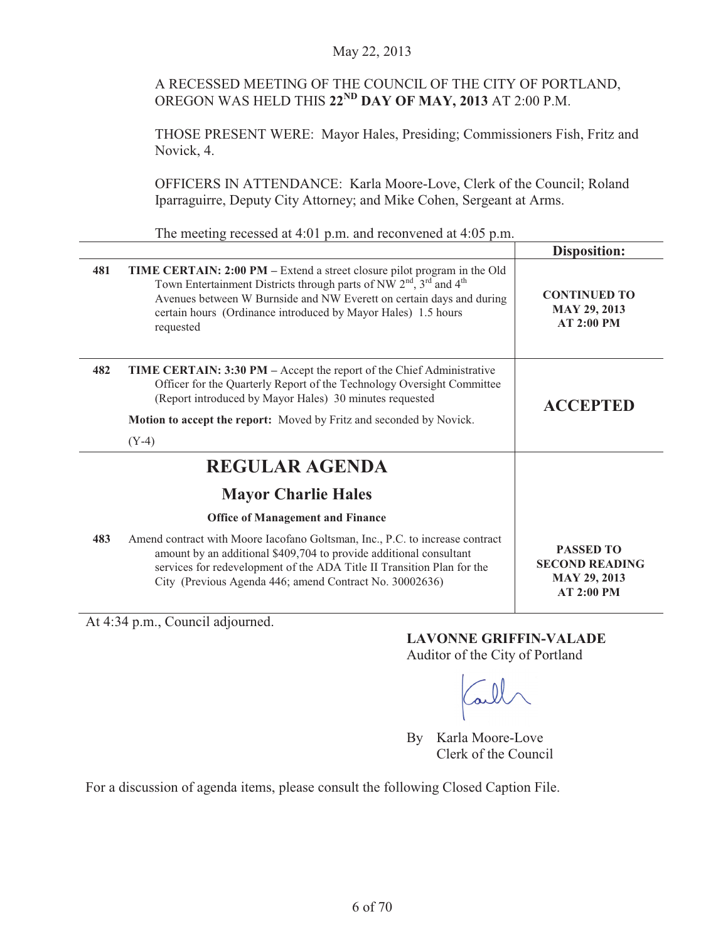# A RECESSED MEETING OF THE COUNCIL OF THE CITY OF PORTLAND, OREGON WAS HELD THIS **22ND DAY OF MAY, 2013** AT 2:00 P.M.

THOSE PRESENT WERE: Mayor Hales, Presiding; Commissioners Fish, Fritz and Novick, 4.

OFFICERS IN ATTENDANCE: Karla Moore-Love, Clerk of the Council; Roland Iparraguirre, Deputy City Attorney; and Mike Cohen, Sergeant at Arms.

The meeting recessed at 4:01 p.m. and reconvened at 4:05 p.m.

|     |                                                                                                                                                                                                                                                                                                            | <b>Disposition:</b>                                                            |
|-----|------------------------------------------------------------------------------------------------------------------------------------------------------------------------------------------------------------------------------------------------------------------------------------------------------------|--------------------------------------------------------------------------------|
| 481 | TIME CERTAIN: 2:00 PM – Extend a street closure pilot program in the Old<br>Town Entertainment Districts through parts of NW $2nd$ , $3rd$ and $4th$<br>Avenues between W Burnside and NW Everett on certain days and during<br>certain hours (Ordinance introduced by Mayor Hales) 1.5 hours<br>requested | <b>CONTINUED TO</b><br><b>MAY 29, 2013</b><br>AT 2:00 PM                       |
| 482 | TIME CERTAIN: 3:30 PM - Accept the report of the Chief Administrative<br>Officer for the Quarterly Report of the Technology Oversight Committee<br>(Report introduced by Mayor Hales) 30 minutes requested                                                                                                 | <b>ACCEPTED</b>                                                                |
|     | Motion to accept the report: Moved by Fritz and seconded by Novick.                                                                                                                                                                                                                                        |                                                                                |
|     | $(Y-4)$                                                                                                                                                                                                                                                                                                    |                                                                                |
|     | <b>REGULAR AGENDA</b>                                                                                                                                                                                                                                                                                      |                                                                                |
|     | <b>Mayor Charlie Hales</b>                                                                                                                                                                                                                                                                                 |                                                                                |
|     | <b>Office of Management and Finance</b>                                                                                                                                                                                                                                                                    |                                                                                |
| 483 | Amend contract with Moore Iacofano Goltsman, Inc., P.C. to increase contract<br>amount by an additional \$409,704 to provide additional consultant<br>services for redevelopment of the ADA Title II Transition Plan for the<br>City (Previous Agenda 446; amend Contract No. 30002636)                    | <b>PASSED TO</b><br><b>SECOND READING</b><br><b>MAY 29, 2013</b><br>AT 2:00 PM |

At 4:34 p.m., Council adjourned.

**LAVONNE GRIFFIN-VALADE** 

Auditor of the City of Portland

By Karla Moore-Love Clerk of the Council

For a discussion of agenda items, please consult the following Closed Caption File.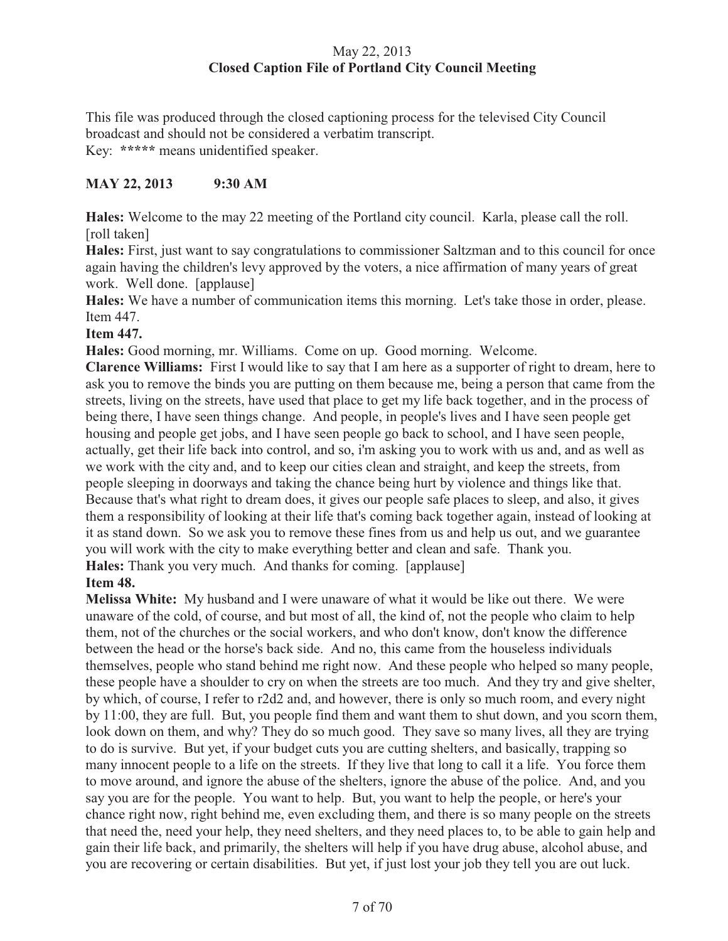# May 22, 2013 **Closed Caption File of Portland City Council Meeting**

This file was produced through the closed captioning process for the televised City Council broadcast and should not be considered a verbatim transcript. Key: **\*\*\*\*\*** means unidentified speaker.

# **MAY 22, 2013 9:30 AM**

**Hales:** Welcome to the may 22 meeting of the Portland city council. Karla, please call the roll. [roll taken]

**Hales:** First, just want to say congratulations to commissioner Saltzman and to this council for once again having the children's levy approved by the voters, a nice affirmation of many years of great work. Well done. [applause]

**Hales:** We have a number of communication items this morning. Let's take those in order, please. Item 447.

# **Item 447.**

**Hales:** Good morning, mr. Williams. Come on up. Good morning. Welcome.

**Clarence Williams:** First I would like to say that I am here as a supporter of right to dream, here to ask you to remove the binds you are putting on them because me, being a person that came from the streets, living on the streets, have used that place to get my life back together, and in the process of being there, I have seen things change. And people, in people's lives and I have seen people get housing and people get jobs, and I have seen people go back to school, and I have seen people, actually, get their life back into control, and so, i'm asking you to work with us and, and as well as we work with the city and, and to keep our cities clean and straight, and keep the streets, from people sleeping in doorways and taking the chance being hurt by violence and things like that. Because that's what right to dream does, it gives our people safe places to sleep, and also, it gives them a responsibility of looking at their life that's coming back together again, instead of looking at it as stand down. So we ask you to remove these fines from us and help us out, and we guarantee you will work with the city to make everything better and clean and safe. Thank you. **Hales:** Thank you very much. And thanks for coming. [applause]

# **Item 48.**

**Melissa White:** My husband and I were unaware of what it would be like out there. We were unaware of the cold, of course, and but most of all, the kind of, not the people who claim to help them, not of the churches or the social workers, and who don't know, don't know the difference between the head or the horse's back side. And no, this came from the houseless individuals themselves, people who stand behind me right now. And these people who helped so many people, these people have a shoulder to cry on when the streets are too much. And they try and give shelter, by which, of course, I refer to r2d2 and, and however, there is only so much room, and every night by 11:00, they are full. But, you people find them and want them to shut down, and you scorn them, look down on them, and why? They do so much good. They save so many lives, all they are trying to do is survive. But yet, if your budget cuts you are cutting shelters, and basically, trapping so many innocent people to a life on the streets. If they live that long to call it a life. You force them to move around, and ignore the abuse of the shelters, ignore the abuse of the police. And, and you say you are for the people. You want to help. But, you want to help the people, or here's your chance right now, right behind me, even excluding them, and there is so many people on the streets that need the, need your help, they need shelters, and they need places to, to be able to gain help and gain their life back, and primarily, the shelters will help if you have drug abuse, alcohol abuse, and you are recovering or certain disabilities. But yet, if just lost your job they tell you are out luck.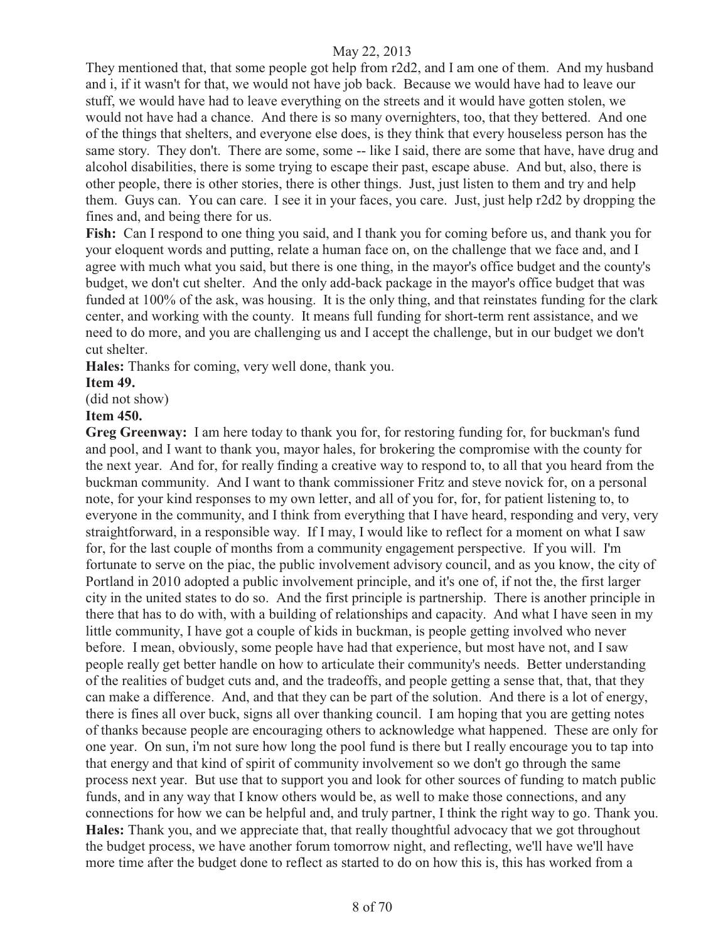They mentioned that, that some people got help from r2d2, and I am one of them. And my husband and i, if it wasn't for that, we would not have job back. Because we would have had to leave our stuff, we would have had to leave everything on the streets and it would have gotten stolen, we would not have had a chance. And there is so many overnighters, too, that they bettered. And one of the things that shelters, and everyone else does, is they think that every houseless person has the same story. They don't. There are some, some -- like I said, there are some that have, have drug and alcohol disabilities, there is some trying to escape their past, escape abuse. And but, also, there is other people, there is other stories, there is other things. Just, just listen to them and try and help them. Guys can. You can care. I see it in your faces, you care. Just, just help r2d2 by dropping the fines and, and being there for us.

**Fish:** Can I respond to one thing you said, and I thank you for coming before us, and thank you for your eloquent words and putting, relate a human face on, on the challenge that we face and, and I agree with much what you said, but there is one thing, in the mayor's office budget and the county's budget, we don't cut shelter. And the only add-back package in the mayor's office budget that was funded at 100% of the ask, was housing. It is the only thing, and that reinstates funding for the clark center, and working with the county. It means full funding for short-term rent assistance, and we need to do more, and you are challenging us and I accept the challenge, but in our budget we don't cut shelter.

**Hales:** Thanks for coming, very well done, thank you.

#### **Item 49.**

(did not show)

#### **Item 450.**

**Greg Greenway:** I am here today to thank you for, for restoring funding for, for buckman's fund and pool, and I want to thank you, mayor hales, for brokering the compromise with the county for the next year. And for, for really finding a creative way to respond to, to all that you heard from the buckman community. And I want to thank commissioner Fritz and steve novick for, on a personal note, for your kind responses to my own letter, and all of you for, for, for patient listening to, to everyone in the community, and I think from everything that I have heard, responding and very, very straightforward, in a responsible way. If I may, I would like to reflect for a moment on what I saw for, for the last couple of months from a community engagement perspective. If you will. I'm fortunate to serve on the piac, the public involvement advisory council, and as you know, the city of Portland in 2010 adopted a public involvement principle, and it's one of, if not the, the first larger city in the united states to do so. And the first principle is partnership. There is another principle in there that has to do with, with a building of relationships and capacity. And what I have seen in my little community, I have got a couple of kids in buckman, is people getting involved who never before. I mean, obviously, some people have had that experience, but most have not, and I saw people really get better handle on how to articulate their community's needs. Better understanding of the realities of budget cuts and, and the tradeoffs, and people getting a sense that, that, that they can make a difference. And, and that they can be part of the solution. And there is a lot of energy, there is fines all over buck, signs all over thanking council. I am hoping that you are getting notes of thanks because people are encouraging others to acknowledge what happened. These are only for one year. On sun, i'm not sure how long the pool fund is there but I really encourage you to tap into that energy and that kind of spirit of community involvement so we don't go through the same process next year. But use that to support you and look for other sources of funding to match public funds, and in any way that I know others would be, as well to make those connections, and any connections for how we can be helpful and, and truly partner, I think the right way to go. Thank you. **Hales:** Thank you, and we appreciate that, that really thoughtful advocacy that we got throughout the budget process, we have another forum tomorrow night, and reflecting, we'll have we'll have more time after the budget done to reflect as started to do on how this is, this has worked from a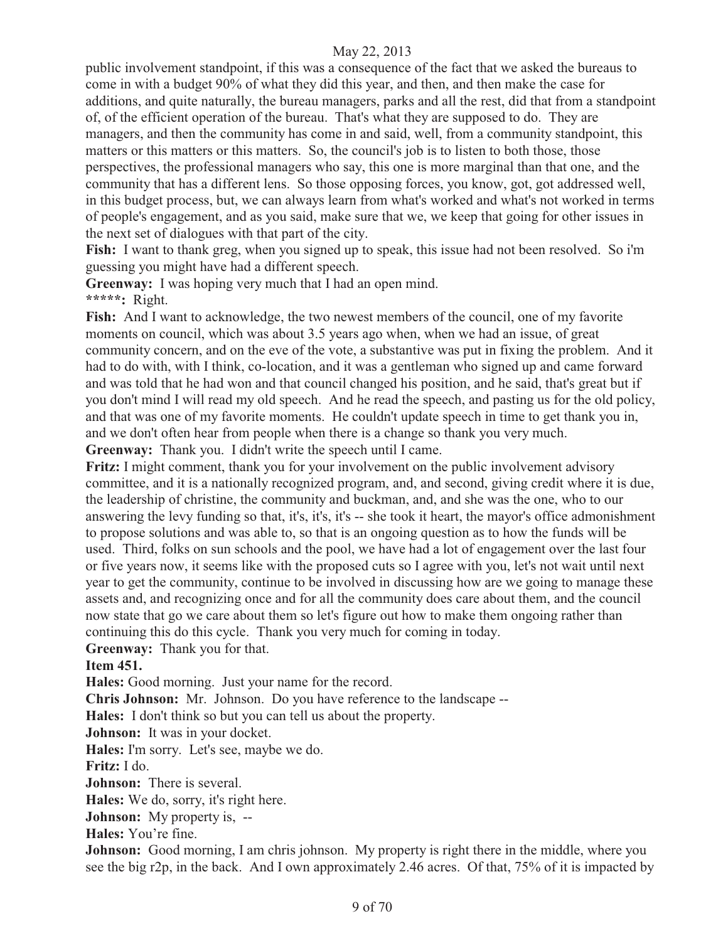public involvement standpoint, if this was a consequence of the fact that we asked the bureaus to come in with a budget 90% of what they did this year, and then, and then make the case for additions, and quite naturally, the bureau managers, parks and all the rest, did that from a standpoint of, of the efficient operation of the bureau. That's what they are supposed to do. They are managers, and then the community has come in and said, well, from a community standpoint, this matters or this matters or this matters. So, the council's job is to listen to both those, those perspectives, the professional managers who say, this one is more marginal than that one, and the community that has a different lens. So those opposing forces, you know, got, got addressed well, in this budget process, but, we can always learn from what's worked and what's not worked in terms of people's engagement, and as you said, make sure that we, we keep that going for other issues in the next set of dialogues with that part of the city.

**Fish:** I want to thank greg, when you signed up to speak, this issue had not been resolved. So i'm guessing you might have had a different speech.

**Greenway:** I was hoping very much that I had an open mind. **\*\*\*\*\*:** Right.

**Fish:** And I want to acknowledge, the two newest members of the council, one of my favorite moments on council, which was about 3.5 years ago when, when we had an issue, of great community concern, and on the eve of the vote, a substantive was put in fixing the problem. And it had to do with, with I think, co-location, and it was a gentleman who signed up and came forward and was told that he had won and that council changed his position, and he said, that's great but if you don't mind I will read my old speech. And he read the speech, and pasting us for the old policy, and that was one of my favorite moments. He couldn't update speech in time to get thank you in, and we don't often hear from people when there is a change so thank you very much.

**Greenway:** Thank you. I didn't write the speech until I came.

**Fritz:** I might comment, thank you for your involvement on the public involvement advisory committee, and it is a nationally recognized program, and, and second, giving credit where it is due, the leadership of christine, the community and buckman, and, and she was the one, who to our answering the levy funding so that, it's, it's, it's -- she took it heart, the mayor's office admonishment to propose solutions and was able to, so that is an ongoing question as to how the funds will be used. Third, folks on sun schools and the pool, we have had a lot of engagement over the last four or five years now, it seems like with the proposed cuts so I agree with you, let's not wait until next year to get the community, continue to be involved in discussing how are we going to manage these assets and, and recognizing once and for all the community does care about them, and the council now state that go we care about them so let's figure out how to make them ongoing rather than continuing this do this cycle. Thank you very much for coming in today.

**Greenway:** Thank you for that.

#### **Item 451.**

**Hales:** Good morning. Just your name for the record.

**Chris Johnson:** Mr. Johnson. Do you have reference to the landscape --

**Hales:** I don't think so but you can tell us about the property.

**Johnson:** It was in your docket.

**Hales:** I'm sorry. Let's see, maybe we do.

**Fritz:** I do.

**Johnson:** There is several.

**Hales:** We do, sorry, it's right here.

**Johnson:** My property is, --

**Hales:** You're fine.

**Johnson:** Good morning, I am chris johnson. My property is right there in the middle, where you see the big r2p, in the back. And I own approximately 2.46 acres. Of that, 75% of it is impacted by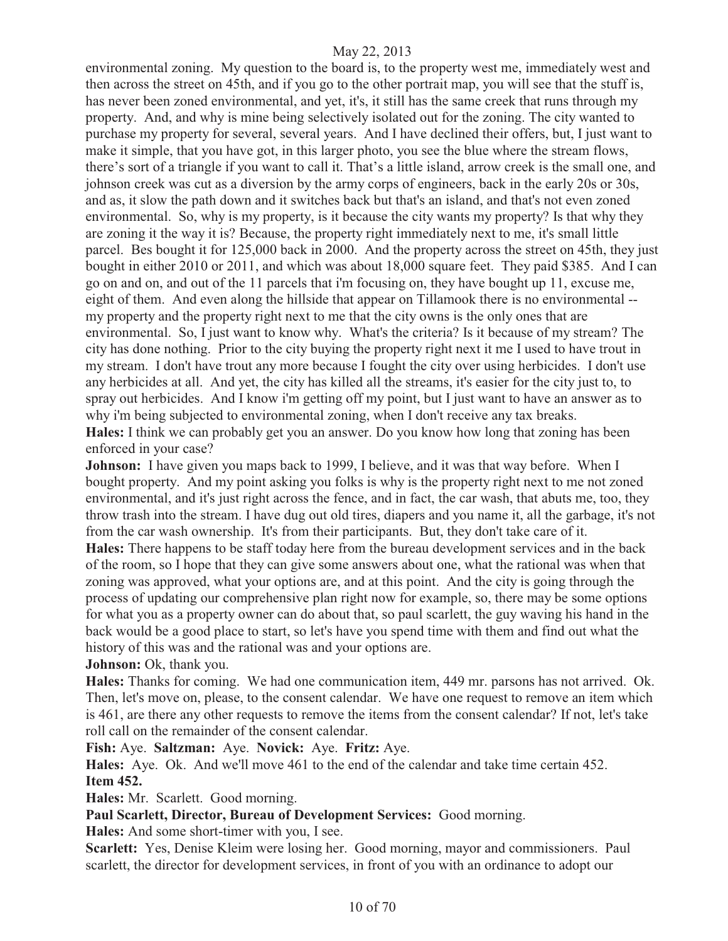environmental zoning. My question to the board is, to the property west me, immediately west and then across the street on 45th, and if you go to the other portrait map, you will see that the stuff is, has never been zoned environmental, and yet, it's, it still has the same creek that runs through my property. And, and why is mine being selectively isolated out for the zoning. The city wanted to purchase my property for several, several years. And I have declined their offers, but, I just want to make it simple, that you have got, in this larger photo, you see the blue where the stream flows, there's sort of a triangle if you want to call it. That's a little island, arrow creek is the small one, and johnson creek was cut as a diversion by the army corps of engineers, back in the early 20s or 30s, and as, it slow the path down and it switches back but that's an island, and that's not even zoned environmental. So, why is my property, is it because the city wants my property? Is that why they are zoning it the way it is? Because, the property right immediately next to me, it's small little parcel. Bes bought it for 125,000 back in 2000. And the property across the street on 45th, they just bought in either 2010 or 2011, and which was about 18,000 square feet. They paid \$385. And I can go on and on, and out of the 11 parcels that i'm focusing on, they have bought up 11, excuse me, eight of them. And even along the hillside that appear on Tillamook there is no environmental - my property and the property right next to me that the city owns is the only ones that are environmental. So, I just want to know why. What's the criteria? Is it because of my stream? The city has done nothing. Prior to the city buying the property right next it me I used to have trout in my stream. I don't have trout any more because I fought the city over using herbicides. I don't use any herbicides at all. And yet, the city has killed all the streams, it's easier for the city just to, to spray out herbicides. And I know i'm getting off my point, but I just want to have an answer as to why i'm being subjected to environmental zoning, when I don't receive any tax breaks. **Hales:** I think we can probably get you an answer. Do you know how long that zoning has been enforced in your case?

**Johnson:** I have given you maps back to 1999, I believe, and it was that way before. When I bought property. And my point asking you folks is why is the property right next to me not zoned environmental, and it's just right across the fence, and in fact, the car wash, that abuts me, too, they throw trash into the stream. I have dug out old tires, diapers and you name it, all the garbage, it's not from the car wash ownership. It's from their participants. But, they don't take care of it. **Hales:** There happens to be staff today here from the bureau development services and in the back of the room, so I hope that they can give some answers about one, what the rational was when that zoning was approved, what your options are, and at this point. And the city is going through the process of updating our comprehensive plan right now for example, so, there may be some options for what you as a property owner can do about that, so paul scarlett, the guy waving his hand in the back would be a good place to start, so let's have you spend time with them and find out what the history of this was and the rational was and your options are.

# Johnson: Ok, thank you.

**Hales:** Thanks for coming. We had one communication item, 449 mr. parsons has not arrived. Ok. Then, let's move on, please, to the consent calendar. We have one request to remove an item which is 461, are there any other requests to remove the items from the consent calendar? If not, let's take roll call on the remainder of the consent calendar.

**Fish:** Aye. **Saltzman:** Aye. **Novick:** Aye. **Fritz:** Aye.

**Hales:** Aye. Ok. And we'll move 461 to the end of the calendar and take time certain 452. **Item 452.** 

**Hales:** Mr. Scarlett. Good morning.

**Paul Scarlett, Director, Bureau of Development Services:** Good morning.

**Hales:** And some short-timer with you, I see.

**Scarlett:** Yes, Denise Kleim were losing her. Good morning, mayor and commissioners. Paul scarlett, the director for development services, in front of you with an ordinance to adopt our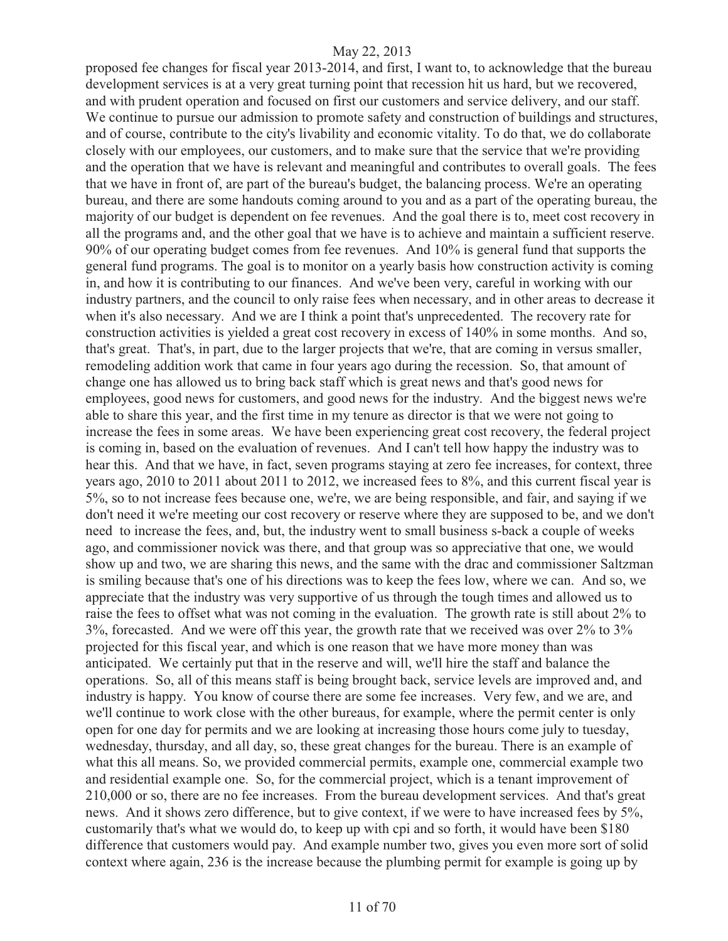proposed fee changes for fiscal year 2013-2014, and first, I want to, to acknowledge that the bureau development services is at a very great turning point that recession hit us hard, but we recovered, and with prudent operation and focused on first our customers and service delivery, and our staff. We continue to pursue our admission to promote safety and construction of buildings and structures, and of course, contribute to the city's livability and economic vitality. To do that, we do collaborate closely with our employees, our customers, and to make sure that the service that we're providing and the operation that we have is relevant and meaningful and contributes to overall goals. The fees that we have in front of, are part of the bureau's budget, the balancing process. We're an operating bureau, and there are some handouts coming around to you and as a part of the operating bureau, the majority of our budget is dependent on fee revenues. And the goal there is to, meet cost recovery in all the programs and, and the other goal that we have is to achieve and maintain a sufficient reserve. 90% of our operating budget comes from fee revenues. And 10% is general fund that supports the general fund programs. The goal is to monitor on a yearly basis how construction activity is coming in, and how it is contributing to our finances. And we've been very, careful in working with our industry partners, and the council to only raise fees when necessary, and in other areas to decrease it when it's also necessary. And we are I think a point that's unprecedented. The recovery rate for construction activities is yielded a great cost recovery in excess of 140% in some months. And so, that's great. That's, in part, due to the larger projects that we're, that are coming in versus smaller, remodeling addition work that came in four years ago during the recession. So, that amount of change one has allowed us to bring back staff which is great news and that's good news for employees, good news for customers, and good news for the industry. And the biggest news we're able to share this year, and the first time in my tenure as director is that we were not going to increase the fees in some areas. We have been experiencing great cost recovery, the federal project is coming in, based on the evaluation of revenues. And I can't tell how happy the industry was to hear this. And that we have, in fact, seven programs staying at zero fee increases, for context, three years ago, 2010 to 2011 about 2011 to 2012, we increased fees to 8%, and this current fiscal year is 5%, so to not increase fees because one, we're, we are being responsible, and fair, and saying if we don't need it we're meeting our cost recovery or reserve where they are supposed to be, and we don't need to increase the fees, and, but, the industry went to small business s-back a couple of weeks ago, and commissioner novick was there, and that group was so appreciative that one, we would show up and two, we are sharing this news, and the same with the drac and commissioner Saltzman is smiling because that's one of his directions was to keep the fees low, where we can. And so, we appreciate that the industry was very supportive of us through the tough times and allowed us to raise the fees to offset what was not coming in the evaluation. The growth rate is still about 2% to 3%, forecasted. And we were off this year, the growth rate that we received was over 2% to 3% projected for this fiscal year, and which is one reason that we have more money than was anticipated. We certainly put that in the reserve and will, we'll hire the staff and balance the operations. So, all of this means staff is being brought back, service levels are improved and, and industry is happy. You know of course there are some fee increases. Very few, and we are, and we'll continue to work close with the other bureaus, for example, where the permit center is only open for one day for permits and we are looking at increasing those hours come july to tuesday, wednesday, thursday, and all day, so, these great changes for the bureau. There is an example of what this all means. So, we provided commercial permits, example one, commercial example two and residential example one. So, for the commercial project, which is a tenant improvement of 210,000 or so, there are no fee increases. From the bureau development services. And that's great news. And it shows zero difference, but to give context, if we were to have increased fees by 5%, customarily that's what we would do, to keep up with cpi and so forth, it would have been \$180 difference that customers would pay. And example number two, gives you even more sort of solid context where again, 236 is the increase because the plumbing permit for example is going up by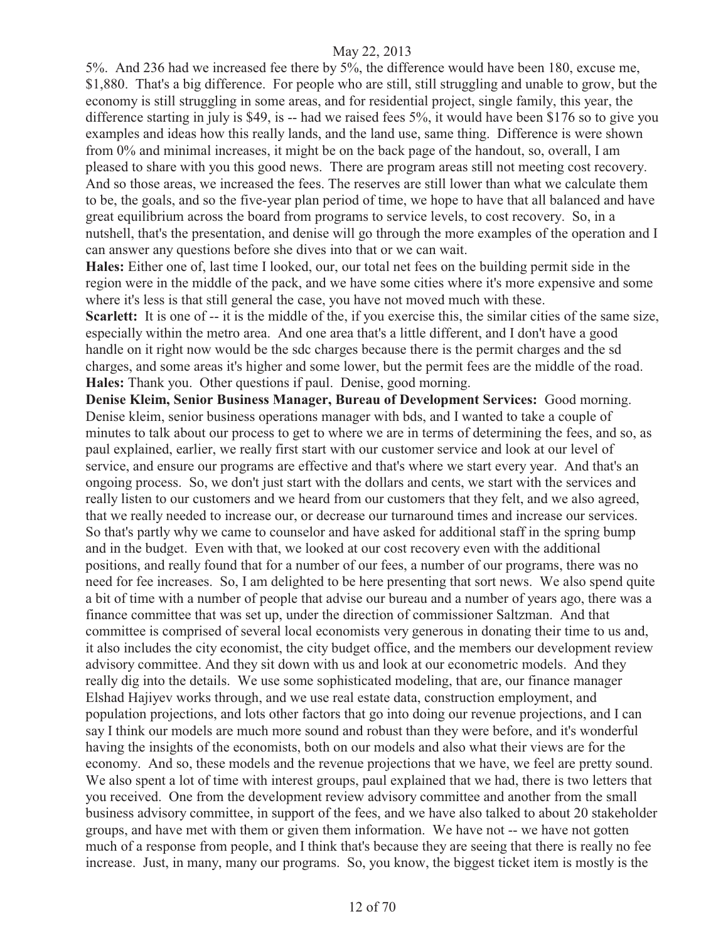5%. And 236 had we increased fee there by 5%, the difference would have been 180, excuse me, \$1,880. That's a big difference. For people who are still, still struggling and unable to grow, but the economy is still struggling in some areas, and for residential project, single family, this year, the difference starting in july is \$49, is -- had we raised fees 5%, it would have been \$176 so to give you examples and ideas how this really lands, and the land use, same thing. Difference is were shown from 0% and minimal increases, it might be on the back page of the handout, so, overall, I am pleased to share with you this good news. There are program areas still not meeting cost recovery. And so those areas, we increased the fees. The reserves are still lower than what we calculate them to be, the goals, and so the five-year plan period of time, we hope to have that all balanced and have great equilibrium across the board from programs to service levels, to cost recovery. So, in a nutshell, that's the presentation, and denise will go through the more examples of the operation and I can answer any questions before she dives into that or we can wait.

**Hales:** Either one of, last time I looked, our, our total net fees on the building permit side in the region were in the middle of the pack, and we have some cities where it's more expensive and some where it's less is that still general the case, you have not moved much with these.

**Scarlett:** It is one of -- it is the middle of the, if you exercise this, the similar cities of the same size, especially within the metro area. And one area that's a little different, and I don't have a good handle on it right now would be the sdc charges because there is the permit charges and the sd charges, and some areas it's higher and some lower, but the permit fees are the middle of the road. **Hales:** Thank you. Other questions if paul. Denise, good morning.

**Denise Kleim, Senior Business Manager, Bureau of Development Services:** Good morning. Denise kleim, senior business operations manager with bds, and I wanted to take a couple of minutes to talk about our process to get to where we are in terms of determining the fees, and so, as paul explained, earlier, we really first start with our customer service and look at our level of service, and ensure our programs are effective and that's where we start every year. And that's an ongoing process. So, we don't just start with the dollars and cents, we start with the services and really listen to our customers and we heard from our customers that they felt, and we also agreed, that we really needed to increase our, or decrease our turnaround times and increase our services. So that's partly why we came to counselor and have asked for additional staff in the spring bump and in the budget. Even with that, we looked at our cost recovery even with the additional positions, and really found that for a number of our fees, a number of our programs, there was no need for fee increases. So, I am delighted to be here presenting that sort news. We also spend quite a bit of time with a number of people that advise our bureau and a number of years ago, there was a finance committee that was set up, under the direction of commissioner Saltzman. And that committee is comprised of several local economists very generous in donating their time to us and, it also includes the city economist, the city budget office, and the members our development review advisory committee. And they sit down with us and look at our econometric models. And they really dig into the details. We use some sophisticated modeling, that are, our finance manager Elshad Hajiyev works through, and we use real estate data, construction employment, and population projections, and lots other factors that go into doing our revenue projections, and I can say I think our models are much more sound and robust than they were before, and it's wonderful having the insights of the economists, both on our models and also what their views are for the economy. And so, these models and the revenue projections that we have, we feel are pretty sound. We also spent a lot of time with interest groups, paul explained that we had, there is two letters that you received. One from the development review advisory committee and another from the small business advisory committee, in support of the fees, and we have also talked to about 20 stakeholder groups, and have met with them or given them information. We have not -- we have not gotten much of a response from people, and I think that's because they are seeing that there is really no fee increase. Just, in many, many our programs. So, you know, the biggest ticket item is mostly is the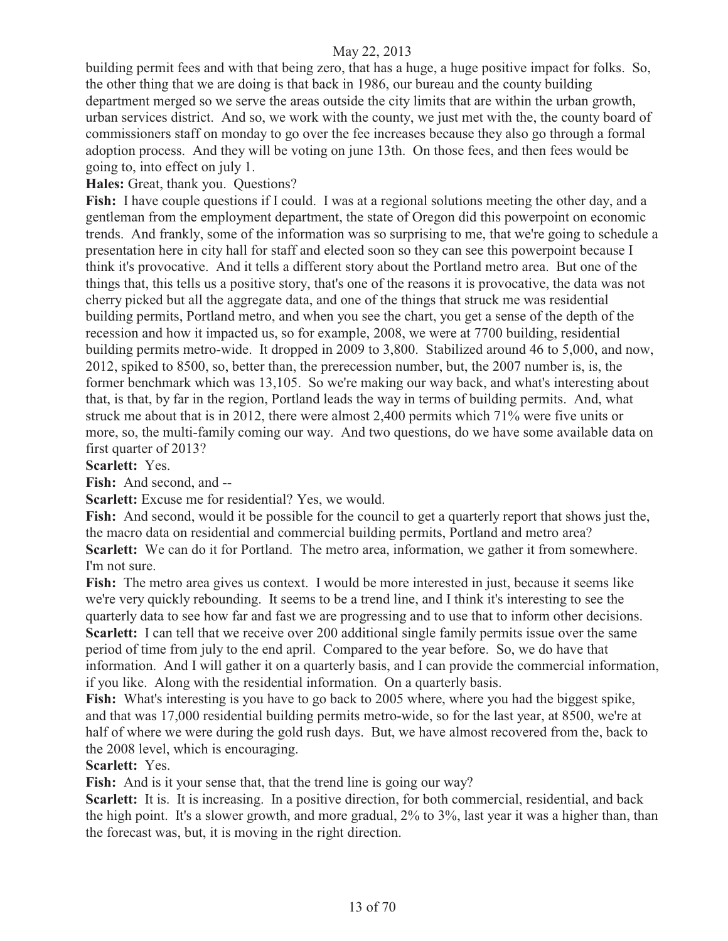building permit fees and with that being zero, that has a huge, a huge positive impact for folks. So, the other thing that we are doing is that back in 1986, our bureau and the county building department merged so we serve the areas outside the city limits that are within the urban growth, urban services district. And so, we work with the county, we just met with the, the county board of commissioners staff on monday to go over the fee increases because they also go through a formal adoption process. And they will be voting on june 13th. On those fees, and then fees would be going to, into effect on july 1.

**Hales:** Great, thank you. Questions?

**Fish:** I have couple questions if I could. I was at a regional solutions meeting the other day, and a gentleman from the employment department, the state of Oregon did this powerpoint on economic trends. And frankly, some of the information was so surprising to me, that we're going to schedule a presentation here in city hall for staff and elected soon so they can see this powerpoint because I think it's provocative. And it tells a different story about the Portland metro area. But one of the things that, this tells us a positive story, that's one of the reasons it is provocative, the data was not cherry picked but all the aggregate data, and one of the things that struck me was residential building permits, Portland metro, and when you see the chart, you get a sense of the depth of the recession and how it impacted us, so for example, 2008, we were at 7700 building, residential building permits metro-wide. It dropped in 2009 to 3,800. Stabilized around 46 to 5,000, and now, 2012, spiked to 8500, so, better than, the prerecession number, but, the 2007 number is, is, the former benchmark which was 13,105. So we're making our way back, and what's interesting about that, is that, by far in the region, Portland leads the way in terms of building permits. And, what struck me about that is in 2012, there were almost 2,400 permits which 71% were five units or more, so, the multi-family coming our way. And two questions, do we have some available data on first quarter of 2013?

**Scarlett:** Yes.

**Fish:** And second, and --

**Scarlett:** Excuse me for residential? Yes, we would.

**Fish:** And second, would it be possible for the council to get a quarterly report that shows just the, the macro data on residential and commercial building permits, Portland and metro area? **Scarlett:** We can do it for Portland. The metro area, information, we gather it from somewhere. I'm not sure.

**Fish:** The metro area gives us context. I would be more interested in just, because it seems like we're very quickly rebounding. It seems to be a trend line, and I think it's interesting to see the quarterly data to see how far and fast we are progressing and to use that to inform other decisions. **Scarlett:** I can tell that we receive over 200 additional single family permits issue over the same period of time from july to the end april. Compared to the year before. So, we do have that information. And I will gather it on a quarterly basis, and I can provide the commercial information, if you like. Along with the residential information. On a quarterly basis.

**Fish:** What's interesting is you have to go back to 2005 where, where you had the biggest spike, and that was 17,000 residential building permits metro-wide, so for the last year, at 8500, we're at half of where we were during the gold rush days. But, we have almost recovered from the, back to the 2008 level, which is encouraging.

**Scarlett:** Yes.

**Fish:** And is it your sense that, that the trend line is going our way?

**Scarlett:** It is. It is increasing. In a positive direction, for both commercial, residential, and back the high point. It's a slower growth, and more gradual, 2% to 3%, last year it was a higher than, than the forecast was, but, it is moving in the right direction.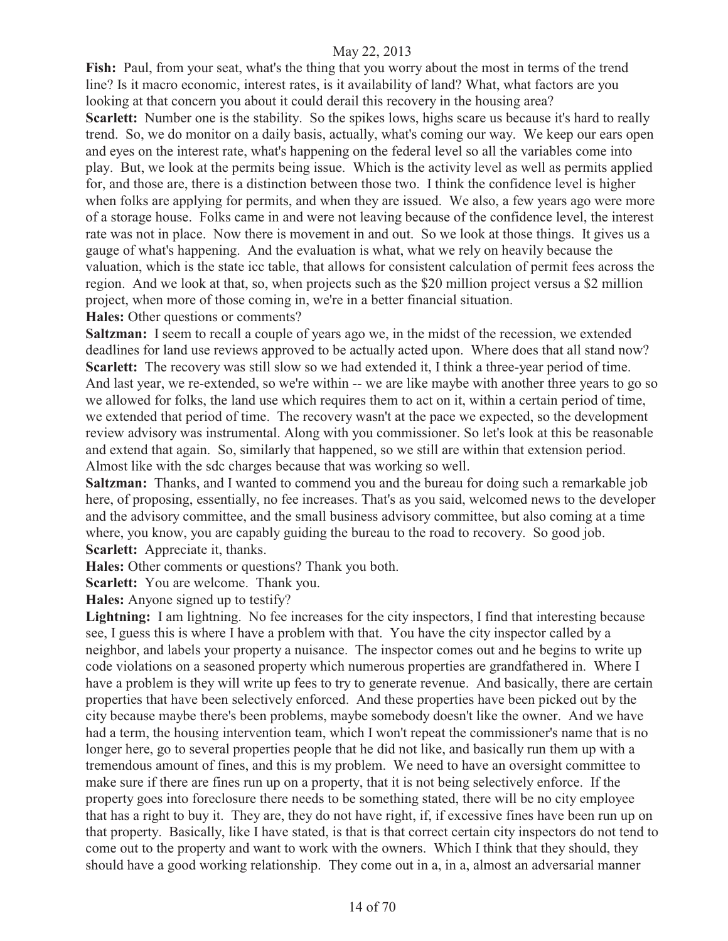**Fish:** Paul, from your seat, what's the thing that you worry about the most in terms of the trend line? Is it macro economic, interest rates, is it availability of land? What, what factors are you looking at that concern you about it could derail this recovery in the housing area?

**Scarlett:** Number one is the stability. So the spikes lows, highs scare us because it's hard to really trend. So, we do monitor on a daily basis, actually, what's coming our way. We keep our ears open and eyes on the interest rate, what's happening on the federal level so all the variables come into play. But, we look at the permits being issue. Which is the activity level as well as permits applied for, and those are, there is a distinction between those two. I think the confidence level is higher when folks are applying for permits, and when they are issued. We also, a few years ago were more of a storage house. Folks came in and were not leaving because of the confidence level, the interest rate was not in place. Now there is movement in and out. So we look at those things. It gives us a gauge of what's happening. And the evaluation is what, what we rely on heavily because the valuation, which is the state icc table, that allows for consistent calculation of permit fees across the region. And we look at that, so, when projects such as the \$20 million project versus a \$2 million project, when more of those coming in, we're in a better financial situation.

**Hales:** Other questions or comments?

**Saltzman:** I seem to recall a couple of years ago we, in the midst of the recession, we extended deadlines for land use reviews approved to be actually acted upon. Where does that all stand now? **Scarlett:** The recovery was still slow so we had extended it, I think a three-year period of time. And last year, we re-extended, so we're within -- we are like maybe with another three years to go so we allowed for folks, the land use which requires them to act on it, within a certain period of time, we extended that period of time. The recovery wasn't at the pace we expected, so the development review advisory was instrumental. Along with you commissioner. So let's look at this be reasonable and extend that again. So, similarly that happened, so we still are within that extension period. Almost like with the sdc charges because that was working so well.

**Saltzman:** Thanks, and I wanted to commend you and the bureau for doing such a remarkable job here, of proposing, essentially, no fee increases. That's as you said, welcomed news to the developer and the advisory committee, and the small business advisory committee, but also coming at a time where, you know, you are capably guiding the bureau to the road to recovery. So good job. **Scarlett:** Appreciate it, thanks.

**Hales:** Other comments or questions? Thank you both.

**Scarlett:** You are welcome. Thank you.

**Hales:** Anyone signed up to testify?

Lightning: I am lightning. No fee increases for the city inspectors, I find that interesting because see, I guess this is where I have a problem with that. You have the city inspector called by a neighbor, and labels your property a nuisance. The inspector comes out and he begins to write up code violations on a seasoned property which numerous properties are grandfathered in. Where I have a problem is they will write up fees to try to generate revenue. And basically, there are certain properties that have been selectively enforced. And these properties have been picked out by the city because maybe there's been problems, maybe somebody doesn't like the owner. And we have had a term, the housing intervention team, which I won't repeat the commissioner's name that is no longer here, go to several properties people that he did not like, and basically run them up with a tremendous amount of fines, and this is my problem. We need to have an oversight committee to make sure if there are fines run up on a property, that it is not being selectively enforce. If the property goes into foreclosure there needs to be something stated, there will be no city employee that has a right to buy it. They are, they do not have right, if, if excessive fines have been run up on that property. Basically, like I have stated, is that is that correct certain city inspectors do not tend to come out to the property and want to work with the owners. Which I think that they should, they should have a good working relationship. They come out in a, in a, almost an adversarial manner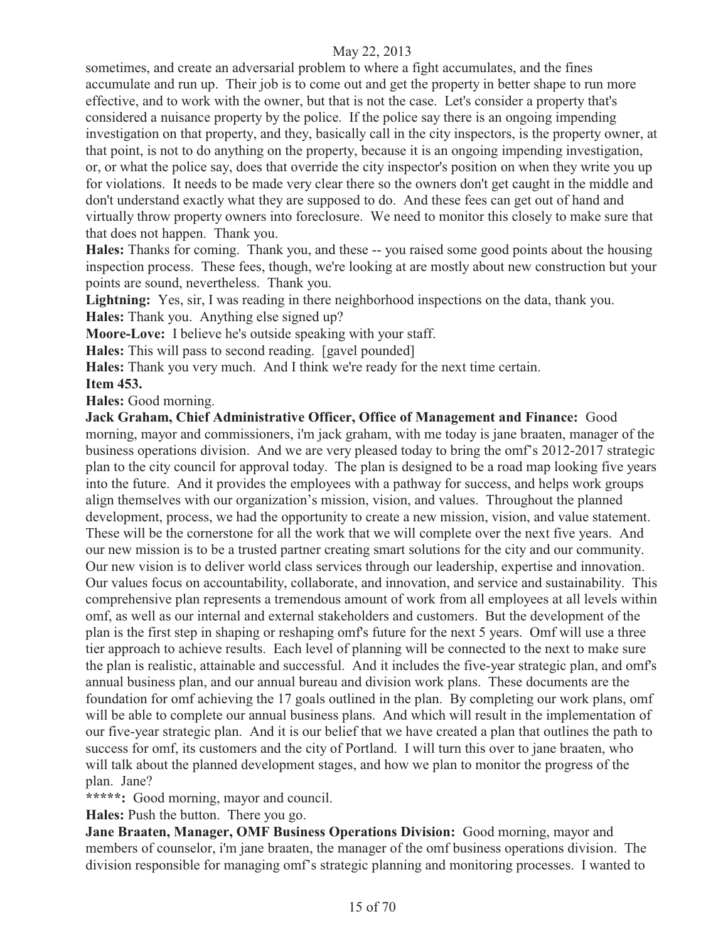sometimes, and create an adversarial problem to where a fight accumulates, and the fines accumulate and run up. Their job is to come out and get the property in better shape to run more effective, and to work with the owner, but that is not the case. Let's consider a property that's considered a nuisance property by the police. If the police say there is an ongoing impending investigation on that property, and they, basically call in the city inspectors, is the property owner, at that point, is not to do anything on the property, because it is an ongoing impending investigation, or, or what the police say, does that override the city inspector's position on when they write you up for violations. It needs to be made very clear there so the owners don't get caught in the middle and don't understand exactly what they are supposed to do. And these fees can get out of hand and virtually throw property owners into foreclosure. We need to monitor this closely to make sure that that does not happen. Thank you.

**Hales:** Thanks for coming. Thank you, and these -- you raised some good points about the housing inspection process. These fees, though, we're looking at are mostly about new construction but your points are sound, nevertheless. Thank you.

**Lightning:** Yes, sir, I was reading in there neighborhood inspections on the data, thank you.

**Hales:** Thank you. Anything else signed up?

**Moore-Love:** I believe he's outside speaking with your staff.

**Hales:** This will pass to second reading. [gavel pounded]

**Hales:** Thank you very much. And I think we're ready for the next time certain.

**Item 453.** 

**Hales:** Good morning.

**Jack Graham, Chief Administrative Officer, Office of Management and Finance:** Good morning, mayor and commissioners, i'm jack graham, with me today is jane braaten, manager of the business operations division. And we are very pleased today to bring the omf's 2012-2017 strategic plan to the city council for approval today. The plan is designed to be a road map looking five years into the future. And it provides the employees with a pathway for success, and helps work groups align themselves with our organization's mission, vision, and values. Throughout the planned development, process, we had the opportunity to create a new mission, vision, and value statement. These will be the cornerstone for all the work that we will complete over the next five years. And our new mission is to be a trusted partner creating smart solutions for the city and our community. Our new vision is to deliver world class services through our leadership, expertise and innovation. Our values focus on accountability, collaborate, and innovation, and service and sustainability. This comprehensive plan represents a tremendous amount of work from all employees at all levels within omf, as well as our internal and external stakeholders and customers. But the development of the plan is the first step in shaping or reshaping omf's future for the next 5 years. Omf will use a three tier approach to achieve results. Each level of planning will be connected to the next to make sure the plan is realistic, attainable and successful. And it includes the five-year strategic plan, and omf's annual business plan, and our annual bureau and division work plans. These documents are the foundation for omf achieving the 17 goals outlined in the plan. By completing our work plans, omf will be able to complete our annual business plans. And which will result in the implementation of our five-year strategic plan. And it is our belief that we have created a plan that outlines the path to success for omf, its customers and the city of Portland. I will turn this over to jane braaten, who will talk about the planned development stages, and how we plan to monitor the progress of the plan. Jane?

**\*\*\*\*\*:** Good morning, mayor and council.

**Hales:** Push the button. There you go.

**Jane Braaten, Manager, OMF Business Operations Division:** Good morning, mayor and members of counselor, i'm jane braaten, the manager of the omf business operations division. The division responsible for managing omf's strategic planning and monitoring processes. I wanted to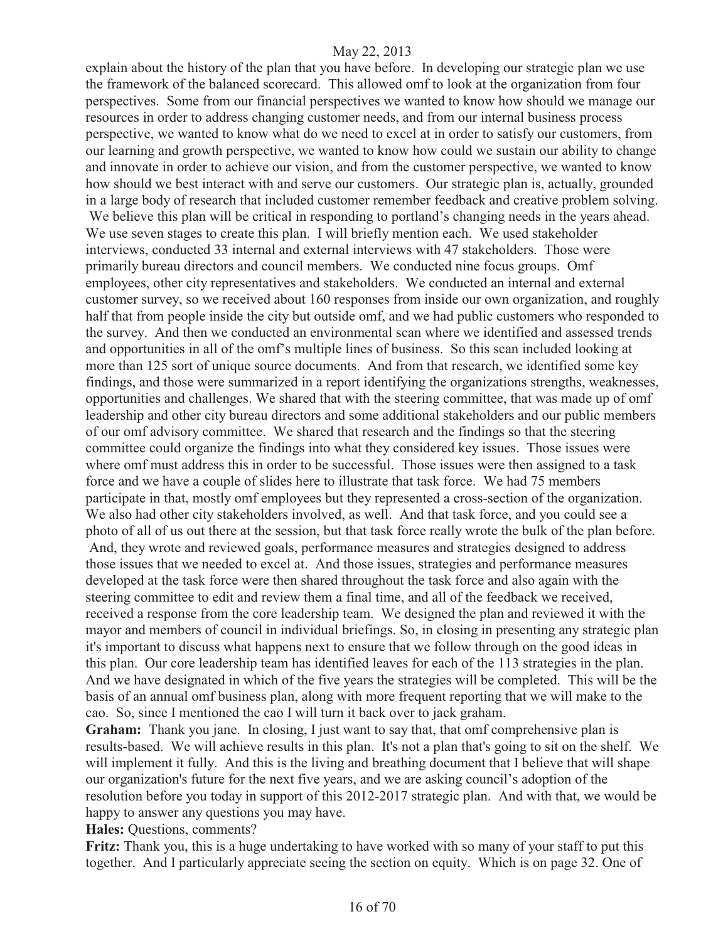explain about the history of the plan that you have before. In developing our strategic plan we use the framework of the balanced scorecard. This allowed omf to look at the organization from four perspectives. Some from our financial perspectives we wanted to know how should we manage our resources in order to address changing customer needs, and from our internal business process perspective, we wanted to know what do we need to excel at in order to satisfy our customers, from our learning and growth perspective, we wanted to know how could we sustain our ability to change and innovate in order to achieve our vision, and from the customer perspective, we wanted to know how should we best interact with and serve our customers. Our strategic plan is, actually, grounded in a large body of research that included customer remember feedback and creative problem solving. We believe this plan will be critical in responding to portland's changing needs in the years ahead. We use seven stages to create this plan. I will briefly mention each. We used stakeholder interviews, conducted 33 internal and external interviews with 47 stakeholders. Those were primarily bureau directors and council members. We conducted nine focus groups. Omf employees, other city representatives and stakeholders. We conducted an internal and external customer survey, so we received about 160 responses from inside our own organization, and roughly half that from people inside the city but outside omf, and we had public customers who responded to the survey. And then we conducted an environmental scan where we identified and assessed trends and opportunities in all of the omf's multiple lines of business. So this scan included looking at more than 125 sort of unique source documents. And from that research, we identified some key findings, and those were summarized in a report identifying the organizations strengths, weaknesses, opportunities and challenges. We shared that with the steering committee, that was made up of omf leadership and other city bureau directors and some additional stakeholders and our public members of our omf advisory committee. We shared that research and the findings so that the steering committee could organize the findings into what they considered key issues. Those issues were where omf must address this in order to be successful. Those issues were then assigned to a task force and we have a couple of slides here to illustrate that task force. We had 75 members participate in that, mostly omf employees but they represented a cross-section of the organization. We also had other city stakeholders involved, as well. And that task force, and you could see a photo of all of us out there at the session, but that task force really wrote the bulk of the plan before. And, they wrote and reviewed goals, performance measures and strategies designed to address those issues that we needed to excel at. And those issues, strategies and performance measures developed at the task force were then shared throughout the task force and also again with the steering committee to edit and review them a final time, and all of the feedback we received, received a response from the core leadership team. We designed the plan and reviewed it with the mayor and members of council in individual briefings. So, in closing in presenting any strategic plan it's important to discuss what happens next to ensure that we follow through on the good ideas in this plan. Our core leadership team has identified leaves for each of the 113 strategies in the plan. And we have designated in which of the five years the strategies will be completed. This will be the basis of an annual omf business plan, along with more frequent reporting that we will make to the cao. So, since I mentioned the cao I will turn it back over to jack graham.

**Graham:** Thank you jane. In closing, I just want to say that, that omf comprehensive plan is results-based. We will achieve results in this plan. It's not a plan that's going to sit on the shelf. We will implement it fully. And this is the living and breathing document that I believe that will shape our organization's future for the next five years, and we are asking council's adoption of the resolution before you today in support of this 2012-2017 strategic plan. And with that, we would be happy to answer any questions you may have.

**Hales:** Questions, comments?

**Fritz:** Thank you, this is a huge undertaking to have worked with so many of your staff to put this together. And I particularly appreciate seeing the section on equity. Which is on page 32. One of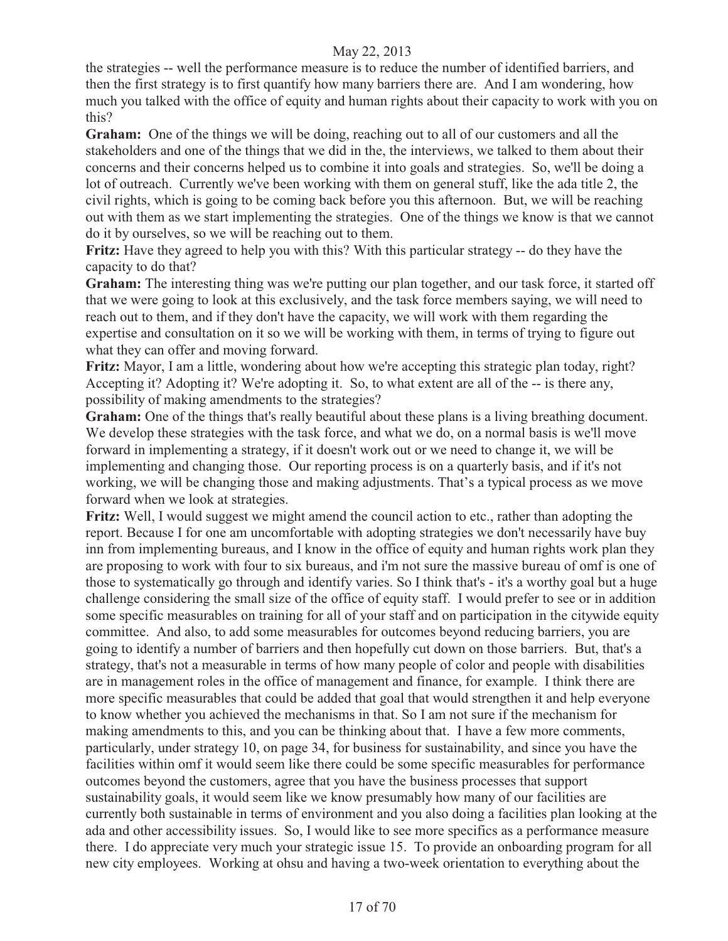the strategies -- well the performance measure is to reduce the number of identified barriers, and then the first strategy is to first quantify how many barriers there are. And I am wondering, how much you talked with the office of equity and human rights about their capacity to work with you on this?

Graham: One of the things we will be doing, reaching out to all of our customers and all the stakeholders and one of the things that we did in the, the interviews, we talked to them about their concerns and their concerns helped us to combine it into goals and strategies. So, we'll be doing a lot of outreach. Currently we've been working with them on general stuff, like the ada title 2, the civil rights, which is going to be coming back before you this afternoon. But, we will be reaching out with them as we start implementing the strategies. One of the things we know is that we cannot do it by ourselves, so we will be reaching out to them.

**Fritz:** Have they agreed to help you with this? With this particular strategy -- do they have the capacity to do that?

**Graham:** The interesting thing was we're putting our plan together, and our task force, it started off that we were going to look at this exclusively, and the task force members saying, we will need to reach out to them, and if they don't have the capacity, we will work with them regarding the expertise and consultation on it so we will be working with them, in terms of trying to figure out what they can offer and moving forward.

**Fritz:** Mayor, I am a little, wondering about how we're accepting this strategic plan today, right? Accepting it? Adopting it? We're adopting it. So, to what extent are all of the -- is there any, possibility of making amendments to the strategies?

**Graham:** One of the things that's really beautiful about these plans is a living breathing document. We develop these strategies with the task force, and what we do, on a normal basis is we'll move forward in implementing a strategy, if it doesn't work out or we need to change it, we will be implementing and changing those. Our reporting process is on a quarterly basis, and if it's not working, we will be changing those and making adjustments. That's a typical process as we move forward when we look at strategies.

**Fritz:** Well, I would suggest we might amend the council action to etc., rather than adopting the report. Because I for one am uncomfortable with adopting strategies we don't necessarily have buy inn from implementing bureaus, and I know in the office of equity and human rights work plan they are proposing to work with four to six bureaus, and i'm not sure the massive bureau of omf is one of those to systematically go through and identify varies. So I think that's - it's a worthy goal but a huge challenge considering the small size of the office of equity staff. I would prefer to see or in addition some specific measurables on training for all of your staff and on participation in the citywide equity committee. And also, to add some measurables for outcomes beyond reducing barriers, you are going to identify a number of barriers and then hopefully cut down on those barriers. But, that's a strategy, that's not a measurable in terms of how many people of color and people with disabilities are in management roles in the office of management and finance, for example. I think there are more specific measurables that could be added that goal that would strengthen it and help everyone to know whether you achieved the mechanisms in that. So I am not sure if the mechanism for making amendments to this, and you can be thinking about that. I have a few more comments, particularly, under strategy 10, on page 34, for business for sustainability, and since you have the facilities within omf it would seem like there could be some specific measurables for performance outcomes beyond the customers, agree that you have the business processes that support sustainability goals, it would seem like we know presumably how many of our facilities are currently both sustainable in terms of environment and you also doing a facilities plan looking at the ada and other accessibility issues. So, I would like to see more specifics as a performance measure there. I do appreciate very much your strategic issue 15. To provide an onboarding program for all new city employees. Working at ohsu and having a two-week orientation to everything about the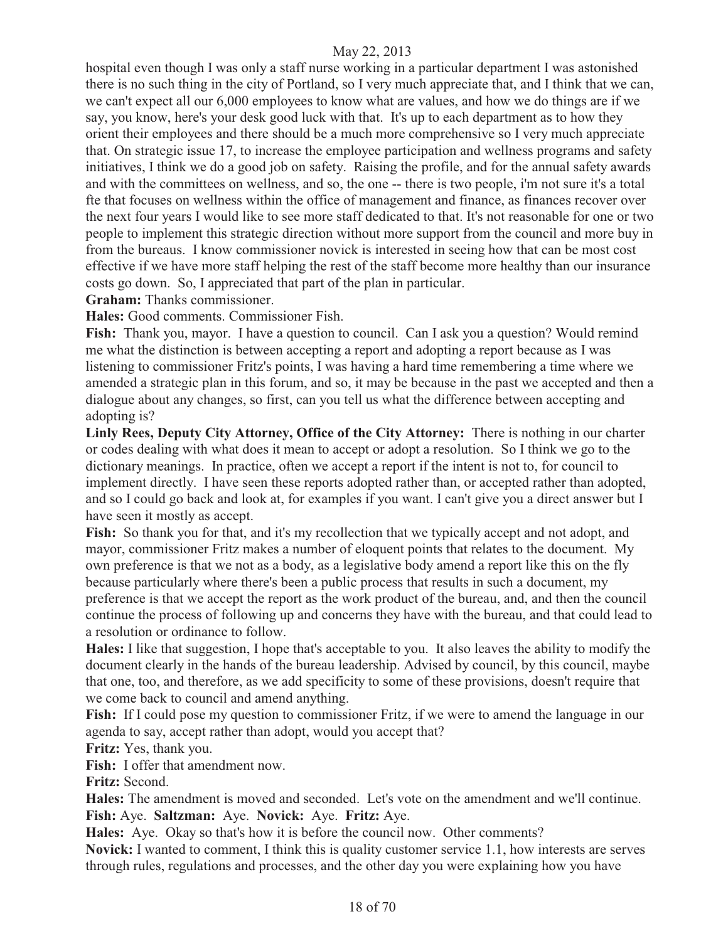hospital even though I was only a staff nurse working in a particular department I was astonished there is no such thing in the city of Portland, so I very much appreciate that, and I think that we can, we can't expect all our 6,000 employees to know what are values, and how we do things are if we say, you know, here's your desk good luck with that. It's up to each department as to how they orient their employees and there should be a much more comprehensive so I very much appreciate that. On strategic issue 17, to increase the employee participation and wellness programs and safety initiatives, I think we do a good job on safety. Raising the profile, and for the annual safety awards and with the committees on wellness, and so, the one -- there is two people, i'm not sure it's a total fte that focuses on wellness within the office of management and finance, as finances recover over the next four years I would like to see more staff dedicated to that. It's not reasonable for one or two people to implement this strategic direction without more support from the council and more buy in from the bureaus. I know commissioner novick is interested in seeing how that can be most cost effective if we have more staff helping the rest of the staff become more healthy than our insurance costs go down. So, I appreciated that part of the plan in particular.

**Graham:** Thanks commissioner.

**Hales:** Good comments. Commissioner Fish.

**Fish:** Thank you, mayor. I have a question to council. Can I ask you a question? Would remind me what the distinction is between accepting a report and adopting a report because as I was listening to commissioner Fritz's points, I was having a hard time remembering a time where we amended a strategic plan in this forum, and so, it may be because in the past we accepted and then a dialogue about any changes, so first, can you tell us what the difference between accepting and adopting is?

**Linly Rees, Deputy City Attorney, Office of the City Attorney:** There is nothing in our charter or codes dealing with what does it mean to accept or adopt a resolution. So I think we go to the dictionary meanings. In practice, often we accept a report if the intent is not to, for council to implement directly. I have seen these reports adopted rather than, or accepted rather than adopted, and so I could go back and look at, for examples if you want. I can't give you a direct answer but I have seen it mostly as accept.

Fish: So thank you for that, and it's my recollection that we typically accept and not adopt, and mayor, commissioner Fritz makes a number of eloquent points that relates to the document. My own preference is that we not as a body, as a legislative body amend a report like this on the fly because particularly where there's been a public process that results in such a document, my preference is that we accept the report as the work product of the bureau, and, and then the council continue the process of following up and concerns they have with the bureau, and that could lead to a resolution or ordinance to follow.

**Hales:** I like that suggestion, I hope that's acceptable to you. It also leaves the ability to modify the document clearly in the hands of the bureau leadership. Advised by council, by this council, maybe that one, too, and therefore, as we add specificity to some of these provisions, doesn't require that we come back to council and amend anything.

Fish: If I could pose my question to commissioner Fritz, if we were to amend the language in our agenda to say, accept rather than adopt, would you accept that?

**Fritz:** Yes, thank you.

Fish: I offer that amendment now.

**Fritz:** Second.

**Hales:** The amendment is moved and seconded. Let's vote on the amendment and we'll continue. **Fish:** Aye. **Saltzman:** Aye. **Novick:** Aye. **Fritz:** Aye.

**Hales:** Aye. Okay so that's how it is before the council now. Other comments?

**Novick:** I wanted to comment, I think this is quality customer service 1.1, how interests are serves through rules, regulations and processes, and the other day you were explaining how you have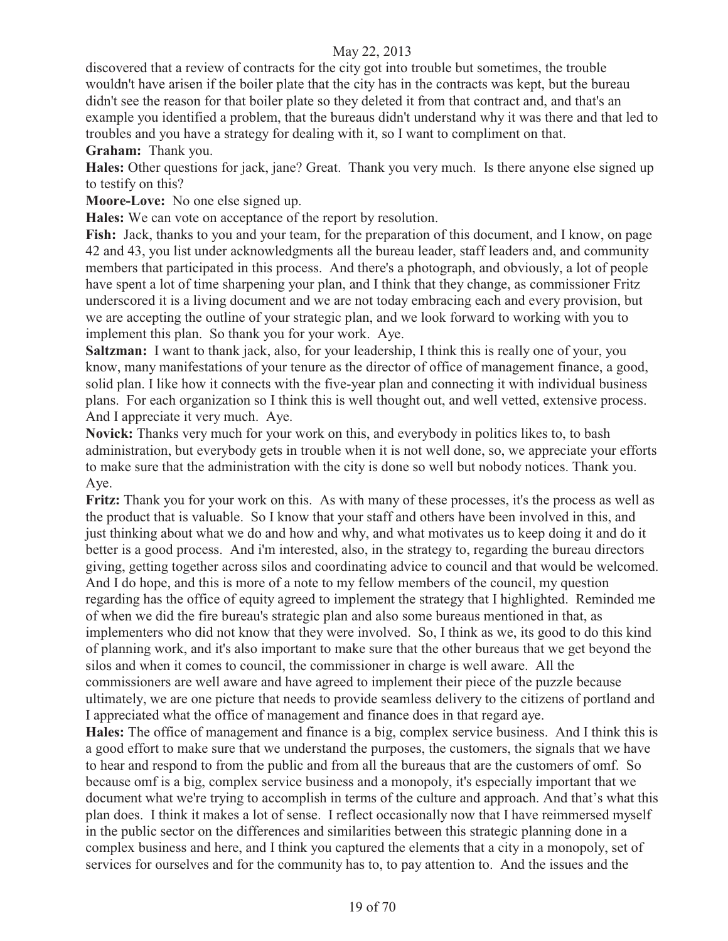discovered that a review of contracts for the city got into trouble but sometimes, the trouble wouldn't have arisen if the boiler plate that the city has in the contracts was kept, but the bureau didn't see the reason for that boiler plate so they deleted it from that contract and, and that's an example you identified a problem, that the bureaus didn't understand why it was there and that led to troubles and you have a strategy for dealing with it, so I want to compliment on that. **Graham:** Thank you.

**Hales:** Other questions for jack, jane? Great. Thank you very much. Is there anyone else signed up to testify on this?

**Moore-Love:** No one else signed up.

**Hales:** We can vote on acceptance of the report by resolution.

Fish: Jack, thanks to you and your team, for the preparation of this document, and I know, on page 42 and 43, you list under acknowledgments all the bureau leader, staff leaders and, and community members that participated in this process. And there's a photograph, and obviously, a lot of people have spent a lot of time sharpening your plan, and I think that they change, as commissioner Fritz underscored it is a living document and we are not today embracing each and every provision, but we are accepting the outline of your strategic plan, and we look forward to working with you to implement this plan. So thank you for your work. Aye.

**Saltzman:** I want to thank jack, also, for your leadership, I think this is really one of your, you know, many manifestations of your tenure as the director of office of management finance, a good, solid plan. I like how it connects with the five-year plan and connecting it with individual business plans. For each organization so I think this is well thought out, and well vetted, extensive process. And I appreciate it very much. Aye.

**Novick:** Thanks very much for your work on this, and everybody in politics likes to, to bash administration, but everybody gets in trouble when it is not well done, so, we appreciate your efforts to make sure that the administration with the city is done so well but nobody notices. Thank you. Aye.

**Fritz:** Thank you for your work on this. As with many of these processes, it's the process as well as the product that is valuable. So I know that your staff and others have been involved in this, and just thinking about what we do and how and why, and what motivates us to keep doing it and do it better is a good process. And i'm interested, also, in the strategy to, regarding the bureau directors giving, getting together across silos and coordinating advice to council and that would be welcomed. And I do hope, and this is more of a note to my fellow members of the council, my question regarding has the office of equity agreed to implement the strategy that I highlighted. Reminded me of when we did the fire bureau's strategic plan and also some bureaus mentioned in that, as implementers who did not know that they were involved. So, I think as we, its good to do this kind of planning work, and it's also important to make sure that the other bureaus that we get beyond the silos and when it comes to council, the commissioner in charge is well aware. All the commissioners are well aware and have agreed to implement their piece of the puzzle because ultimately, we are one picture that needs to provide seamless delivery to the citizens of portland and I appreciated what the office of management and finance does in that regard aye.

**Hales:** The office of management and finance is a big, complex service business. And I think this is a good effort to make sure that we understand the purposes, the customers, the signals that we have to hear and respond to from the public and from all the bureaus that are the customers of omf. So because omf is a big, complex service business and a monopoly, it's especially important that we document what we're trying to accomplish in terms of the culture and approach. And that's what this plan does. I think it makes a lot of sense. I reflect occasionally now that I have reimmersed myself in the public sector on the differences and similarities between this strategic planning done in a complex business and here, and I think you captured the elements that a city in a monopoly, set of services for ourselves and for the community has to, to pay attention to. And the issues and the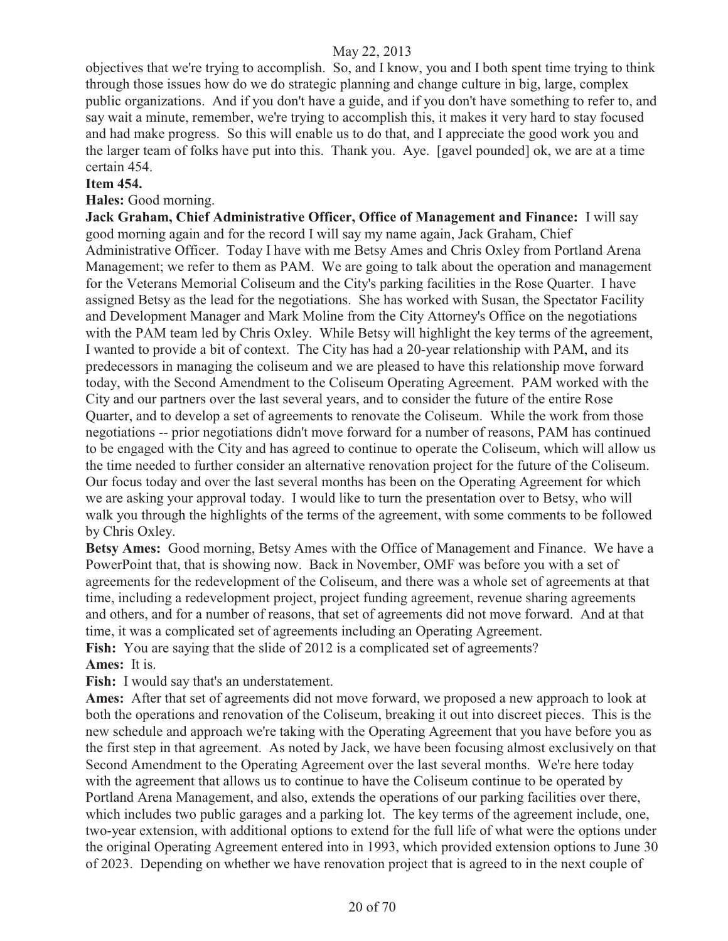objectives that we're trying to accomplish. So, and I know, you and I both spent time trying to think through those issues how do we do strategic planning and change culture in big, large, complex public organizations. And if you don't have a guide, and if you don't have something to refer to, and say wait a minute, remember, we're trying to accomplish this, it makes it very hard to stay focused and had make progress. So this will enable us to do that, and I appreciate the good work you and the larger team of folks have put into this. Thank you. Aye. [gavel pounded] ok, we are at a time certain 454.

#### **Item 454.**

**Hales:** Good morning.

**Jack Graham, Chief Administrative Officer, Office of Management and Finance:** I will say good morning again and for the record I will say my name again, Jack Graham, Chief Administrative Officer. Today I have with me Betsy Ames and Chris Oxley from Portland Arena Management; we refer to them as PAM. We are going to talk about the operation and management for the Veterans Memorial Coliseum and the City's parking facilities in the Rose Quarter. I have assigned Betsy as the lead for the negotiations. She has worked with Susan, the Spectator Facility and Development Manager and Mark Moline from the City Attorney's Office on the negotiations with the PAM team led by Chris Oxley. While Betsy will highlight the key terms of the agreement, I wanted to provide a bit of context. The City has had a 20-year relationship with PAM, and its predecessors in managing the coliseum and we are pleased to have this relationship move forward today, with the Second Amendment to the Coliseum Operating Agreement. PAM worked with the City and our partners over the last several years, and to consider the future of the entire Rose Quarter, and to develop a set of agreements to renovate the Coliseum. While the work from those negotiations -- prior negotiations didn't move forward for a number of reasons, PAM has continued to be engaged with the City and has agreed to continue to operate the Coliseum, which will allow us the time needed to further consider an alternative renovation project for the future of the Coliseum. Our focus today and over the last several months has been on the Operating Agreement for which we are asking your approval today. I would like to turn the presentation over to Betsy, who will walk you through the highlights of the terms of the agreement, with some comments to be followed by Chris Oxley.

**Betsy Ames:** Good morning, Betsy Ames with the Office of Management and Finance. We have a PowerPoint that, that is showing now. Back in November, OMF was before you with a set of agreements for the redevelopment of the Coliseum, and there was a whole set of agreements at that time, including a redevelopment project, project funding agreement, revenue sharing agreements and others, and for a number of reasons, that set of agreements did not move forward. And at that time, it was a complicated set of agreements including an Operating Agreement.

**Fish:** You are saying that the slide of 2012 is a complicated set of agreements? **Ames:** It is.

**Fish:** I would say that's an understatement.

**Ames:** After that set of agreements did not move forward, we proposed a new approach to look at both the operations and renovation of the Coliseum, breaking it out into discreet pieces. This is the new schedule and approach we're taking with the Operating Agreement that you have before you as the first step in that agreement. As noted by Jack, we have been focusing almost exclusively on that Second Amendment to the Operating Agreement over the last several months. We're here today with the agreement that allows us to continue to have the Coliseum continue to be operated by Portland Arena Management, and also, extends the operations of our parking facilities over there, which includes two public garages and a parking lot. The key terms of the agreement include, one, two-year extension, with additional options to extend for the full life of what were the options under the original Operating Agreement entered into in 1993, which provided extension options to June 30 of 2023. Depending on whether we have renovation project that is agreed to in the next couple of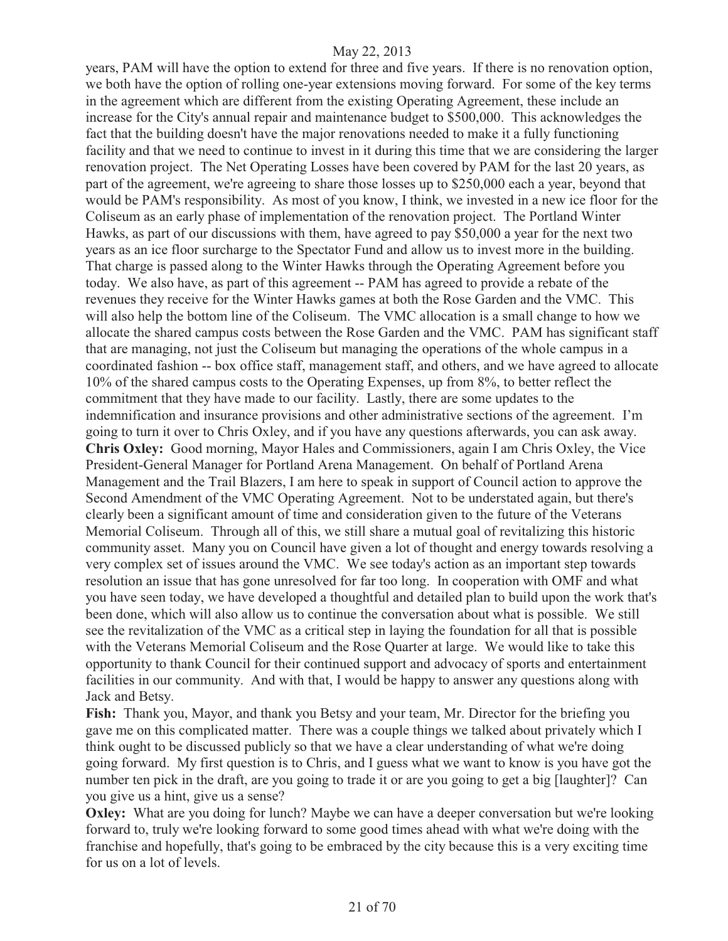years, PAM will have the option to extend for three and five years. If there is no renovation option, we both have the option of rolling one-year extensions moving forward. For some of the key terms in the agreement which are different from the existing Operating Agreement, these include an increase for the City's annual repair and maintenance budget to \$500,000. This acknowledges the fact that the building doesn't have the major renovations needed to make it a fully functioning facility and that we need to continue to invest in it during this time that we are considering the larger renovation project. The Net Operating Losses have been covered by PAM for the last 20 years, as part of the agreement, we're agreeing to share those losses up to \$250,000 each a year, beyond that would be PAM's responsibility. As most of you know, I think, we invested in a new ice floor for the Coliseum as an early phase of implementation of the renovation project. The Portland Winter Hawks, as part of our discussions with them, have agreed to pay \$50,000 a year for the next two years as an ice floor surcharge to the Spectator Fund and allow us to invest more in the building. That charge is passed along to the Winter Hawks through the Operating Agreement before you today. We also have, as part of this agreement -- PAM has agreed to provide a rebate of the revenues they receive for the Winter Hawks games at both the Rose Garden and the VMC. This will also help the bottom line of the Coliseum. The VMC allocation is a small change to how we allocate the shared campus costs between the Rose Garden and the VMC. PAM has significant staff that are managing, not just the Coliseum but managing the operations of the whole campus in a coordinated fashion -- box office staff, management staff, and others, and we have agreed to allocate 10% of the shared campus costs to the Operating Expenses, up from 8%, to better reflect the commitment that they have made to our facility. Lastly, there are some updates to the indemnification and insurance provisions and other administrative sections of the agreement. I'm going to turn it over to Chris Oxley, and if you have any questions afterwards, you can ask away. **Chris Oxley:** Good morning, Mayor Hales and Commissioners, again I am Chris Oxley, the Vice President-General Manager for Portland Arena Management. On behalf of Portland Arena Management and the Trail Blazers, I am here to speak in support of Council action to approve the Second Amendment of the VMC Operating Agreement. Not to be understated again, but there's clearly been a significant amount of time and consideration given to the future of the Veterans Memorial Coliseum. Through all of this, we still share a mutual goal of revitalizing this historic community asset. Many you on Council have given a lot of thought and energy towards resolving a very complex set of issues around the VMC. We see today's action as an important step towards resolution an issue that has gone unresolved for far too long. In cooperation with OMF and what you have seen today, we have developed a thoughtful and detailed plan to build upon the work that's been done, which will also allow us to continue the conversation about what is possible. We still see the revitalization of the VMC as a critical step in laying the foundation for all that is possible with the Veterans Memorial Coliseum and the Rose Quarter at large. We would like to take this opportunity to thank Council for their continued support and advocacy of sports and entertainment facilities in our community. And with that, I would be happy to answer any questions along with Jack and Betsy.

**Fish:** Thank you, Mayor, and thank you Betsy and your team, Mr. Director for the briefing you gave me on this complicated matter. There was a couple things we talked about privately which I think ought to be discussed publicly so that we have a clear understanding of what we're doing going forward. My first question is to Chris, and I guess what we want to know is you have got the number ten pick in the draft, are you going to trade it or are you going to get a big [laughter]? Can you give us a hint, give us a sense?

**Oxley:** What are you doing for lunch? Maybe we can have a deeper conversation but we're looking forward to, truly we're looking forward to some good times ahead with what we're doing with the franchise and hopefully, that's going to be embraced by the city because this is a very exciting time for us on a lot of levels.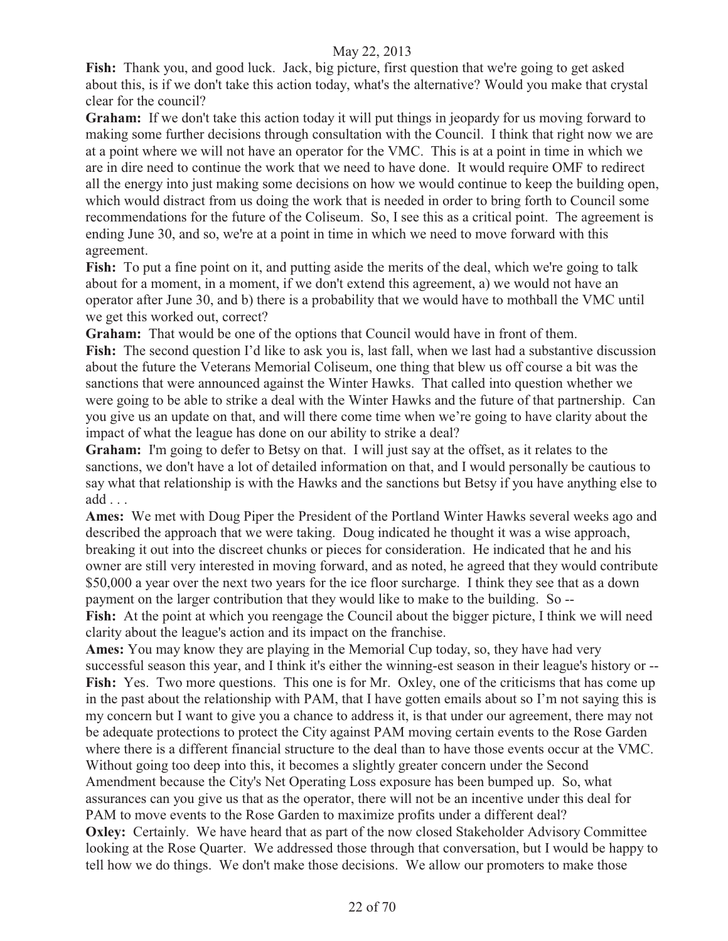**Fish:** Thank you, and good luck. Jack, big picture, first question that we're going to get asked about this, is if we don't take this action today, what's the alternative? Would you make that crystal clear for the council?

**Graham:** If we don't take this action today it will put things in jeopardy for us moving forward to making some further decisions through consultation with the Council. I think that right now we are at a point where we will not have an operator for the VMC. This is at a point in time in which we are in dire need to continue the work that we need to have done. It would require OMF to redirect all the energy into just making some decisions on how we would continue to keep the building open, which would distract from us doing the work that is needed in order to bring forth to Council some recommendations for the future of the Coliseum. So, I see this as a critical point. The agreement is ending June 30, and so, we're at a point in time in which we need to move forward with this agreement.

Fish: To put a fine point on it, and putting aside the merits of the deal, which we're going to talk about for a moment, in a moment, if we don't extend this agreement, a) we would not have an operator after June 30, and b) there is a probability that we would have to mothball the VMC until we get this worked out, correct?

**Graham:** That would be one of the options that Council would have in front of them. **Fish:** The second question I'd like to ask you is, last fall, when we last had a substantive discussion about the future the Veterans Memorial Coliseum, one thing that blew us off course a bit was the sanctions that were announced against the Winter Hawks. That called into question whether we were going to be able to strike a deal with the Winter Hawks and the future of that partnership. Can you give us an update on that, and will there come time when we're going to have clarity about the impact of what the league has done on our ability to strike a deal?

**Graham:** I'm going to defer to Betsy on that. I will just say at the offset, as it relates to the sanctions, we don't have a lot of detailed information on that, and I would personally be cautious to say what that relationship is with the Hawks and the sanctions but Betsy if you have anything else to add . . .

**Ames:** We met with Doug Piper the President of the Portland Winter Hawks several weeks ago and described the approach that we were taking. Doug indicated he thought it was a wise approach, breaking it out into the discreet chunks or pieces for consideration. He indicated that he and his owner are still very interested in moving forward, and as noted, he agreed that they would contribute \$50,000 a year over the next two years for the ice floor surcharge. I think they see that as a down payment on the larger contribution that they would like to make to the building. So --

**Fish:** At the point at which you reengage the Council about the bigger picture, I think we will need clarity about the league's action and its impact on the franchise.

**Ames:** You may know they are playing in the Memorial Cup today, so, they have had very successful season this year, and I think it's either the winning-est season in their league's history or -- Fish: Yes. Two more questions. This one is for Mr. Oxley, one of the criticisms that has come up in the past about the relationship with PAM, that I have gotten emails about so I'm not saying this is my concern but I want to give you a chance to address it, is that under our agreement, there may not be adequate protections to protect the City against PAM moving certain events to the Rose Garden where there is a different financial structure to the deal than to have those events occur at the VMC. Without going too deep into this, it becomes a slightly greater concern under the Second Amendment because the City's Net Operating Loss exposure has been bumped up. So, what assurances can you give us that as the operator, there will not be an incentive under this deal for PAM to move events to the Rose Garden to maximize profits under a different deal? **Oxley:** Certainly. We have heard that as part of the now closed Stakeholder Advisory Committee looking at the Rose Quarter. We addressed those through that conversation, but I would be happy to tell how we do things. We don't make those decisions. We allow our promoters to make those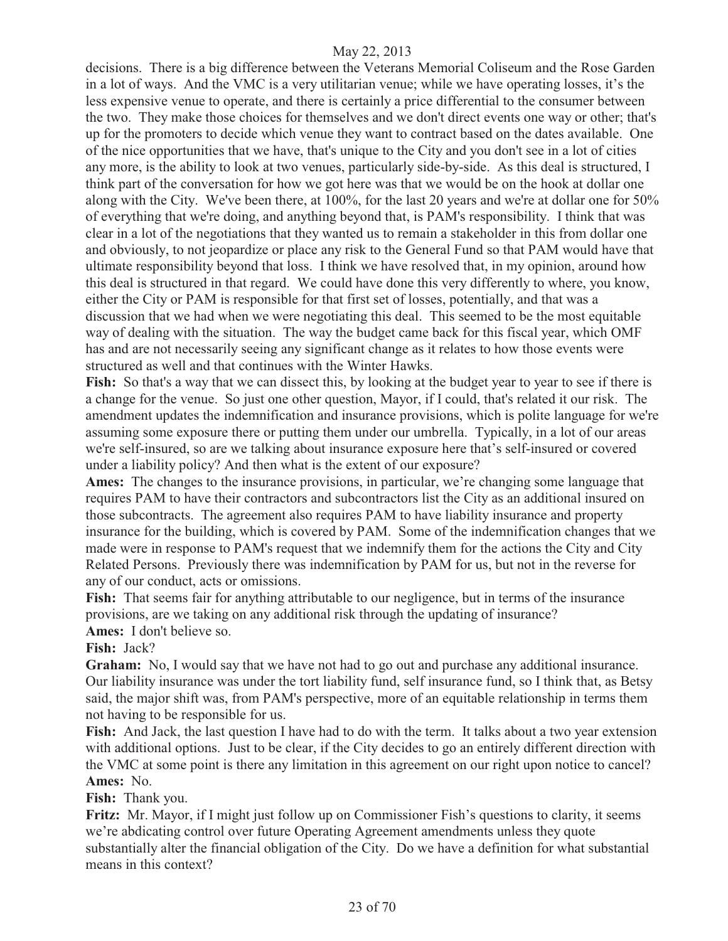decisions. There is a big difference between the Veterans Memorial Coliseum and the Rose Garden in a lot of ways. And the VMC is a very utilitarian venue; while we have operating losses, it's the less expensive venue to operate, and there is certainly a price differential to the consumer between the two. They make those choices for themselves and we don't direct events one way or other; that's up for the promoters to decide which venue they want to contract based on the dates available. One of the nice opportunities that we have, that's unique to the City and you don't see in a lot of cities any more, is the ability to look at two venues, particularly side-by-side. As this deal is structured, I think part of the conversation for how we got here was that we would be on the hook at dollar one along with the City. We've been there, at 100%, for the last 20 years and we're at dollar one for 50% of everything that we're doing, and anything beyond that, is PAM's responsibility. I think that was clear in a lot of the negotiations that they wanted us to remain a stakeholder in this from dollar one and obviously, to not jeopardize or place any risk to the General Fund so that PAM would have that ultimate responsibility beyond that loss. I think we have resolved that, in my opinion, around how this deal is structured in that regard. We could have done this very differently to where, you know, either the City or PAM is responsible for that first set of losses, potentially, and that was a discussion that we had when we were negotiating this deal. This seemed to be the most equitable way of dealing with the situation. The way the budget came back for this fiscal year, which OMF has and are not necessarily seeing any significant change as it relates to how those events were structured as well and that continues with the Winter Hawks.

**Fish:** So that's a way that we can dissect this, by looking at the budget year to year to see if there is a change for the venue. So just one other question, Mayor, if I could, that's related it our risk. The amendment updates the indemnification and insurance provisions, which is polite language for we're assuming some exposure there or putting them under our umbrella. Typically, in a lot of our areas we're self-insured, so are we talking about insurance exposure here that's self-insured or covered under a liability policy? And then what is the extent of our exposure?

**Ames:** The changes to the insurance provisions, in particular, we're changing some language that requires PAM to have their contractors and subcontractors list the City as an additional insured on those subcontracts. The agreement also requires PAM to have liability insurance and property insurance for the building, which is covered by PAM. Some of the indemnification changes that we made were in response to PAM's request that we indemnify them for the actions the City and City Related Persons. Previously there was indemnification by PAM for us, but not in the reverse for any of our conduct, acts or omissions.

**Fish:** That seems fair for anything attributable to our negligence, but in terms of the insurance provisions, are we taking on any additional risk through the updating of insurance? **Ames:** I don't believe so.

**Fish:** Jack?

**Graham:** No, I would say that we have not had to go out and purchase any additional insurance. Our liability insurance was under the tort liability fund, self insurance fund, so I think that, as Betsy said, the major shift was, from PAM's perspective, more of an equitable relationship in terms them not having to be responsible for us.

**Fish:** And Jack, the last question I have had to do with the term. It talks about a two year extension with additional options. Just to be clear, if the City decides to go an entirely different direction with the VMC at some point is there any limitation in this agreement on our right upon notice to cancel? **Ames:** No.

**Fish:** Thank you.

**Fritz:** Mr. Mayor, if I might just follow up on Commissioner Fish's questions to clarity, it seems we're abdicating control over future Operating Agreement amendments unless they quote substantially alter the financial obligation of the City. Do we have a definition for what substantial means in this context?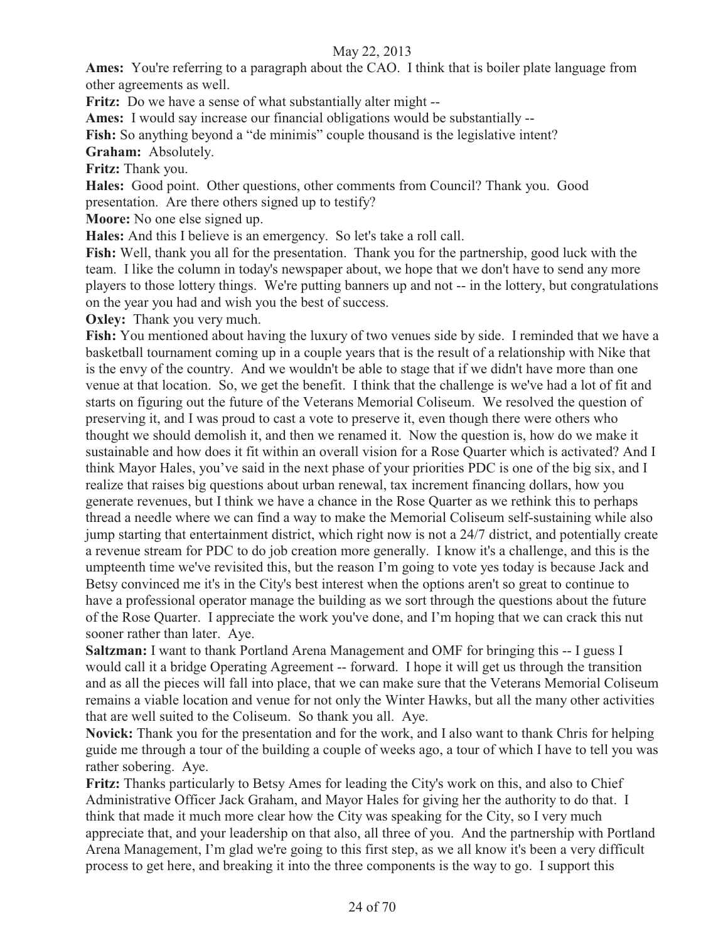**Ames:** You're referring to a paragraph about the CAO. I think that is boiler plate language from other agreements as well.

**Fritz:** Do we have a sense of what substantially alter might --

**Ames:** I would say increase our financial obligations would be substantially --

**Fish:** So anything beyond a "de minimis" couple thousand is the legislative intent?

**Graham:** Absolutely.

**Fritz:** Thank you.

**Hales:** Good point. Other questions, other comments from Council? Thank you. Good presentation. Are there others signed up to testify?

**Moore:** No one else signed up.

**Hales:** And this I believe is an emergency. So let's take a roll call.

**Fish:** Well, thank you all for the presentation. Thank you for the partnership, good luck with the team. I like the column in today's newspaper about, we hope that we don't have to send any more players to those lottery things. We're putting banners up and not -- in the lottery, but congratulations on the year you had and wish you the best of success.

**Oxley:** Thank you very much.

**Fish:** You mentioned about having the luxury of two venues side by side. I reminded that we have a basketball tournament coming up in a couple years that is the result of a relationship with Nike that is the envy of the country. And we wouldn't be able to stage that if we didn't have more than one venue at that location. So, we get the benefit. I think that the challenge is we've had a lot of fit and starts on figuring out the future of the Veterans Memorial Coliseum. We resolved the question of preserving it, and I was proud to cast a vote to preserve it, even though there were others who thought we should demolish it, and then we renamed it. Now the question is, how do we make it sustainable and how does it fit within an overall vision for a Rose Quarter which is activated? And I think Mayor Hales, you've said in the next phase of your priorities PDC is one of the big six, and I realize that raises big questions about urban renewal, tax increment financing dollars, how you generate revenues, but I think we have a chance in the Rose Quarter as we rethink this to perhaps thread a needle where we can find a way to make the Memorial Coliseum self-sustaining while also jump starting that entertainment district, which right now is not a 24/7 district, and potentially create a revenue stream for PDC to do job creation more generally. I know it's a challenge, and this is the umpteenth time we've revisited this, but the reason I'm going to vote yes today is because Jack and Betsy convinced me it's in the City's best interest when the options aren't so great to continue to have a professional operator manage the building as we sort through the questions about the future of the Rose Quarter. I appreciate the work you've done, and I'm hoping that we can crack this nut sooner rather than later. Aye.

**Saltzman:** I want to thank Portland Arena Management and OMF for bringing this -- I guess I would call it a bridge Operating Agreement -- forward. I hope it will get us through the transition and as all the pieces will fall into place, that we can make sure that the Veterans Memorial Coliseum remains a viable location and venue for not only the Winter Hawks, but all the many other activities that are well suited to the Coliseum. So thank you all. Aye.

**Novick:** Thank you for the presentation and for the work, and I also want to thank Chris for helping guide me through a tour of the building a couple of weeks ago, a tour of which I have to tell you was rather sobering. Aye.

**Fritz:** Thanks particularly to Betsy Ames for leading the City's work on this, and also to Chief Administrative Officer Jack Graham, and Mayor Hales for giving her the authority to do that. I think that made it much more clear how the City was speaking for the City, so I very much appreciate that, and your leadership on that also, all three of you. And the partnership with Portland Arena Management, I'm glad we're going to this first step, as we all know it's been a very difficult process to get here, and breaking it into the three components is the way to go. I support this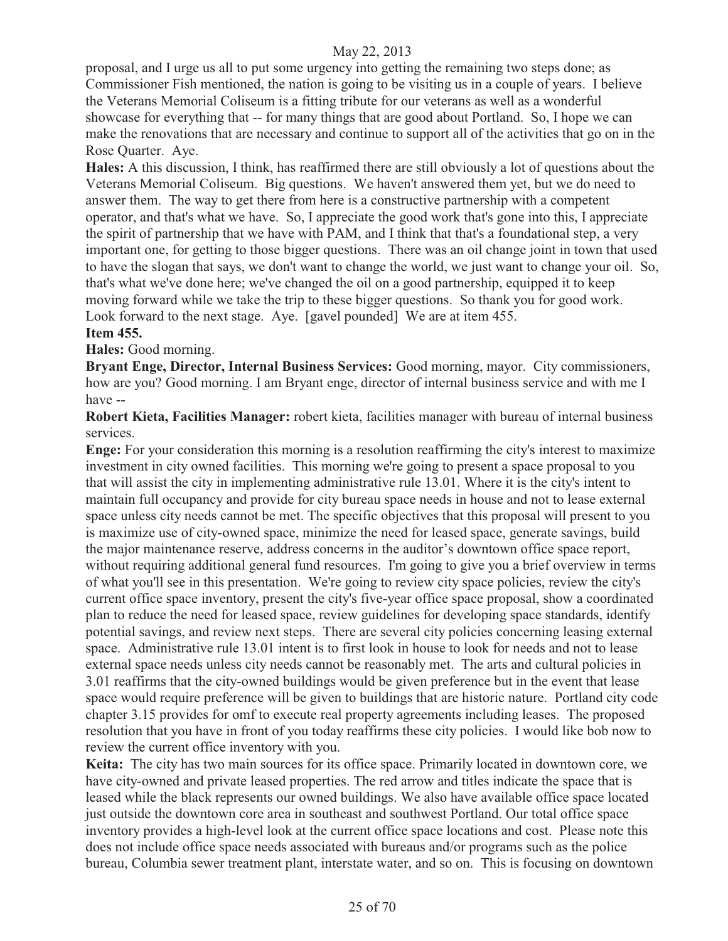proposal, and I urge us all to put some urgency into getting the remaining two steps done; as Commissioner Fish mentioned, the nation is going to be visiting us in a couple of years. I believe the Veterans Memorial Coliseum is a fitting tribute for our veterans as well as a wonderful showcase for everything that -- for many things that are good about Portland. So, I hope we can make the renovations that are necessary and continue to support all of the activities that go on in the Rose Quarter. Aye.

**Hales:** A this discussion, I think, has reaffirmed there are still obviously a lot of questions about the Veterans Memorial Coliseum. Big questions. We haven't answered them yet, but we do need to answer them. The way to get there from here is a constructive partnership with a competent operator, and that's what we have. So, I appreciate the good work that's gone into this, I appreciate the spirit of partnership that we have with PAM, and I think that that's a foundational step, a very important one, for getting to those bigger questions. There was an oil change joint in town that used to have the slogan that says, we don't want to change the world, we just want to change your oil. So, that's what we've done here; we've changed the oil on a good partnership, equipped it to keep moving forward while we take the trip to these bigger questions. So thank you for good work. Look forward to the next stage. Aye. [gavel pounded] We are at item 455.

# **Item 455.**

#### **Hales:** Good morning.

**Bryant Enge, Director, Internal Business Services:** Good morning, mayor. City commissioners, how are you? Good morning. I am Bryant enge, director of internal business service and with me I have --

**Robert Kieta, Facilities Manager:** robert kieta, facilities manager with bureau of internal business services.

**Enge:** For your consideration this morning is a resolution reaffirming the city's interest to maximize investment in city owned facilities. This morning we're going to present a space proposal to you that will assist the city in implementing administrative rule 13.01. Where it is the city's intent to maintain full occupancy and provide for city bureau space needs in house and not to lease external space unless city needs cannot be met. The specific objectives that this proposal will present to you is maximize use of city-owned space, minimize the need for leased space, generate savings, build the major maintenance reserve, address concerns in the auditor's downtown office space report, without requiring additional general fund resources. I'm going to give you a brief overview in terms of what you'll see in this presentation. We're going to review city space policies, review the city's current office space inventory, present the city's five-year office space proposal, show a coordinated plan to reduce the need for leased space, review guidelines for developing space standards, identify potential savings, and review next steps. There are several city policies concerning leasing external space. Administrative rule 13.01 intent is to first look in house to look for needs and not to lease external space needs unless city needs cannot be reasonably met. The arts and cultural policies in 3.01 reaffirms that the city-owned buildings would be given preference but in the event that lease space would require preference will be given to buildings that are historic nature. Portland city code chapter 3.15 provides for omf to execute real property agreements including leases. The proposed resolution that you have in front of you today reaffirms these city policies. I would like bob now to review the current office inventory with you.

**Keita:** The city has two main sources for its office space. Primarily located in downtown core, we have city-owned and private leased properties. The red arrow and titles indicate the space that is leased while the black represents our owned buildings. We also have available office space located just outside the downtown core area in southeast and southwest Portland. Our total office space inventory provides a high-level look at the current office space locations and cost. Please note this does not include office space needs associated with bureaus and/or programs such as the police bureau, Columbia sewer treatment plant, interstate water, and so on. This is focusing on downtown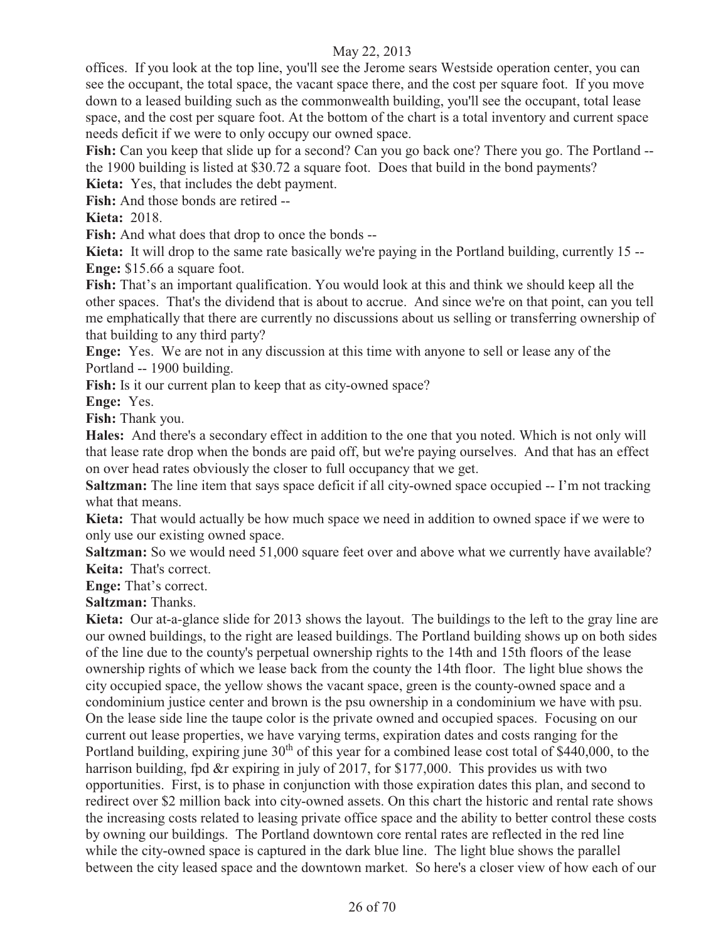offices. If you look at the top line, you'll see the Jerome sears Westside operation center, you can see the occupant, the total space, the vacant space there, and the cost per square foot. If you move down to a leased building such as the commonwealth building, you'll see the occupant, total lease space, and the cost per square foot. At the bottom of the chart is a total inventory and current space needs deficit if we were to only occupy our owned space.

**Fish:** Can you keep that slide up for a second? Can you go back one? There you go. The Portland - the 1900 building is listed at \$30.72 a square foot. Does that build in the bond payments?

**Kieta:** Yes, that includes the debt payment.

**Fish:** And those bonds are retired --

**Kieta:** 2018.

**Fish:** And what does that drop to once the bonds --

**Kieta:** It will drop to the same rate basically we're paying in the Portland building, currently 15 -- **Enge:** \$15.66 a square foot.

**Fish:** That's an important qualification. You would look at this and think we should keep all the other spaces. That's the dividend that is about to accrue. And since we're on that point, can you tell me emphatically that there are currently no discussions about us selling or transferring ownership of that building to any third party?

**Enge:** Yes. We are not in any discussion at this time with anyone to sell or lease any of the Portland -- 1900 building.

**Fish:** Is it our current plan to keep that as city-owned space?

**Enge:** Yes.

**Fish:** Thank you.

**Hales:** And there's a secondary effect in addition to the one that you noted. Which is not only will that lease rate drop when the bonds are paid off, but we're paying ourselves. And that has an effect on over head rates obviously the closer to full occupancy that we get.

**Saltzman:** The line item that says space deficit if all city-owned space occupied -- I'm not tracking what that means.

**Kieta:** That would actually be how much space we need in addition to owned space if we were to only use our existing owned space.

**Saltzman:** So we would need 51,000 square feet over and above what we currently have available? **Keita:** That's correct.

**Enge:** That's correct.

**Saltzman:** Thanks.

**Kieta:** Our at-a-glance slide for 2013 shows the layout. The buildings to the left to the gray line are our owned buildings, to the right are leased buildings. The Portland building shows up on both sides of the line due to the county's perpetual ownership rights to the 14th and 15th floors of the lease ownership rights of which we lease back from the county the 14th floor. The light blue shows the city occupied space, the yellow shows the vacant space, green is the county-owned space and a condominium justice center and brown is the psu ownership in a condominium we have with psu. On the lease side line the taupe color is the private owned and occupied spaces. Focusing on our current out lease properties, we have varying terms, expiration dates and costs ranging for the Portland building, expiring june  $30<sup>th</sup>$  of this year for a combined lease cost total of \$440,000, to the harrison building, fpd &r expiring in july of 2017, for \$177,000. This provides us with two opportunities. First, is to phase in conjunction with those expiration dates this plan, and second to redirect over \$2 million back into city-owned assets. On this chart the historic and rental rate shows the increasing costs related to leasing private office space and the ability to better control these costs by owning our buildings. The Portland downtown core rental rates are reflected in the red line while the city-owned space is captured in the dark blue line. The light blue shows the parallel between the city leased space and the downtown market. So here's a closer view of how each of our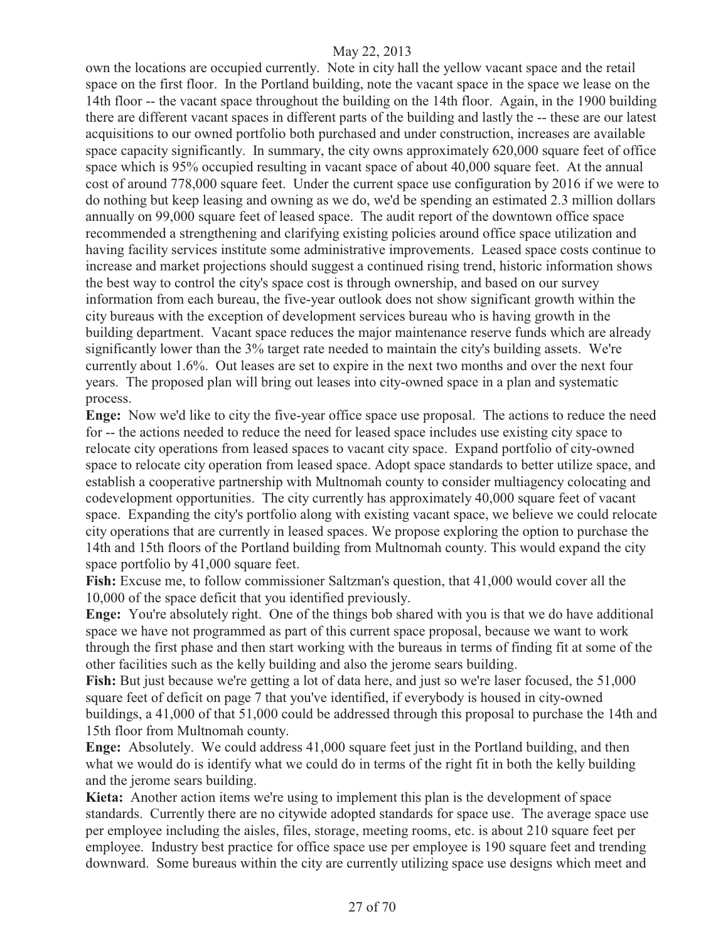own the locations are occupied currently. Note in city hall the yellow vacant space and the retail space on the first floor. In the Portland building, note the vacant space in the space we lease on the 14th floor -- the vacant space throughout the building on the 14th floor. Again, in the 1900 building there are different vacant spaces in different parts of the building and lastly the -- these are our latest acquisitions to our owned portfolio both purchased and under construction, increases are available space capacity significantly. In summary, the city owns approximately 620,000 square feet of office space which is 95% occupied resulting in vacant space of about 40,000 square feet. At the annual cost of around 778,000 square feet. Under the current space use configuration by 2016 if we were to do nothing but keep leasing and owning as we do, we'd be spending an estimated 2.3 million dollars annually on 99,000 square feet of leased space. The audit report of the downtown office space recommended a strengthening and clarifying existing policies around office space utilization and having facility services institute some administrative improvements. Leased space costs continue to increase and market projections should suggest a continued rising trend, historic information shows the best way to control the city's space cost is through ownership, and based on our survey information from each bureau, the five-year outlook does not show significant growth within the city bureaus with the exception of development services bureau who is having growth in the building department. Vacant space reduces the major maintenance reserve funds which are already significantly lower than the 3% target rate needed to maintain the city's building assets. We're currently about 1.6%. Out leases are set to expire in the next two months and over the next four years. The proposed plan will bring out leases into city-owned space in a plan and systematic process.

**Enge:** Now we'd like to city the five-year office space use proposal. The actions to reduce the need for -- the actions needed to reduce the need for leased space includes use existing city space to relocate city operations from leased spaces to vacant city space. Expand portfolio of city-owned space to relocate city operation from leased space. Adopt space standards to better utilize space, and establish a cooperative partnership with Multnomah county to consider multiagency colocating and codevelopment opportunities. The city currently has approximately 40,000 square feet of vacant space. Expanding the city's portfolio along with existing vacant space, we believe we could relocate city operations that are currently in leased spaces. We propose exploring the option to purchase the 14th and 15th floors of the Portland building from Multnomah county. This would expand the city space portfolio by 41,000 square feet.

**Fish:** Excuse me, to follow commissioner Saltzman's question, that 41,000 would cover all the 10,000 of the space deficit that you identified previously.

**Enge:** You're absolutely right. One of the things bob shared with you is that we do have additional space we have not programmed as part of this current space proposal, because we want to work through the first phase and then start working with the bureaus in terms of finding fit at some of the other facilities such as the kelly building and also the jerome sears building.

Fish: But just because we're getting a lot of data here, and just so we're laser focused, the 51,000 square feet of deficit on page 7 that you've identified, if everybody is housed in city-owned buildings, a 41,000 of that 51,000 could be addressed through this proposal to purchase the 14th and 15th floor from Multnomah county.

**Enge:** Absolutely. We could address 41,000 square feet just in the Portland building, and then what we would do is identify what we could do in terms of the right fit in both the kelly building and the jerome sears building.

**Kieta:** Another action items we're using to implement this plan is the development of space standards. Currently there are no citywide adopted standards for space use. The average space use per employee including the aisles, files, storage, meeting rooms, etc. is about 210 square feet per employee. Industry best practice for office space use per employee is 190 square feet and trending downward. Some bureaus within the city are currently utilizing space use designs which meet and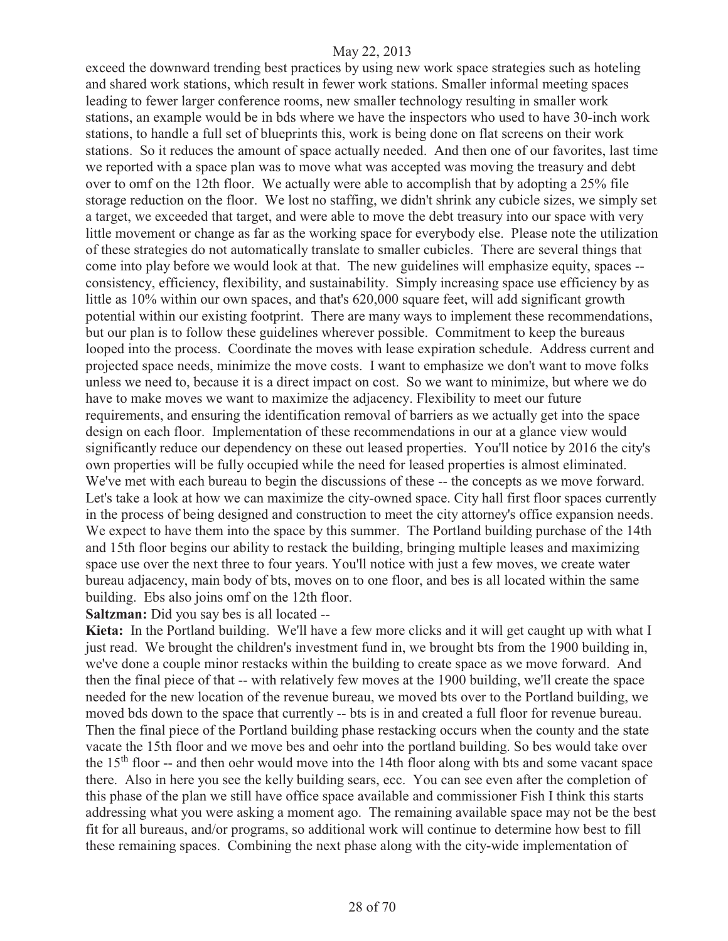exceed the downward trending best practices by using new work space strategies such as hoteling and shared work stations, which result in fewer work stations. Smaller informal meeting spaces leading to fewer larger conference rooms, new smaller technology resulting in smaller work stations, an example would be in bds where we have the inspectors who used to have 30-inch work stations, to handle a full set of blueprints this, work is being done on flat screens on their work stations. So it reduces the amount of space actually needed. And then one of our favorites, last time we reported with a space plan was to move what was accepted was moving the treasury and debt over to omf on the 12th floor. We actually were able to accomplish that by adopting a 25% file storage reduction on the floor. We lost no staffing, we didn't shrink any cubicle sizes, we simply set a target, we exceeded that target, and were able to move the debt treasury into our space with very little movement or change as far as the working space for everybody else. Please note the utilization of these strategies do not automatically translate to smaller cubicles. There are several things that come into play before we would look at that. The new guidelines will emphasize equity, spaces - consistency, efficiency, flexibility, and sustainability. Simply increasing space use efficiency by as little as 10% within our own spaces, and that's 620,000 square feet, will add significant growth potential within our existing footprint. There are many ways to implement these recommendations, but our plan is to follow these guidelines wherever possible. Commitment to keep the bureaus looped into the process. Coordinate the moves with lease expiration schedule. Address current and projected space needs, minimize the move costs. I want to emphasize we don't want to move folks unless we need to, because it is a direct impact on cost. So we want to minimize, but where we do have to make moves we want to maximize the adjacency. Flexibility to meet our future requirements, and ensuring the identification removal of barriers as we actually get into the space design on each floor. Implementation of these recommendations in our at a glance view would significantly reduce our dependency on these out leased properties. You'll notice by 2016 the city's own properties will be fully occupied while the need for leased properties is almost eliminated. We've met with each bureau to begin the discussions of these -- the concepts as we move forward. Let's take a look at how we can maximize the city-owned space. City hall first floor spaces currently in the process of being designed and construction to meet the city attorney's office expansion needs. We expect to have them into the space by this summer. The Portland building purchase of the 14th and 15th floor begins our ability to restack the building, bringing multiple leases and maximizing space use over the next three to four years. You'll notice with just a few moves, we create water bureau adjacency, main body of bts, moves on to one floor, and bes is all located within the same building. Ebs also joins omf on the 12th floor.

#### **Saltzman:** Did you say bes is all located --

**Kieta:** In the Portland building. We'll have a few more clicks and it will get caught up with what I just read. We brought the children's investment fund in, we brought bts from the 1900 building in, we've done a couple minor restacks within the building to create space as we move forward. And then the final piece of that -- with relatively few moves at the 1900 building, we'll create the space needed for the new location of the revenue bureau, we moved bts over to the Portland building, we moved bds down to the space that currently -- bts is in and created a full floor for revenue bureau. Then the final piece of the Portland building phase restacking occurs when the county and the state vacate the 15th floor and we move bes and oehr into the portland building. So bes would take over the 15<sup>th</sup> floor -- and then oehr would move into the 14th floor along with bts and some vacant space there. Also in here you see the kelly building sears, ecc. You can see even after the completion of this phase of the plan we still have office space available and commissioner Fish I think this starts addressing what you were asking a moment ago. The remaining available space may not be the best fit for all bureaus, and/or programs, so additional work will continue to determine how best to fill these remaining spaces. Combining the next phase along with the city-wide implementation of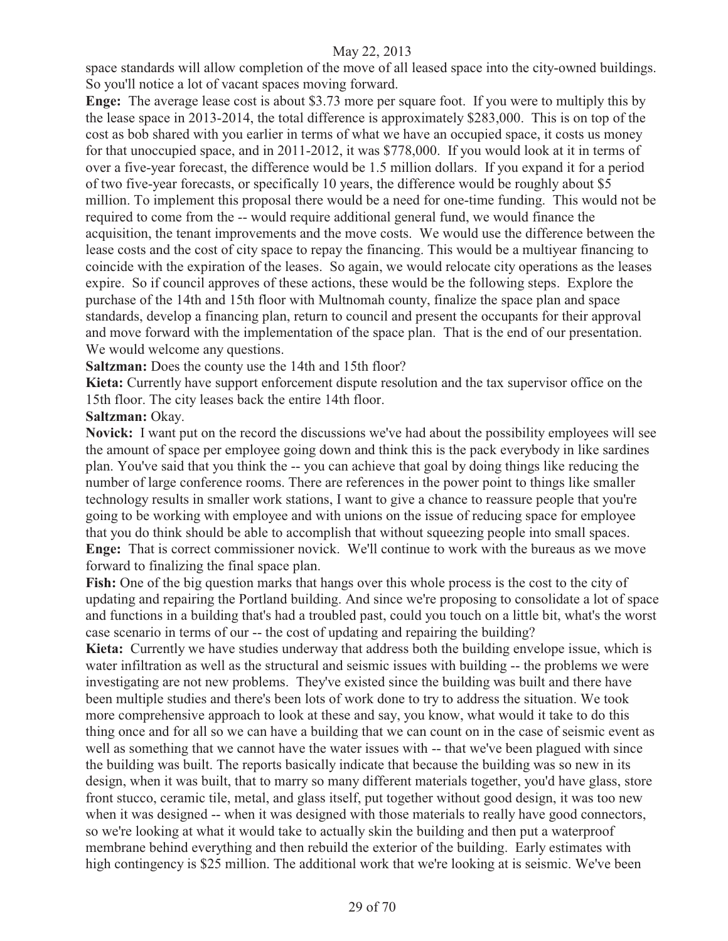space standards will allow completion of the move of all leased space into the city-owned buildings. So you'll notice a lot of vacant spaces moving forward.

**Enge:** The average lease cost is about \$3.73 more per square foot. If you were to multiply this by the lease space in 2013-2014, the total difference is approximately \$283,000. This is on top of the cost as bob shared with you earlier in terms of what we have an occupied space, it costs us money for that unoccupied space, and in 2011-2012, it was \$778,000. If you would look at it in terms of over a five-year forecast, the difference would be 1.5 million dollars. If you expand it for a period of two five-year forecasts, or specifically 10 years, the difference would be roughly about \$5 million. To implement this proposal there would be a need for one-time funding. This would not be required to come from the -- would require additional general fund, we would finance the acquisition, the tenant improvements and the move costs. We would use the difference between the lease costs and the cost of city space to repay the financing. This would be a multiyear financing to coincide with the expiration of the leases. So again, we would relocate city operations as the leases expire. So if council approves of these actions, these would be the following steps. Explore the purchase of the 14th and 15th floor with Multnomah county, finalize the space plan and space standards, develop a financing plan, return to council and present the occupants for their approval and move forward with the implementation of the space plan. That is the end of our presentation. We would welcome any questions.

**Saltzman:** Does the county use the 14th and 15th floor?

**Kieta:** Currently have support enforcement dispute resolution and the tax supervisor office on the 15th floor. The city leases back the entire 14th floor.

**Saltzman:** Okay.

**Novick:** I want put on the record the discussions we've had about the possibility employees will see the amount of space per employee going down and think this is the pack everybody in like sardines plan. You've said that you think the -- you can achieve that goal by doing things like reducing the number of large conference rooms. There are references in the power point to things like smaller technology results in smaller work stations, I want to give a chance to reassure people that you're going to be working with employee and with unions on the issue of reducing space for employee that you do think should be able to accomplish that without squeezing people into small spaces. **Enge:** That is correct commissioner novick. We'll continue to work with the bureaus as we move forward to finalizing the final space plan.

**Fish:** One of the big question marks that hangs over this whole process is the cost to the city of updating and repairing the Portland building. And since we're proposing to consolidate a lot of space and functions in a building that's had a troubled past, could you touch on a little bit, what's the worst case scenario in terms of our -- the cost of updating and repairing the building?

**Kieta:** Currently we have studies underway that address both the building envelope issue, which is water infiltration as well as the structural and seismic issues with building -- the problems we were investigating are not new problems. They've existed since the building was built and there have been multiple studies and there's been lots of work done to try to address the situation. We took more comprehensive approach to look at these and say, you know, what would it take to do this thing once and for all so we can have a building that we can count on in the case of seismic event as well as something that we cannot have the water issues with -- that we've been plagued with since the building was built. The reports basically indicate that because the building was so new in its design, when it was built, that to marry so many different materials together, you'd have glass, store front stucco, ceramic tile, metal, and glass itself, put together without good design, it was too new when it was designed -- when it was designed with those materials to really have good connectors, so we're looking at what it would take to actually skin the building and then put a waterproof membrane behind everything and then rebuild the exterior of the building. Early estimates with high contingency is \$25 million. The additional work that we're looking at is seismic. We've been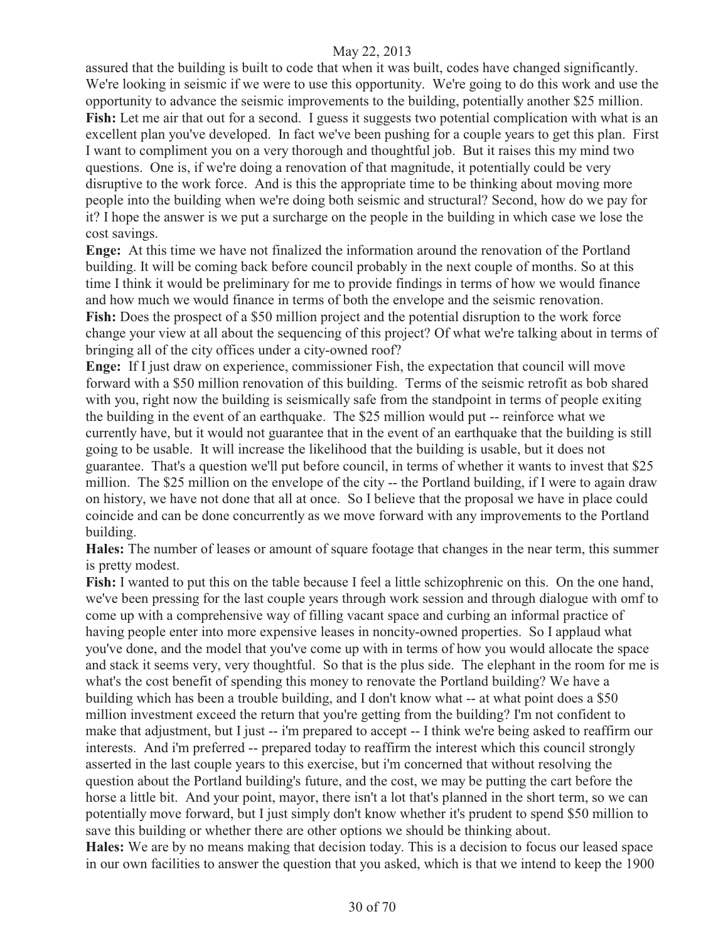assured that the building is built to code that when it was built, codes have changed significantly. We're looking in seismic if we were to use this opportunity. We're going to do this work and use the opportunity to advance the seismic improvements to the building, potentially another \$25 million. Fish: Let me air that out for a second. I guess it suggests two potential complication with what is an excellent plan you've developed. In fact we've been pushing for a couple years to get this plan. First I want to compliment you on a very thorough and thoughtful job. But it raises this my mind two questions. One is, if we're doing a renovation of that magnitude, it potentially could be very disruptive to the work force. And is this the appropriate time to be thinking about moving more people into the building when we're doing both seismic and structural? Second, how do we pay for it? I hope the answer is we put a surcharge on the people in the building in which case we lose the cost savings.

**Enge:** At this time we have not finalized the information around the renovation of the Portland building. It will be coming back before council probably in the next couple of months. So at this time I think it would be preliminary for me to provide findings in terms of how we would finance and how much we would finance in terms of both the envelope and the seismic renovation. **Fish:** Does the prospect of a \$50 million project and the potential disruption to the work force change your view at all about the sequencing of this project? Of what we're talking about in terms of bringing all of the city offices under a city-owned roof?

**Enge:** If I just draw on experience, commissioner Fish, the expectation that council will move forward with a \$50 million renovation of this building. Terms of the seismic retrofit as bob shared with you, right now the building is seismically safe from the standpoint in terms of people exiting the building in the event of an earthquake. The \$25 million would put -- reinforce what we currently have, but it would not guarantee that in the event of an earthquake that the building is still going to be usable. It will increase the likelihood that the building is usable, but it does not guarantee. That's a question we'll put before council, in terms of whether it wants to invest that \$25 million. The \$25 million on the envelope of the city -- the Portland building, if I were to again draw on history, we have not done that all at once. So I believe that the proposal we have in place could coincide and can be done concurrently as we move forward with any improvements to the Portland building.

**Hales:** The number of leases or amount of square footage that changes in the near term, this summer is pretty modest.

**Fish:** I wanted to put this on the table because I feel a little schizophrenic on this. On the one hand, we've been pressing for the last couple years through work session and through dialogue with omf to come up with a comprehensive way of filling vacant space and curbing an informal practice of having people enter into more expensive leases in noncity-owned properties. So I applaud what you've done, and the model that you've come up with in terms of how you would allocate the space and stack it seems very, very thoughtful. So that is the plus side. The elephant in the room for me is what's the cost benefit of spending this money to renovate the Portland building? We have a building which has been a trouble building, and I don't know what -- at what point does a \$50 million investment exceed the return that you're getting from the building? I'm not confident to make that adjustment, but I just -- i'm prepared to accept -- I think we're being asked to reaffirm our interests. And i'm preferred -- prepared today to reaffirm the interest which this council strongly asserted in the last couple years to this exercise, but i'm concerned that without resolving the question about the Portland building's future, and the cost, we may be putting the cart before the horse a little bit. And your point, mayor, there isn't a lot that's planned in the short term, so we can potentially move forward, but I just simply don't know whether it's prudent to spend \$50 million to save this building or whether there are other options we should be thinking about.

**Hales:** We are by no means making that decision today. This is a decision to focus our leased space in our own facilities to answer the question that you asked, which is that we intend to keep the 1900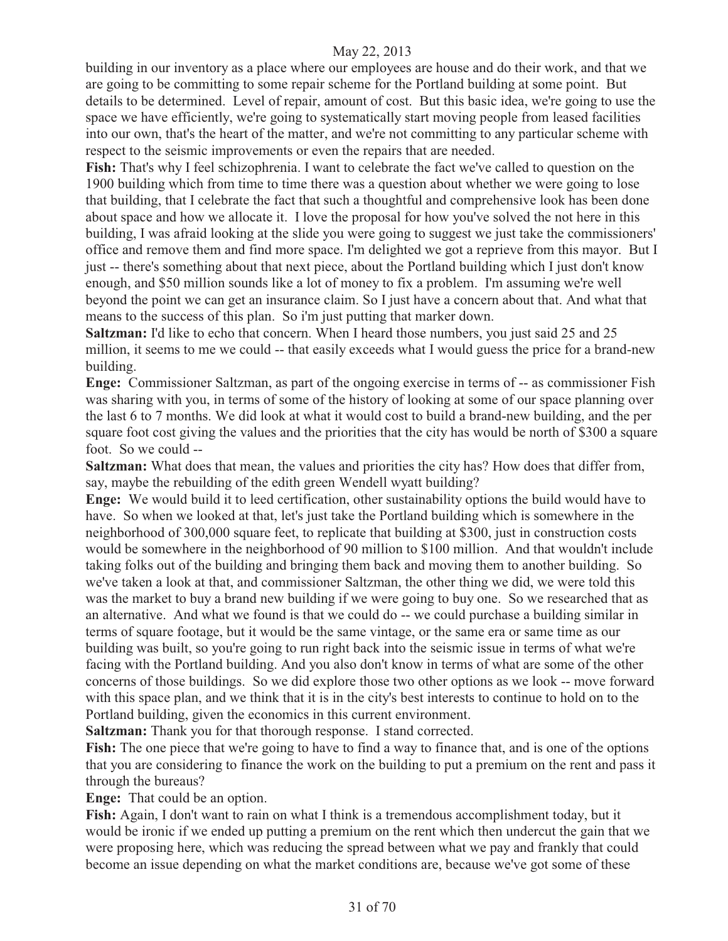building in our inventory as a place where our employees are house and do their work, and that we are going to be committing to some repair scheme for the Portland building at some point. But details to be determined. Level of repair, amount of cost. But this basic idea, we're going to use the space we have efficiently, we're going to systematically start moving people from leased facilities into our own, that's the heart of the matter, and we're not committing to any particular scheme with respect to the seismic improvements or even the repairs that are needed.

**Fish:** That's why I feel schizophrenia. I want to celebrate the fact we've called to question on the 1900 building which from time to time there was a question about whether we were going to lose that building, that I celebrate the fact that such a thoughtful and comprehensive look has been done about space and how we allocate it. I love the proposal for how you've solved the not here in this building, I was afraid looking at the slide you were going to suggest we just take the commissioners' office and remove them and find more space. I'm delighted we got a reprieve from this mayor. But I just -- there's something about that next piece, about the Portland building which I just don't know enough, and \$50 million sounds like a lot of money to fix a problem. I'm assuming we're well beyond the point we can get an insurance claim. So I just have a concern about that. And what that means to the success of this plan. So i'm just putting that marker down.

**Saltzman:** I'd like to echo that concern. When I heard those numbers, you just said 25 and 25 million, it seems to me we could -- that easily exceeds what I would guess the price for a brand-new building.

**Enge:** Commissioner Saltzman, as part of the ongoing exercise in terms of -- as commissioner Fish was sharing with you, in terms of some of the history of looking at some of our space planning over the last 6 to 7 months. We did look at what it would cost to build a brand-new building, and the per square foot cost giving the values and the priorities that the city has would be north of \$300 a square foot. So we could --

**Saltzman:** What does that mean, the values and priorities the city has? How does that differ from, say, maybe the rebuilding of the edith green Wendell wyatt building?

**Enge:** We would build it to leed certification, other sustainability options the build would have to have. So when we looked at that, let's just take the Portland building which is somewhere in the neighborhood of 300,000 square feet, to replicate that building at \$300, just in construction costs would be somewhere in the neighborhood of 90 million to \$100 million. And that wouldn't include taking folks out of the building and bringing them back and moving them to another building. So we've taken a look at that, and commissioner Saltzman, the other thing we did, we were told this was the market to buy a brand new building if we were going to buy one. So we researched that as an alternative. And what we found is that we could do -- we could purchase a building similar in terms of square footage, but it would be the same vintage, or the same era or same time as our building was built, so you're going to run right back into the seismic issue in terms of what we're facing with the Portland building. And you also don't know in terms of what are some of the other concerns of those buildings. So we did explore those two other options as we look -- move forward with this space plan, and we think that it is in the city's best interests to continue to hold on to the Portland building, given the economics in this current environment.

**Saltzman:** Thank you for that thorough response. I stand corrected.

**Fish:** The one piece that we're going to have to find a way to finance that, and is one of the options that you are considering to finance the work on the building to put a premium on the rent and pass it through the bureaus?

**Enge:** That could be an option.

**Fish:** Again, I don't want to rain on what I think is a tremendous accomplishment today, but it would be ironic if we ended up putting a premium on the rent which then undercut the gain that we were proposing here, which was reducing the spread between what we pay and frankly that could become an issue depending on what the market conditions are, because we've got some of these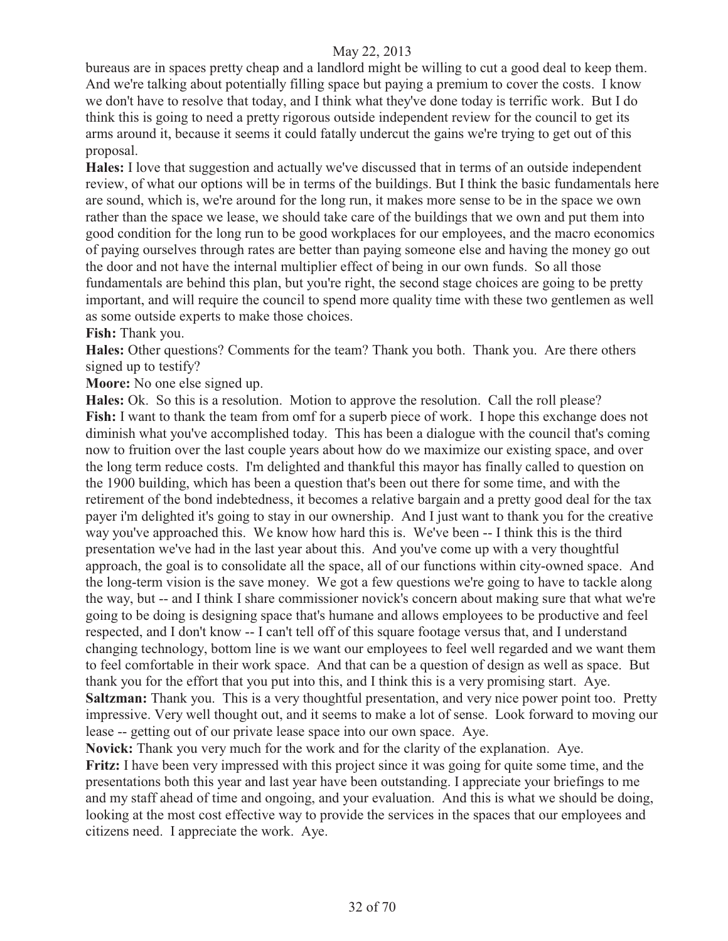bureaus are in spaces pretty cheap and a landlord might be willing to cut a good deal to keep them. And we're talking about potentially filling space but paying a premium to cover the costs. I know we don't have to resolve that today, and I think what they've done today is terrific work. But I do think this is going to need a pretty rigorous outside independent review for the council to get its arms around it, because it seems it could fatally undercut the gains we're trying to get out of this proposal.

**Hales:** I love that suggestion and actually we've discussed that in terms of an outside independent review, of what our options will be in terms of the buildings. But I think the basic fundamentals here are sound, which is, we're around for the long run, it makes more sense to be in the space we own rather than the space we lease, we should take care of the buildings that we own and put them into good condition for the long run to be good workplaces for our employees, and the macro economics of paying ourselves through rates are better than paying someone else and having the money go out the door and not have the internal multiplier effect of being in our own funds. So all those fundamentals are behind this plan, but you're right, the second stage choices are going to be pretty important, and will require the council to spend more quality time with these two gentlemen as well as some outside experts to make those choices.

**Fish:** Thank you.

**Hales:** Other questions? Comments for the team? Thank you both. Thank you. Are there others signed up to testify?

**Moore:** No one else signed up.

**Hales:** Ok. So this is a resolution. Motion to approve the resolution. Call the roll please? **Fish:** I want to thank the team from omf for a superb piece of work. I hope this exchange does not diminish what you've accomplished today. This has been a dialogue with the council that's coming now to fruition over the last couple years about how do we maximize our existing space, and over the long term reduce costs. I'm delighted and thankful this mayor has finally called to question on the 1900 building, which has been a question that's been out there for some time, and with the retirement of the bond indebtedness, it becomes a relative bargain and a pretty good deal for the tax payer i'm delighted it's going to stay in our ownership. And I just want to thank you for the creative way you've approached this. We know how hard this is. We've been -- I think this is the third presentation we've had in the last year about this. And you've come up with a very thoughtful approach, the goal is to consolidate all the space, all of our functions within city-owned space. And the long-term vision is the save money. We got a few questions we're going to have to tackle along the way, but -- and I think I share commissioner novick's concern about making sure that what we're going to be doing is designing space that's humane and allows employees to be productive and feel respected, and I don't know -- I can't tell off of this square footage versus that, and I understand changing technology, bottom line is we want our employees to feel well regarded and we want them to feel comfortable in their work space. And that can be a question of design as well as space. But thank you for the effort that you put into this, and I think this is a very promising start. Aye. **Saltzman:** Thank you. This is a very thoughtful presentation, and very nice power point too. Pretty impressive. Very well thought out, and it seems to make a lot of sense. Look forward to moving our lease -- getting out of our private lease space into our own space. Aye.

**Novick:** Thank you very much for the work and for the clarity of the explanation. Aye.

**Fritz:** I have been very impressed with this project since it was going for quite some time, and the presentations both this year and last year have been outstanding. I appreciate your briefings to me and my staff ahead of time and ongoing, and your evaluation. And this is what we should be doing, looking at the most cost effective way to provide the services in the spaces that our employees and citizens need. I appreciate the work. Aye.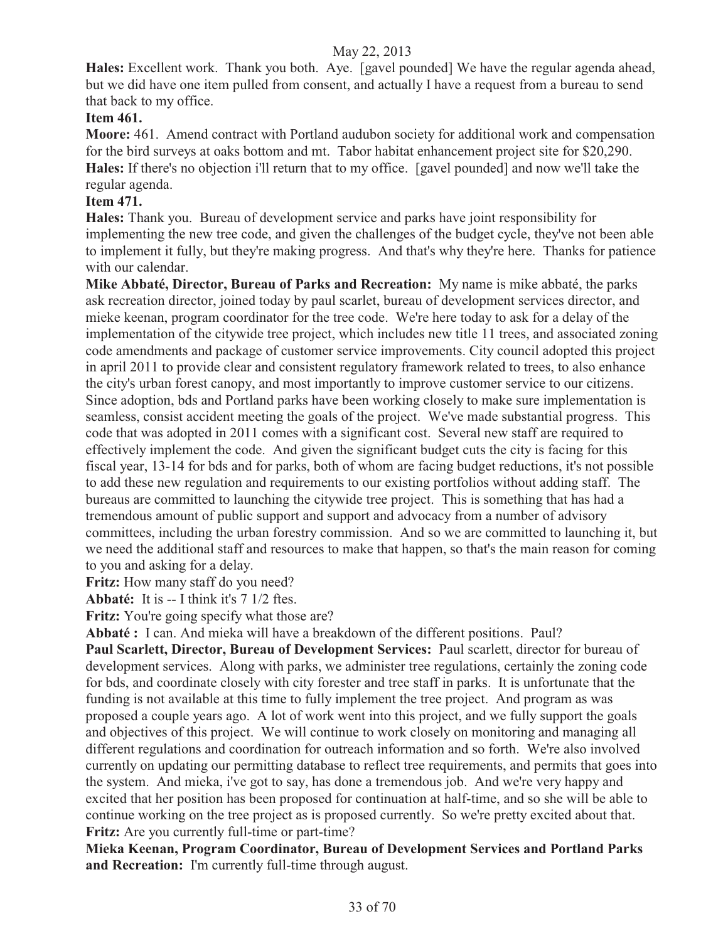**Hales:** Excellent work. Thank you both. Aye. [gavel pounded] We have the regular agenda ahead, but we did have one item pulled from consent, and actually I have a request from a bureau to send that back to my office.

# **Item 461.**

**Moore:** 461. Amend contract with Portland audubon society for additional work and compensation for the bird surveys at oaks bottom and mt. Tabor habitat enhancement project site for \$20,290. **Hales:** If there's no objection i'll return that to my office. [gavel pounded] and now we'll take the regular agenda.

# **Item 471.**

**Hales:** Thank you. Bureau of development service and parks have joint responsibility for implementing the new tree code, and given the challenges of the budget cycle, they've not been able to implement it fully, but they're making progress. And that's why they're here. Thanks for patience with our calendar.

**Mike Abbaté, Director, Bureau of Parks and Recreation:** My name is mike abbaté, the parks ask recreation director, joined today by paul scarlet, bureau of development services director, and mieke keenan, program coordinator for the tree code. We're here today to ask for a delay of the implementation of the citywide tree project, which includes new title 11 trees, and associated zoning code amendments and package of customer service improvements. City council adopted this project in april 2011 to provide clear and consistent regulatory framework related to trees, to also enhance the city's urban forest canopy, and most importantly to improve customer service to our citizens. Since adoption, bds and Portland parks have been working closely to make sure implementation is seamless, consist accident meeting the goals of the project. We've made substantial progress. This code that was adopted in 2011 comes with a significant cost. Several new staff are required to effectively implement the code. And given the significant budget cuts the city is facing for this fiscal year, 13-14 for bds and for parks, both of whom are facing budget reductions, it's not possible to add these new regulation and requirements to our existing portfolios without adding staff. The bureaus are committed to launching the citywide tree project. This is something that has had a tremendous amount of public support and support and advocacy from a number of advisory committees, including the urban forestry commission. And so we are committed to launching it, but we need the additional staff and resources to make that happen, so that's the main reason for coming to you and asking for a delay.

**Fritz:** How many staff do you need?

**Abbaté:** It is -- I think it's 7 1/2 ftes.

**Fritz:** You're going specify what those are?

**Abbaté :** I can. And mieka will have a breakdown of the different positions. Paul?

**Paul Scarlett, Director, Bureau of Development Services:** Paul scarlett, director for bureau of development services. Along with parks, we administer tree regulations, certainly the zoning code for bds, and coordinate closely with city forester and tree staff in parks. It is unfortunate that the funding is not available at this time to fully implement the tree project. And program as was proposed a couple years ago. A lot of work went into this project, and we fully support the goals and objectives of this project. We will continue to work closely on monitoring and managing all different regulations and coordination for outreach information and so forth. We're also involved currently on updating our permitting database to reflect tree requirements, and permits that goes into the system. And mieka, i've got to say, has done a tremendous job. And we're very happy and excited that her position has been proposed for continuation at half-time, and so she will be able to continue working on the tree project as is proposed currently. So we're pretty excited about that. **Fritz:** Are you currently full-time or part-time?

**Mieka Keenan, Program Coordinator, Bureau of Development Services and Portland Parks and Recreation:** I'm currently full-time through august.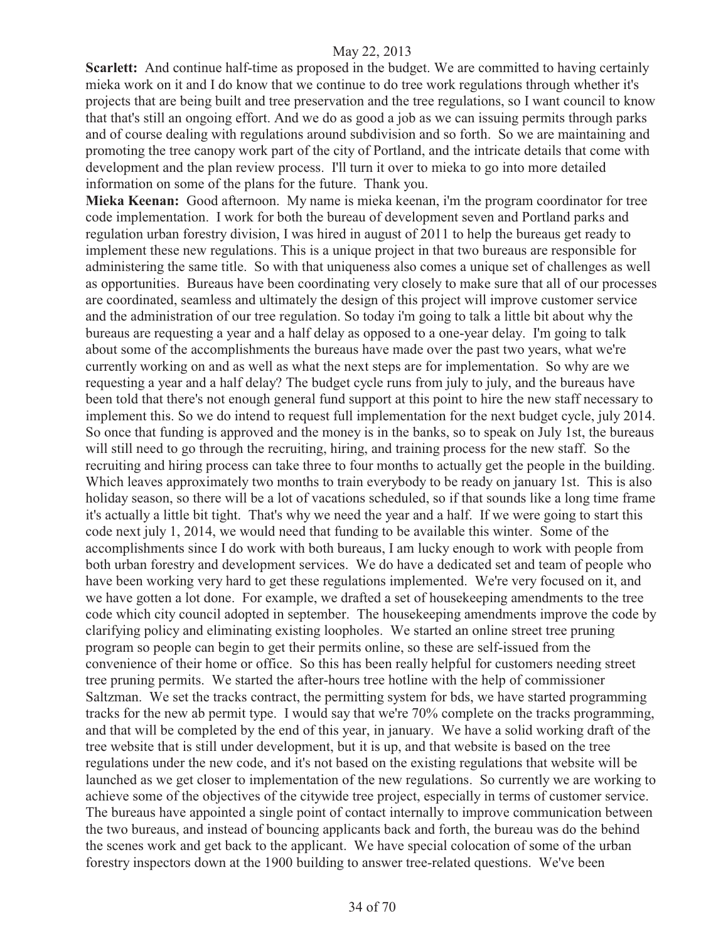**Scarlett:** And continue half-time as proposed in the budget. We are committed to having certainly mieka work on it and I do know that we continue to do tree work regulations through whether it's projects that are being built and tree preservation and the tree regulations, so I want council to know that that's still an ongoing effort. And we do as good a job as we can issuing permits through parks and of course dealing with regulations around subdivision and so forth. So we are maintaining and promoting the tree canopy work part of the city of Portland, and the intricate details that come with development and the plan review process. I'll turn it over to mieka to go into more detailed information on some of the plans for the future. Thank you.

**Mieka Keenan:** Good afternoon. My name is mieka keenan, i'm the program coordinator for tree code implementation. I work for both the bureau of development seven and Portland parks and regulation urban forestry division, I was hired in august of 2011 to help the bureaus get ready to implement these new regulations. This is a unique project in that two bureaus are responsible for administering the same title. So with that uniqueness also comes a unique set of challenges as well as opportunities. Bureaus have been coordinating very closely to make sure that all of our processes are coordinated, seamless and ultimately the design of this project will improve customer service and the administration of our tree regulation. So today i'm going to talk a little bit about why the bureaus are requesting a year and a half delay as opposed to a one-year delay. I'm going to talk about some of the accomplishments the bureaus have made over the past two years, what we're currently working on and as well as what the next steps are for implementation. So why are we requesting a year and a half delay? The budget cycle runs from july to july, and the bureaus have been told that there's not enough general fund support at this point to hire the new staff necessary to implement this. So we do intend to request full implementation for the next budget cycle, july 2014. So once that funding is approved and the money is in the banks, so to speak on July 1st, the bureaus will still need to go through the recruiting, hiring, and training process for the new staff. So the recruiting and hiring process can take three to four months to actually get the people in the building. Which leaves approximately two months to train everybody to be ready on january 1st. This is also holiday season, so there will be a lot of vacations scheduled, so if that sounds like a long time frame it's actually a little bit tight. That's why we need the year and a half. If we were going to start this code next july 1, 2014, we would need that funding to be available this winter. Some of the accomplishments since I do work with both bureaus, I am lucky enough to work with people from both urban forestry and development services. We do have a dedicated set and team of people who have been working very hard to get these regulations implemented. We're very focused on it, and we have gotten a lot done. For example, we drafted a set of housekeeping amendments to the tree code which city council adopted in september. The housekeeping amendments improve the code by clarifying policy and eliminating existing loopholes. We started an online street tree pruning program so people can begin to get their permits online, so these are self-issued from the convenience of their home or office. So this has been really helpful for customers needing street tree pruning permits. We started the after-hours tree hotline with the help of commissioner Saltzman. We set the tracks contract, the permitting system for bds, we have started programming tracks for the new ab permit type. I would say that we're 70% complete on the tracks programming, and that will be completed by the end of this year, in january. We have a solid working draft of the tree website that is still under development, but it is up, and that website is based on the tree regulations under the new code, and it's not based on the existing regulations that website will be launched as we get closer to implementation of the new regulations. So currently we are working to achieve some of the objectives of the citywide tree project, especially in terms of customer service. The bureaus have appointed a single point of contact internally to improve communication between the two bureaus, and instead of bouncing applicants back and forth, the bureau was do the behind the scenes work and get back to the applicant. We have special colocation of some of the urban forestry inspectors down at the 1900 building to answer tree-related questions. We've been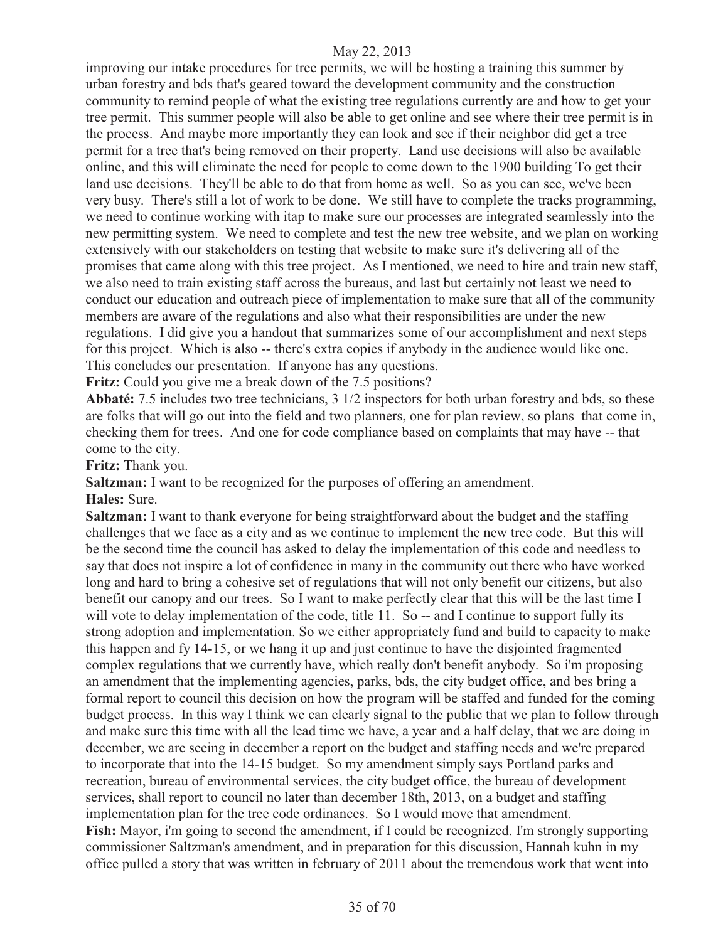improving our intake procedures for tree permits, we will be hosting a training this summer by urban forestry and bds that's geared toward the development community and the construction community to remind people of what the existing tree regulations currently are and how to get your tree permit. This summer people will also be able to get online and see where their tree permit is in the process. And maybe more importantly they can look and see if their neighbor did get a tree permit for a tree that's being removed on their property. Land use decisions will also be available online, and this will eliminate the need for people to come down to the 1900 building To get their land use decisions. They'll be able to do that from home as well. So as you can see, we've been very busy. There's still a lot of work to be done. We still have to complete the tracks programming, we need to continue working with itap to make sure our processes are integrated seamlessly into the new permitting system. We need to complete and test the new tree website, and we plan on working extensively with our stakeholders on testing that website to make sure it's delivering all of the promises that came along with this tree project. As I mentioned, we need to hire and train new staff, we also need to train existing staff across the bureaus, and last but certainly not least we need to conduct our education and outreach piece of implementation to make sure that all of the community members are aware of the regulations and also what their responsibilities are under the new regulations. I did give you a handout that summarizes some of our accomplishment and next steps for this project. Which is also -- there's extra copies if anybody in the audience would like one. This concludes our presentation. If anyone has any questions.

**Fritz:** Could you give me a break down of the 7.5 positions?

**Abbaté:** 7.5 includes two tree technicians, 3 1/2 inspectors for both urban forestry and bds, so these are folks that will go out into the field and two planners, one for plan review, so plans that come in, checking them for trees. And one for code compliance based on complaints that may have -- that come to the city.

**Fritz:** Thank you.

**Saltzman:** I want to be recognized for the purposes of offering an amendment.

**Hales:** Sure.

**Saltzman:** I want to thank everyone for being straightforward about the budget and the staffing challenges that we face as a city and as we continue to implement the new tree code. But this will be the second time the council has asked to delay the implementation of this code and needless to say that does not inspire a lot of confidence in many in the community out there who have worked long and hard to bring a cohesive set of regulations that will not only benefit our citizens, but also benefit our canopy and our trees. So I want to make perfectly clear that this will be the last time I will vote to delay implementation of the code, title 11. So -- and I continue to support fully its strong adoption and implementation. So we either appropriately fund and build to capacity to make this happen and fy 14-15, or we hang it up and just continue to have the disjointed fragmented complex regulations that we currently have, which really don't benefit anybody. So i'm proposing an amendment that the implementing agencies, parks, bds, the city budget office, and bes bring a formal report to council this decision on how the program will be staffed and funded for the coming budget process. In this way I think we can clearly signal to the public that we plan to follow through and make sure this time with all the lead time we have, a year and a half delay, that we are doing in december, we are seeing in december a report on the budget and staffing needs and we're prepared to incorporate that into the 14-15 budget. So my amendment simply says Portland parks and recreation, bureau of environmental services, the city budget office, the bureau of development services, shall report to council no later than december 18th, 2013, on a budget and staffing implementation plan for the tree code ordinances. So I would move that amendment. **Fish:** Mayor, i'm going to second the amendment, if I could be recognized. I'm strongly supporting commissioner Saltzman's amendment, and in preparation for this discussion, Hannah kuhn in my office pulled a story that was written in february of 2011 about the tremendous work that went into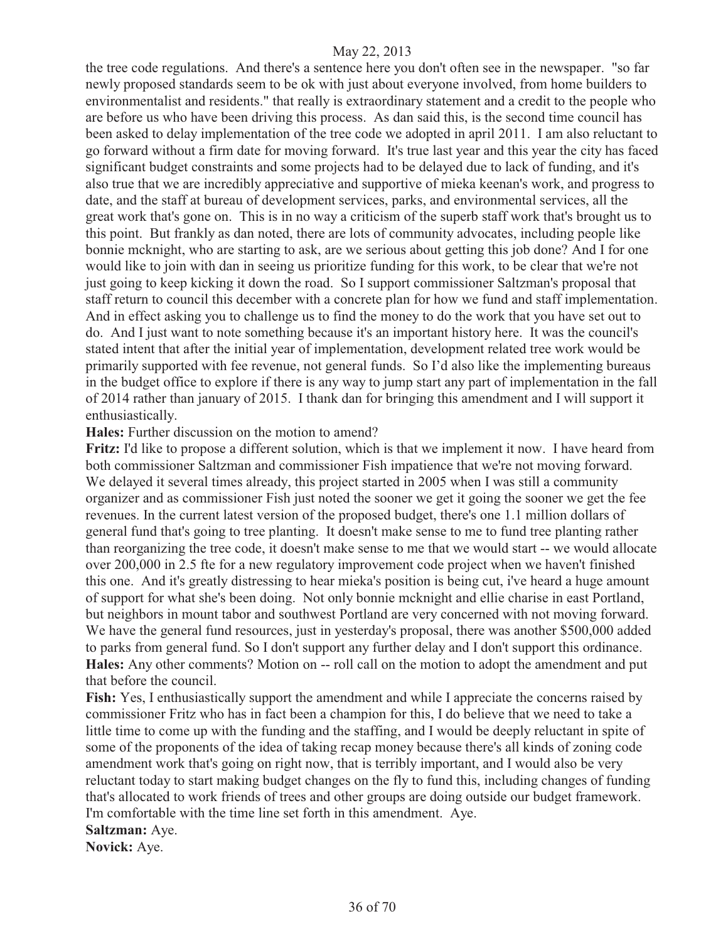the tree code regulations. And there's a sentence here you don't often see in the newspaper. "so far newly proposed standards seem to be ok with just about everyone involved, from home builders to environmentalist and residents." that really is extraordinary statement and a credit to the people who are before us who have been driving this process. As dan said this, is the second time council has been asked to delay implementation of the tree code we adopted in april 2011. I am also reluctant to go forward without a firm date for moving forward. It's true last year and this year the city has faced significant budget constraints and some projects had to be delayed due to lack of funding, and it's also true that we are incredibly appreciative and supportive of mieka keenan's work, and progress to date, and the staff at bureau of development services, parks, and environmental services, all the great work that's gone on. This is in no way a criticism of the superb staff work that's brought us to this point. But frankly as dan noted, there are lots of community advocates, including people like bonnie mcknight, who are starting to ask, are we serious about getting this job done? And I for one would like to join with dan in seeing us prioritize funding for this work, to be clear that we're not just going to keep kicking it down the road. So I support commissioner Saltzman's proposal that staff return to council this december with a concrete plan for how we fund and staff implementation. And in effect asking you to challenge us to find the money to do the work that you have set out to do. And I just want to note something because it's an important history here. It was the council's stated intent that after the initial year of implementation, development related tree work would be primarily supported with fee revenue, not general funds. So I'd also like the implementing bureaus in the budget office to explore if there is any way to jump start any part of implementation in the fall of 2014 rather than january of 2015. I thank dan for bringing this amendment and I will support it enthusiastically.

**Hales:** Further discussion on the motion to amend?

**Fritz:** I'd like to propose a different solution, which is that we implement it now. I have heard from both commissioner Saltzman and commissioner Fish impatience that we're not moving forward. We delayed it several times already, this project started in 2005 when I was still a community organizer and as commissioner Fish just noted the sooner we get it going the sooner we get the fee revenues. In the current latest version of the proposed budget, there's one 1.1 million dollars of general fund that's going to tree planting. It doesn't make sense to me to fund tree planting rather than reorganizing the tree code, it doesn't make sense to me that we would start -- we would allocate over 200,000 in 2.5 fte for a new regulatory improvement code project when we haven't finished this one. And it's greatly distressing to hear mieka's position is being cut, i've heard a huge amount of support for what she's been doing. Not only bonnie mcknight and ellie charise in east Portland, but neighbors in mount tabor and southwest Portland are very concerned with not moving forward. We have the general fund resources, just in yesterday's proposal, there was another \$500,000 added to parks from general fund. So I don't support any further delay and I don't support this ordinance. **Hales:** Any other comments? Motion on -- roll call on the motion to adopt the amendment and put that before the council.

**Fish:** Yes, I enthusiastically support the amendment and while I appreciate the concerns raised by commissioner Fritz who has in fact been a champion for this, I do believe that we need to take a little time to come up with the funding and the staffing, and I would be deeply reluctant in spite of some of the proponents of the idea of taking recap money because there's all kinds of zoning code amendment work that's going on right now, that is terribly important, and I would also be very reluctant today to start making budget changes on the fly to fund this, including changes of funding that's allocated to work friends of trees and other groups are doing outside our budget framework. I'm comfortable with the time line set forth in this amendment. Aye.

**Saltzman:** Aye.

**Novick:** Aye.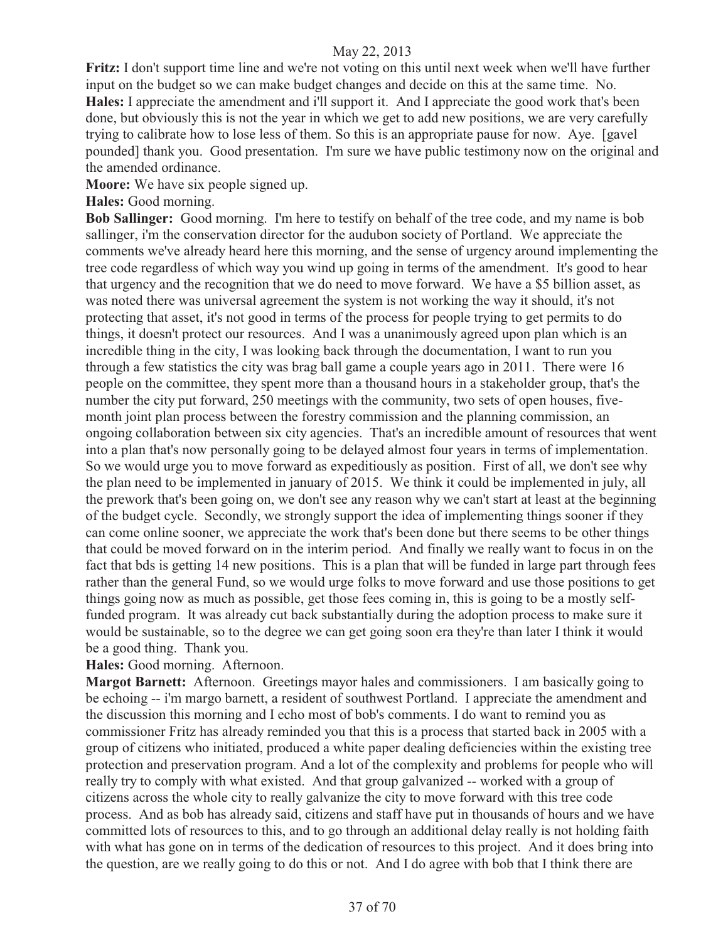**Fritz:** I don't support time line and we're not voting on this until next week when we'll have further input on the budget so we can make budget changes and decide on this at the same time. No. **Hales:** I appreciate the amendment and i'll support it. And I appreciate the good work that's been done, but obviously this is not the year in which we get to add new positions, we are very carefully trying to calibrate how to lose less of them. So this is an appropriate pause for now. Aye. [gavel pounded] thank you. Good presentation. I'm sure we have public testimony now on the original and the amended ordinance.

**Moore:** We have six people signed up.

**Hales:** Good morning.

**Bob Sallinger:** Good morning. I'm here to testify on behalf of the tree code, and my name is bob sallinger, i'm the conservation director for the audubon society of Portland. We appreciate the comments we've already heard here this morning, and the sense of urgency around implementing the tree code regardless of which way you wind up going in terms of the amendment. It's good to hear that urgency and the recognition that we do need to move forward. We have a \$5 billion asset, as was noted there was universal agreement the system is not working the way it should, it's not protecting that asset, it's not good in terms of the process for people trying to get permits to do things, it doesn't protect our resources. And I was a unanimously agreed upon plan which is an incredible thing in the city, I was looking back through the documentation, I want to run you through a few statistics the city was brag ball game a couple years ago in 2011. There were 16 people on the committee, they spent more than a thousand hours in a stakeholder group, that's the number the city put forward, 250 meetings with the community, two sets of open houses, fivemonth joint plan process between the forestry commission and the planning commission, an ongoing collaboration between six city agencies. That's an incredible amount of resources that went into a plan that's now personally going to be delayed almost four years in terms of implementation. So we would urge you to move forward as expeditiously as position. First of all, we don't see why the plan need to be implemented in january of 2015. We think it could be implemented in july, all the prework that's been going on, we don't see any reason why we can't start at least at the beginning of the budget cycle. Secondly, we strongly support the idea of implementing things sooner if they can come online sooner, we appreciate the work that's been done but there seems to be other things that could be moved forward on in the interim period. And finally we really want to focus in on the fact that bds is getting 14 new positions. This is a plan that will be funded in large part through fees rather than the general Fund, so we would urge folks to move forward and use those positions to get things going now as much as possible, get those fees coming in, this is going to be a mostly selffunded program. It was already cut back substantially during the adoption process to make sure it would be sustainable, so to the degree we can get going soon era they're than later I think it would be a good thing. Thank you.

#### **Hales:** Good morning. Afternoon.

**Margot Barnett:** Afternoon. Greetings mayor hales and commissioners. I am basically going to be echoing -- i'm margo barnett, a resident of southwest Portland. I appreciate the amendment and the discussion this morning and I echo most of bob's comments. I do want to remind you as commissioner Fritz has already reminded you that this is a process that started back in 2005 with a group of citizens who initiated, produced a white paper dealing deficiencies within the existing tree protection and preservation program. And a lot of the complexity and problems for people who will really try to comply with what existed. And that group galvanized -- worked with a group of citizens across the whole city to really galvanize the city to move forward with this tree code process. And as bob has already said, citizens and staff have put in thousands of hours and we have committed lots of resources to this, and to go through an additional delay really is not holding faith with what has gone on in terms of the dedication of resources to this project. And it does bring into the question, are we really going to do this or not. And I do agree with bob that I think there are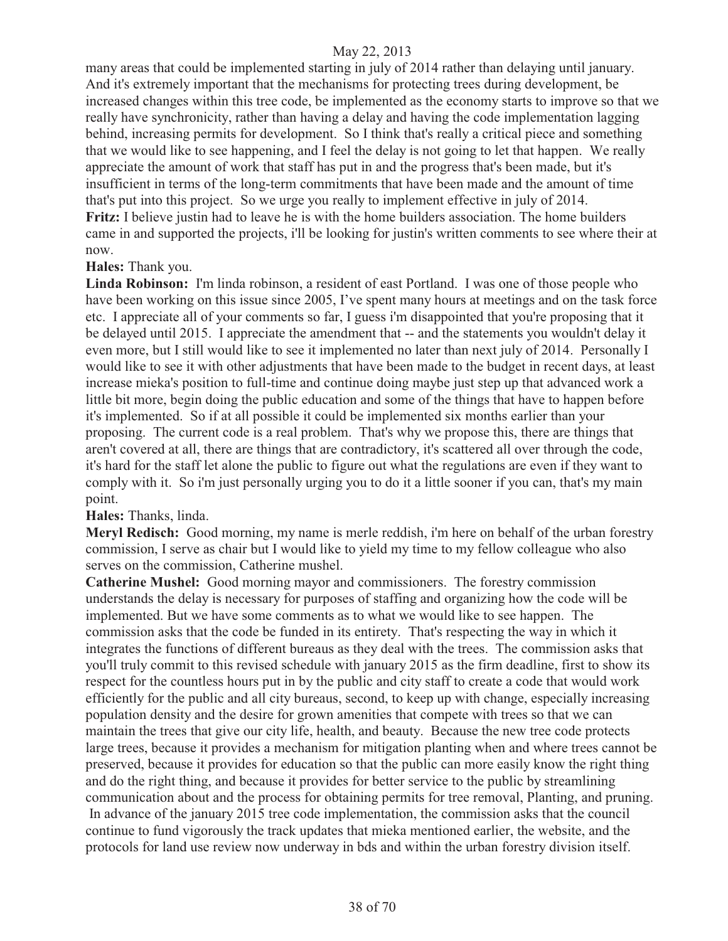many areas that could be implemented starting in july of 2014 rather than delaying until january. And it's extremely important that the mechanisms for protecting trees during development, be increased changes within this tree code, be implemented as the economy starts to improve so that we really have synchronicity, rather than having a delay and having the code implementation lagging behind, increasing permits for development. So I think that's really a critical piece and something that we would like to see happening, and I feel the delay is not going to let that happen. We really appreciate the amount of work that staff has put in and the progress that's been made, but it's insufficient in terms of the long-term commitments that have been made and the amount of time that's put into this project. So we urge you really to implement effective in july of 2014. **Fritz:** I believe justin had to leave he is with the home builders association. The home builders came in and supported the projects, i'll be looking for justin's written comments to see where their at now.

#### **Hales:** Thank you.

**Linda Robinson:** I'm linda robinson, a resident of east Portland. I was one of those people who have been working on this issue since 2005, I've spent many hours at meetings and on the task force etc. I appreciate all of your comments so far, I guess i'm disappointed that you're proposing that it be delayed until 2015. I appreciate the amendment that -- and the statements you wouldn't delay it even more, but I still would like to see it implemented no later than next july of 2014. Personally I would like to see it with other adjustments that have been made to the budget in recent days, at least increase mieka's position to full-time and continue doing maybe just step up that advanced work a little bit more, begin doing the public education and some of the things that have to happen before it's implemented. So if at all possible it could be implemented six months earlier than your proposing. The current code is a real problem. That's why we propose this, there are things that aren't covered at all, there are things that are contradictory, it's scattered all over through the code, it's hard for the staff let alone the public to figure out what the regulations are even if they want to comply with it. So i'm just personally urging you to do it a little sooner if you can, that's my main point.

#### **Hales:** Thanks, linda.

**Meryl Redisch:** Good morning, my name is merle reddish, i'm here on behalf of the urban forestry commission, I serve as chair but I would like to yield my time to my fellow colleague who also serves on the commission, Catherine mushel.

**Catherine Mushel:** Good morning mayor and commissioners. The forestry commission understands the delay is necessary for purposes of staffing and organizing how the code will be implemented. But we have some comments as to what we would like to see happen. The commission asks that the code be funded in its entirety. That's respecting the way in which it integrates the functions of different bureaus as they deal with the trees. The commission asks that you'll truly commit to this revised schedule with january 2015 as the firm deadline, first to show its respect for the countless hours put in by the public and city staff to create a code that would work efficiently for the public and all city bureaus, second, to keep up with change, especially increasing population density and the desire for grown amenities that compete with trees so that we can maintain the trees that give our city life, health, and beauty. Because the new tree code protects large trees, because it provides a mechanism for mitigation planting when and where trees cannot be preserved, because it provides for education so that the public can more easily know the right thing and do the right thing, and because it provides for better service to the public by streamlining communication about and the process for obtaining permits for tree removal, Planting, and pruning. In advance of the january 2015 tree code implementation, the commission asks that the council continue to fund vigorously the track updates that mieka mentioned earlier, the website, and the protocols for land use review now underway in bds and within the urban forestry division itself.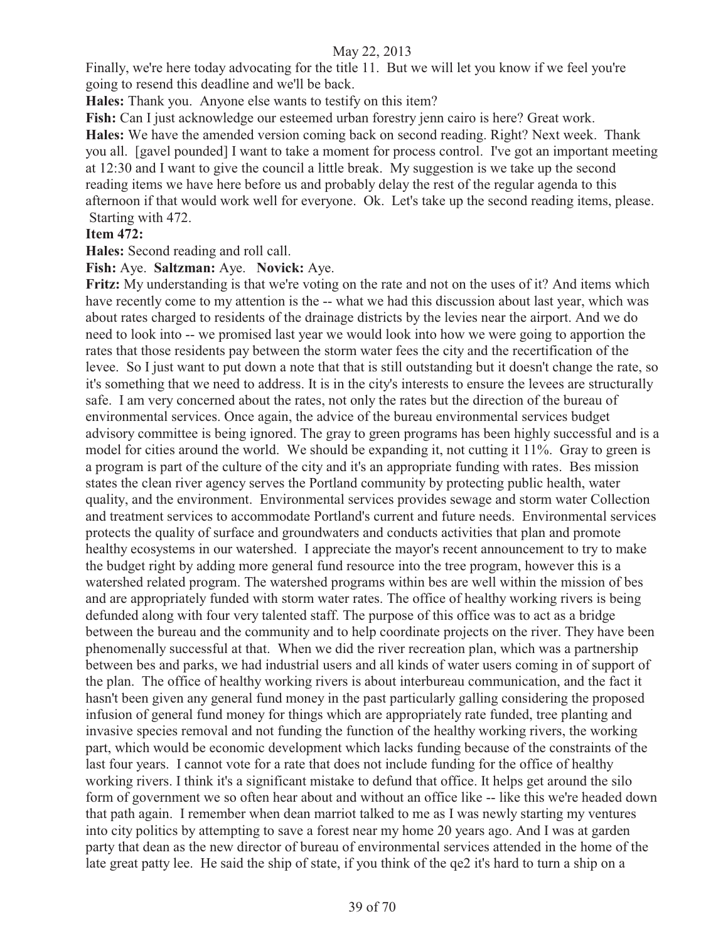Finally, we're here today advocating for the title 11. But we will let you know if we feel you're going to resend this deadline and we'll be back.

**Hales:** Thank you. Anyone else wants to testify on this item?

**Fish:** Can I just acknowledge our esteemed urban forestry jenn cairo is here? Great work.

**Hales:** We have the amended version coming back on second reading. Right? Next week. Thank you all. [gavel pounded] I want to take a moment for process control. I've got an important meeting at 12:30 and I want to give the council a little break. My suggestion is we take up the second reading items we have here before us and probably delay the rest of the regular agenda to this afternoon if that would work well for everyone. Ok. Let's take up the second reading items, please. Starting with 472.

# **Item 472:**

**Hales:** Second reading and roll call.

**Fish:** Aye. **Saltzman:** Aye. **Novick:** Aye.

Fritz: My understanding is that we're voting on the rate and not on the uses of it? And items which have recently come to my attention is the -- what we had this discussion about last year, which was about rates charged to residents of the drainage districts by the levies near the airport. And we do need to look into -- we promised last year we would look into how we were going to apportion the rates that those residents pay between the storm water fees the city and the recertification of the levee. So I just want to put down a note that that is still outstanding but it doesn't change the rate, so it's something that we need to address. It is in the city's interests to ensure the levees are structurally safe. I am very concerned about the rates, not only the rates but the direction of the bureau of environmental services. Once again, the advice of the bureau environmental services budget advisory committee is being ignored. The gray to green programs has been highly successful and is a model for cities around the world. We should be expanding it, not cutting it 11%. Gray to green is a program is part of the culture of the city and it's an appropriate funding with rates. Bes mission states the clean river agency serves the Portland community by protecting public health, water quality, and the environment. Environmental services provides sewage and storm water Collection and treatment services to accommodate Portland's current and future needs. Environmental services protects the quality of surface and groundwaters and conducts activities that plan and promote healthy ecosystems in our watershed. I appreciate the mayor's recent announcement to try to make the budget right by adding more general fund resource into the tree program, however this is a watershed related program. The watershed programs within bes are well within the mission of bes and are appropriately funded with storm water rates. The office of healthy working rivers is being defunded along with four very talented staff. The purpose of this office was to act as a bridge between the bureau and the community and to help coordinate projects on the river. They have been phenomenally successful at that. When we did the river recreation plan, which was a partnership between bes and parks, we had industrial users and all kinds of water users coming in of support of the plan. The office of healthy working rivers is about interbureau communication, and the fact it hasn't been given any general fund money in the past particularly galling considering the proposed infusion of general fund money for things which are appropriately rate funded, tree planting and invasive species removal and not funding the function of the healthy working rivers, the working part, which would be economic development which lacks funding because of the constraints of the last four years. I cannot vote for a rate that does not include funding for the office of healthy working rivers. I think it's a significant mistake to defund that office. It helps get around the silo form of government we so often hear about and without an office like -- like this we're headed down that path again. I remember when dean marriot talked to me as I was newly starting my ventures into city politics by attempting to save a forest near my home 20 years ago. And I was at garden party that dean as the new director of bureau of environmental services attended in the home of the late great patty lee. He said the ship of state, if you think of the qe2 it's hard to turn a ship on a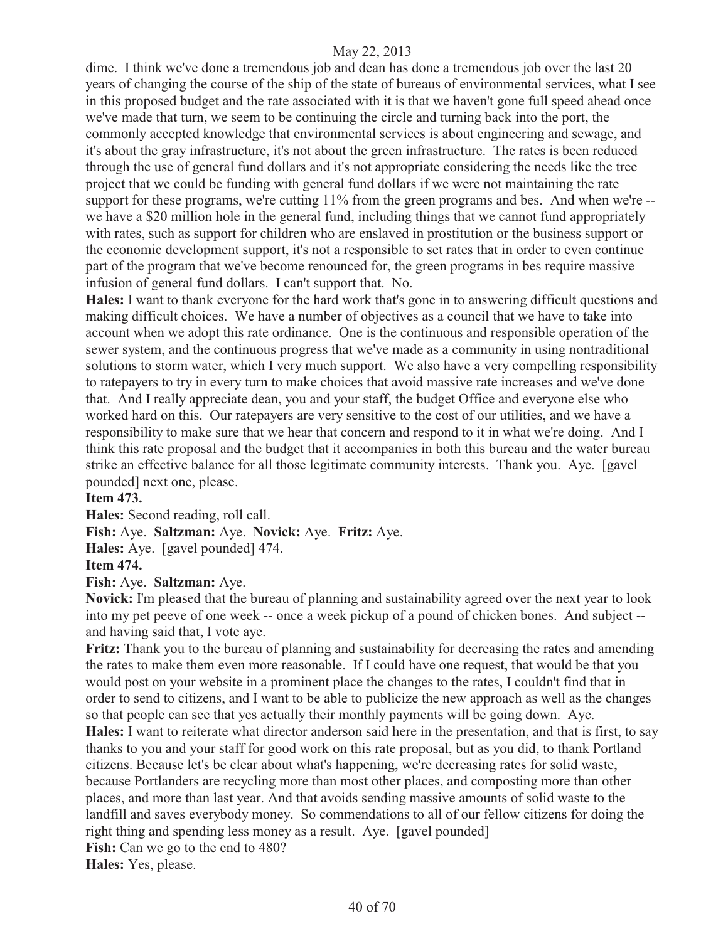dime. I think we've done a tremendous job and dean has done a tremendous job over the last 20 years of changing the course of the ship of the state of bureaus of environmental services, what I see in this proposed budget and the rate associated with it is that we haven't gone full speed ahead once we've made that turn, we seem to be continuing the circle and turning back into the port, the commonly accepted knowledge that environmental services is about engineering and sewage, and it's about the gray infrastructure, it's not about the green infrastructure. The rates is been reduced through the use of general fund dollars and it's not appropriate considering the needs like the tree project that we could be funding with general fund dollars if we were not maintaining the rate support for these programs, we're cutting 11% from the green programs and bes. And when we're -we have a \$20 million hole in the general fund, including things that we cannot fund appropriately with rates, such as support for children who are enslaved in prostitution or the business support or the economic development support, it's not a responsible to set rates that in order to even continue part of the program that we've become renounced for, the green programs in bes require massive infusion of general fund dollars. I can't support that. No.

**Hales:** I want to thank everyone for the hard work that's gone in to answering difficult questions and making difficult choices. We have a number of objectives as a council that we have to take into account when we adopt this rate ordinance. One is the continuous and responsible operation of the sewer system, and the continuous progress that we've made as a community in using nontraditional solutions to storm water, which I very much support. We also have a very compelling responsibility to ratepayers to try in every turn to make choices that avoid massive rate increases and we've done that. And I really appreciate dean, you and your staff, the budget Office and everyone else who worked hard on this. Our ratepayers are very sensitive to the cost of our utilities, and we have a responsibility to make sure that we hear that concern and respond to it in what we're doing. And I think this rate proposal and the budget that it accompanies in both this bureau and the water bureau strike an effective balance for all those legitimate community interests. Thank you. Aye. [gavel pounded] next one, please.

# **Item 473.**

**Hales:** Second reading, roll call.

**Fish:** Aye. **Saltzman:** Aye. **Novick:** Aye. **Fritz:** Aye.

**Hales:** Aye. [gavel pounded] 474.

#### **Item 474.**

**Fish:** Aye. **Saltzman:** Aye.

**Novick:** I'm pleased that the bureau of planning and sustainability agreed over the next year to look into my pet peeve of one week -- once a week pickup of a pound of chicken bones. And subject - and having said that, I vote aye.

**Fritz:** Thank you to the bureau of planning and sustainability for decreasing the rates and amending the rates to make them even more reasonable. If I could have one request, that would be that you would post on your website in a prominent place the changes to the rates, I couldn't find that in order to send to citizens, and I want to be able to publicize the new approach as well as the changes so that people can see that yes actually their monthly payments will be going down. Aye.

**Hales:** I want to reiterate what director anderson said here in the presentation, and that is first, to say thanks to you and your staff for good work on this rate proposal, but as you did, to thank Portland citizens. Because let's be clear about what's happening, we're decreasing rates for solid waste, because Portlanders are recycling more than most other places, and composting more than other places, and more than last year. And that avoids sending massive amounts of solid waste to the landfill and saves everybody money. So commendations to all of our fellow citizens for doing the right thing and spending less money as a result. Aye. [gavel pounded] **Fish:** Can we go to the end to 480?

**Hales:** Yes, please.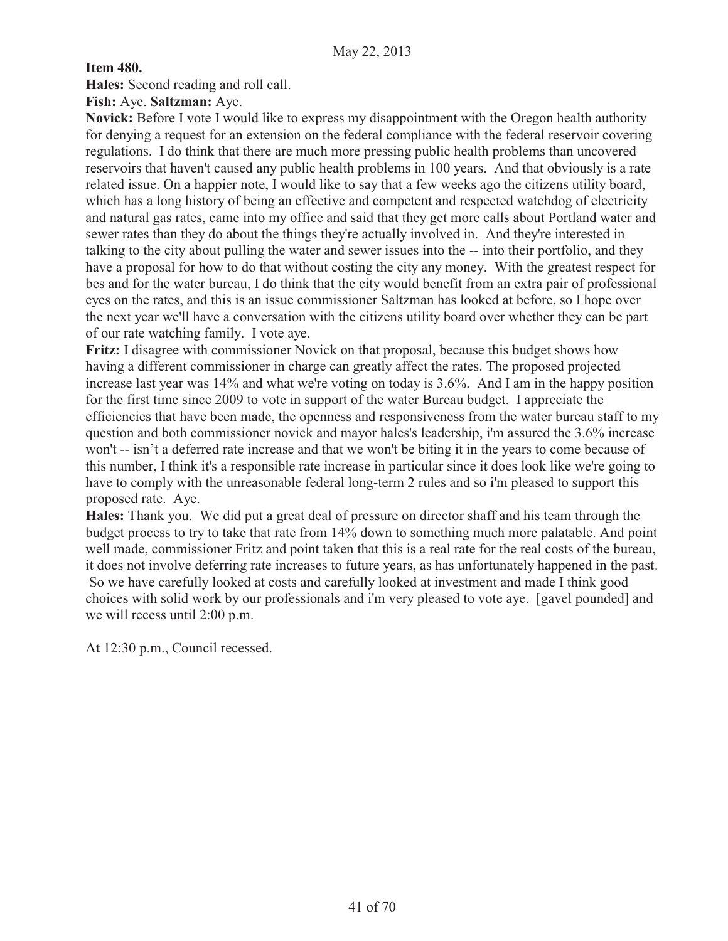**Item 480.** 

**Hales:** Second reading and roll call.

**Fish:** Aye. **Saltzman:** Aye.

**Novick:** Before I vote I would like to express my disappointment with the Oregon health authority for denying a request for an extension on the federal compliance with the federal reservoir covering regulations. I do think that there are much more pressing public health problems than uncovered reservoirs that haven't caused any public health problems in 100 years. And that obviously is a rate related issue. On a happier note, I would like to say that a few weeks ago the citizens utility board, which has a long history of being an effective and competent and respected watchdog of electricity and natural gas rates, came into my office and said that they get more calls about Portland water and sewer rates than they do about the things they're actually involved in. And they're interested in talking to the city about pulling the water and sewer issues into the -- into their portfolio, and they have a proposal for how to do that without costing the city any money. With the greatest respect for bes and for the water bureau, I do think that the city would benefit from an extra pair of professional eyes on the rates, and this is an issue commissioner Saltzman has looked at before, so I hope over the next year we'll have a conversation with the citizens utility board over whether they can be part of our rate watching family. I vote aye.

**Fritz:** I disagree with commissioner Novick on that proposal, because this budget shows how having a different commissioner in charge can greatly affect the rates. The proposed projected increase last year was 14% and what we're voting on today is 3.6%. And I am in the happy position for the first time since 2009 to vote in support of the water Bureau budget. I appreciate the efficiencies that have been made, the openness and responsiveness from the water bureau staff to my question and both commissioner novick and mayor hales's leadership, i'm assured the 3.6% increase won't -- isn't a deferred rate increase and that we won't be biting it in the years to come because of this number, I think it's a responsible rate increase in particular since it does look like we're going to have to comply with the unreasonable federal long-term 2 rules and so i'm pleased to support this proposed rate. Aye.

**Hales:** Thank you. We did put a great deal of pressure on director shaff and his team through the budget process to try to take that rate from 14% down to something much more palatable. And point well made, commissioner Fritz and point taken that this is a real rate for the real costs of the bureau, it does not involve deferring rate increases to future years, as has unfortunately happened in the past. So we have carefully looked at costs and carefully looked at investment and made I think good choices with solid work by our professionals and i'm very pleased to vote aye. [gavel pounded] and we will recess until 2:00 p.m.

At 12:30 p.m., Council recessed.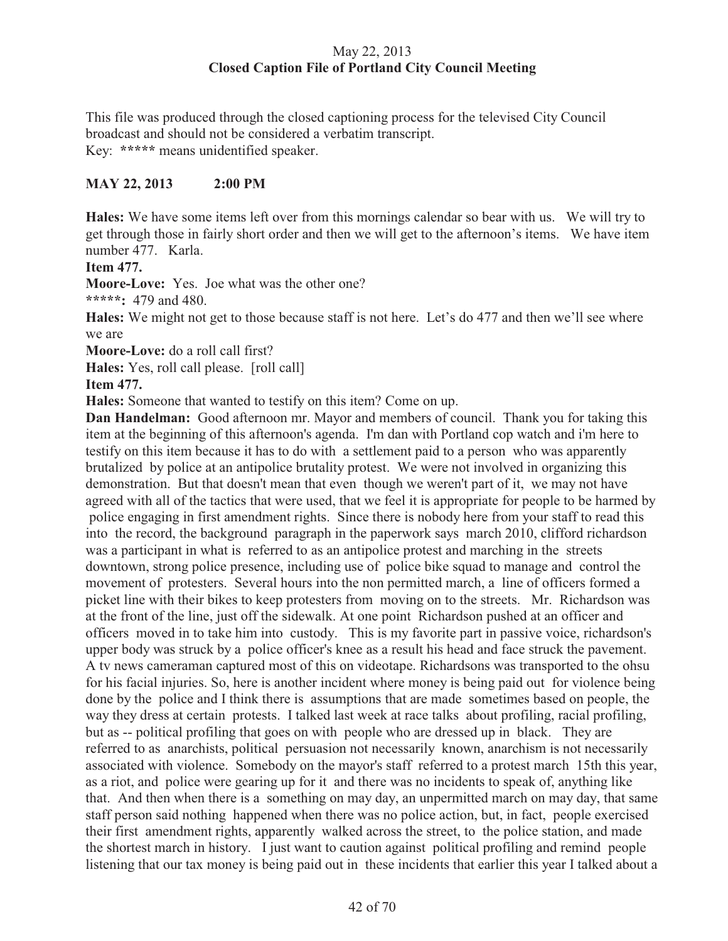# May 22, 2013 **Closed Caption File of Portland City Council Meeting**

This file was produced through the closed captioning process for the televised City Council broadcast and should not be considered a verbatim transcript. Key: **\*\*\*\*\*** means unidentified speaker.

# **MAY 22, 2013 2:00 PM**

**Hales:** We have some items left over from this mornings calendar so bear with us. We will try to get through those in fairly short order and then we will get to the afternoon's items. We have item number 477. Karla.

**Item 477.** 

**Moore-Love:** Yes. Joe what was the other one?

**\*\*\*\*\*:** 479 and 480.

**Hales:** We might not get to those because staff is not here. Let's do 477 and then we'll see where we are

**Moore-Love:** do a roll call first?

**Hales:** Yes, roll call please. [roll call]

**Item 477.** 

**Hales:** Someone that wanted to testify on this item? Come on up.

**Dan Handelman:** Good afternoon mr. Mayor and members of council. Thank you for taking this item at the beginning of this afternoon's agenda. I'm dan with Portland cop watch and i'm here to testify on this item because it has to do with a settlement paid to a person who was apparently brutalized by police at an antipolice brutality protest. We were not involved in organizing this demonstration. But that doesn't mean that even though we weren't part of it, we may not have agreed with all of the tactics that were used, that we feel it is appropriate for people to be harmed by police engaging in first amendment rights. Since there is nobody here from your staff to read this into the record, the background paragraph in the paperwork says march 2010, clifford richardson was a participant in what is referred to as an antipolice protest and marching in the streets downtown, strong police presence, including use of police bike squad to manage and control the movement of protesters. Several hours into the non permitted march, a line of officers formed a picket line with their bikes to keep protesters from moving on to the streets. Mr. Richardson was at the front of the line, just off the sidewalk. At one point Richardson pushed at an officer and officers moved in to take him into custody. This is my favorite part in passive voice, richardson's upper body was struck by a police officer's knee as a result his head and face struck the pavement. A tv news cameraman captured most of this on videotape. Richardsons was transported to the ohsu for his facial injuries. So, here is another incident where money is being paid out for violence being done by the police and I think there is assumptions that are made sometimes based on people, the way they dress at certain protests. I talked last week at race talks about profiling, racial profiling, but as -- political profiling that goes on with people who are dressed up in black. They are referred to as anarchists, political persuasion not necessarily known, anarchism is not necessarily associated with violence. Somebody on the mayor's staff referred to a protest march 15th this year, as a riot, and police were gearing up for it and there was no incidents to speak of, anything like that. And then when there is a something on may day, an unpermitted march on may day, that same staff person said nothing happened when there was no police action, but, in fact, people exercised their first amendment rights, apparently walked across the street, to the police station, and made the shortest march in history. I just want to caution against political profiling and remind people listening that our tax money is being paid out in these incidents that earlier this year I talked about a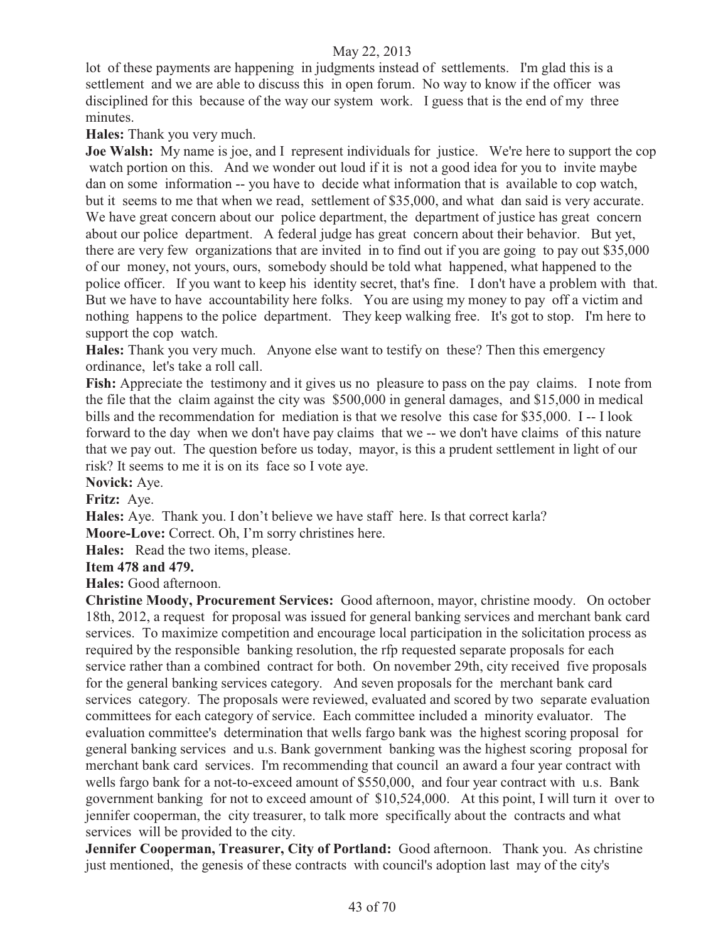lot of these payments are happening in judgments instead of settlements. I'm glad this is a settlement and we are able to discuss this in open forum. No way to know if the officer was disciplined for this because of the way our system work. I guess that is the end of my three minutes.

**Hales:** Thank you very much.

**Joe Walsh:** My name is joe, and I represent individuals for justice. We're here to support the cop watch portion on this. And we wonder out loud if it is not a good idea for you to invite maybe dan on some information -- you have to decide what information that is available to cop watch, but it seems to me that when we read, settlement of \$35,000, and what dan said is very accurate. We have great concern about our police department, the department of justice has great concern about our police department. A federal judge has great concern about their behavior. But yet, there are very few organizations that are invited in to find out if you are going to pay out \$35,000 of our money, not yours, ours, somebody should be told what happened, what happened to the police officer. If you want to keep his identity secret, that's fine. I don't have a problem with that. But we have to have accountability here folks. You are using my money to pay off a victim and nothing happens to the police department. They keep walking free. It's got to stop. I'm here to support the cop watch.

**Hales:** Thank you very much. Anyone else want to testify on these? Then this emergency ordinance, let's take a roll call.

**Fish:** Appreciate the testimony and it gives us no pleasure to pass on the pay claims. I note from the file that the claim against the city was \$500,000 in general damages, and \$15,000 in medical bills and the recommendation for mediation is that we resolve this case for \$35,000. I -- I look forward to the day when we don't have pay claims that we -- we don't have claims of this nature that we pay out. The question before us today, mayor, is this a prudent settlement in light of our risk? It seems to me it is on its face so I vote aye.

**Novick:** Aye.

**Fritz:** Aye.

**Hales:** Aye. Thank you. I don't believe we have staff here. Is that correct karla?

**Moore-Love:** Correct. Oh, I'm sorry christines here.

**Hales:** Read the two items, please.

#### **Item 478 and 479.**

**Hales:** Good afternoon.

**Christine Moody, Procurement Services:** Good afternoon, mayor, christine moody. On october 18th, 2012, a request for proposal was issued for general banking services and merchant bank card services. To maximize competition and encourage local participation in the solicitation process as required by the responsible banking resolution, the rfp requested separate proposals for each service rather than a combined contract for both. On november 29th, city received five proposals for the general banking services category. And seven proposals for the merchant bank card services category. The proposals were reviewed, evaluated and scored by two separate evaluation committees for each category of service. Each committee included a minority evaluator. The evaluation committee's determination that wells fargo bank was the highest scoring proposal for general banking services and u.s. Bank government banking was the highest scoring proposal for merchant bank card services. I'm recommending that council an award a four year contract with wells fargo bank for a not-to-exceed amount of \$550,000, and four year contract with u.s. Bank government banking for not to exceed amount of \$10,524,000. At this point, I will turn it over to jennifer cooperman, the city treasurer, to talk more specifically about the contracts and what services will be provided to the city.

**Jennifer Cooperman, Treasurer, City of Portland:** Good afternoon. Thank you. As christine just mentioned, the genesis of these contracts with council's adoption last may of the city's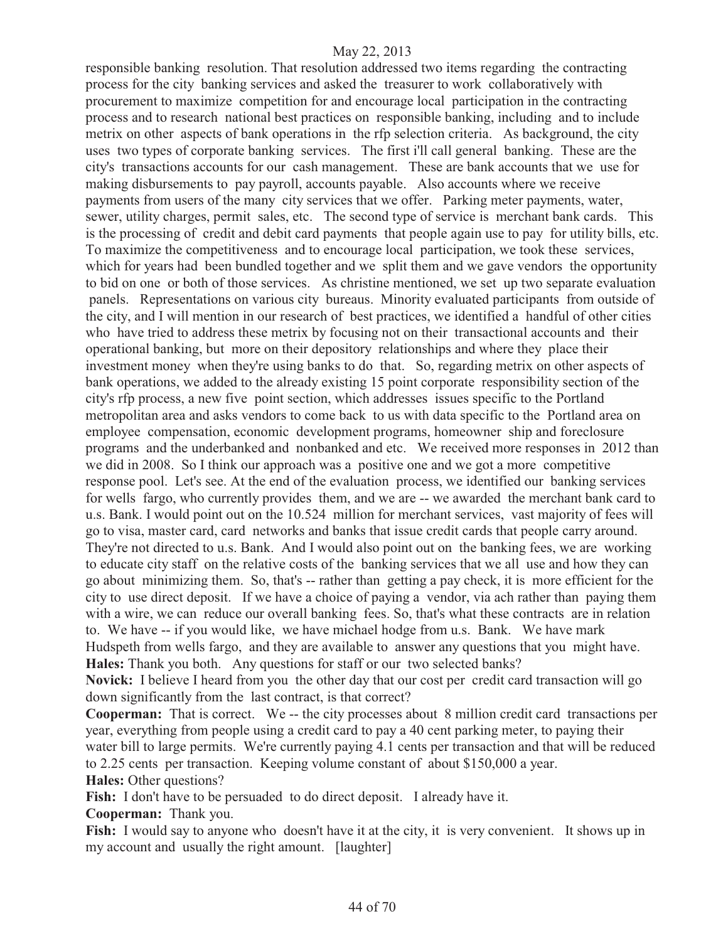responsible banking resolution. That resolution addressed two items regarding the contracting process for the city banking services and asked the treasurer to work collaboratively with procurement to maximize competition for and encourage local participation in the contracting process and to research national best practices on responsible banking, including and to include metrix on other aspects of bank operations in the rfp selection criteria. As background, the city uses two types of corporate banking services. The first i'll call general banking. These are the city's transactions accounts for our cash management. These are bank accounts that we use for making disbursements to pay payroll, accounts payable. Also accounts where we receive payments from users of the many city services that we offer. Parking meter payments, water, sewer, utility charges, permit sales, etc. The second type of service is merchant bank cards. This is the processing of credit and debit card payments that people again use to pay for utility bills, etc. To maximize the competitiveness and to encourage local participation, we took these services, which for years had been bundled together and we split them and we gave vendors the opportunity to bid on one or both of those services. As christine mentioned, we set up two separate evaluation panels. Representations on various city bureaus. Minority evaluated participants from outside of the city, and I will mention in our research of best practices, we identified a handful of other cities who have tried to address these metrix by focusing not on their transactional accounts and their operational banking, but more on their depository relationships and where they place their investment money when they're using banks to do that. So, regarding metrix on other aspects of bank operations, we added to the already existing 15 point corporate responsibility section of the city's rfp process, a new five point section, which addresses issues specific to the Portland metropolitan area and asks vendors to come back to us with data specific to the Portland area on employee compensation, economic development programs, homeowner ship and foreclosure programs and the underbanked and nonbanked and etc. We received more responses in 2012 than we did in 2008. So I think our approach was a positive one and we got a more competitive response pool. Let's see. At the end of the evaluation process, we identified our banking services for wells fargo, who currently provides them, and we are -- we awarded the merchant bank card to u.s. Bank. I would point out on the 10.524 million for merchant services, vast majority of fees will go to visa, master card, card networks and banks that issue credit cards that people carry around. They're not directed to u.s. Bank. And I would also point out on the banking fees, we are working to educate city staff on the relative costs of the banking services that we all use and how they can go about minimizing them. So, that's -- rather than getting a pay check, it is more efficient for the city to use direct deposit. If we have a choice of paying a vendor, via ach rather than paying them with a wire, we can reduce our overall banking fees. So, that's what these contracts are in relation to. We have -- if you would like, we have michael hodge from u.s. Bank. We have mark Hudspeth from wells fargo, and they are available to answer any questions that you might have. **Hales:** Thank you both. Any questions for staff or our two selected banks?

**Novick:** I believe I heard from you the other day that our cost per credit card transaction will go down significantly from the last contract, is that correct?

**Cooperman:** That is correct. We -- the city processes about 8 million credit card transactions per year, everything from people using a credit card to pay a 40 cent parking meter, to paying their water bill to large permits. We're currently paying 4.1 cents per transaction and that will be reduced to 2.25 cents per transaction. Keeping volume constant of about \$150,000 a year. **Hales:** Other questions?

Fish: I don't have to be persuaded to do direct deposit. I already have it.

**Cooperman:** Thank you.

Fish: I would say to anyone who doesn't have it at the city, it is very convenient. It shows up in my account and usually the right amount. [laughter]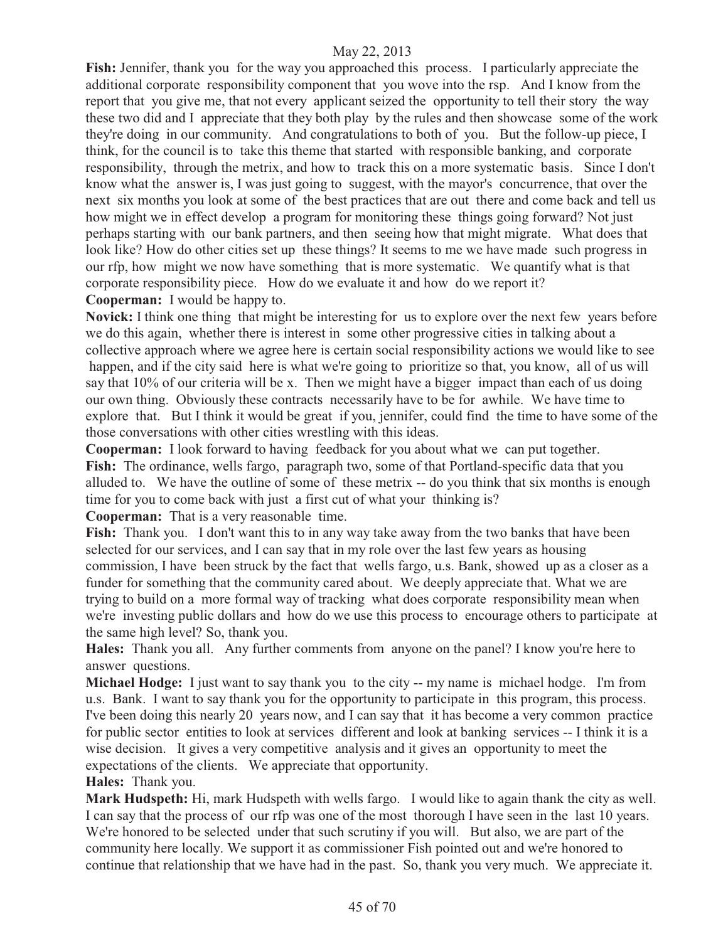**Fish:** Jennifer, thank you for the way you approached this process. I particularly appreciate the additional corporate responsibility component that you wove into the rsp. And I know from the report that you give me, that not every applicant seized the opportunity to tell their story the way these two did and I appreciate that they both play by the rules and then showcase some of the work they're doing in our community. And congratulations to both of you. But the follow-up piece, I think, for the council is to take this theme that started with responsible banking, and corporate responsibility, through the metrix, and how to track this on a more systematic basis. Since I don't know what the answer is, I was just going to suggest, with the mayor's concurrence, that over the next six months you look at some of the best practices that are out there and come back and tell us how might we in effect develop a program for monitoring these things going forward? Not just perhaps starting with our bank partners, and then seeing how that might migrate. What does that look like? How do other cities set up these things? It seems to me we have made such progress in our rfp, how might we now have something that is more systematic. We quantify what is that corporate responsibility piece. How do we evaluate it and how do we report it?

**Cooperman:** I would be happy to.

**Novick:** I think one thing that might be interesting for us to explore over the next few years before we do this again, whether there is interest in some other progressive cities in talking about a collective approach where we agree here is certain social responsibility actions we would like to see happen, and if the city said here is what we're going to prioritize so that, you know, all of us will say that 10% of our criteria will be x. Then we might have a bigger impact than each of us doing our own thing. Obviously these contracts necessarily have to be for awhile. We have time to explore that. But I think it would be great if you, jennifer, could find the time to have some of the those conversations with other cities wrestling with this ideas.

**Cooperman:** I look forward to having feedback for you about what we can put together. **Fish:** The ordinance, wells fargo, paragraph two, some of that Portland-specific data that you alluded to. We have the outline of some of these metrix -- do you think that six months is enough time for you to come back with just a first cut of what your thinking is?

**Cooperman:** That is a very reasonable time.

**Fish:** Thank you. I don't want this to in any way take away from the two banks that have been selected for our services, and I can say that in my role over the last few years as housing commission, I have been struck by the fact that wells fargo, u.s. Bank, showed up as a closer as a funder for something that the community cared about. We deeply appreciate that. What we are trying to build on a more formal way of tracking what does corporate responsibility mean when we're investing public dollars and how do we use this process to encourage others to participate at the same high level? So, thank you.

**Hales:** Thank you all. Any further comments from anyone on the panel? I know you're here to answer questions.

**Michael Hodge:** I just want to say thank you to the city -- my name is michael hodge. I'm from u.s. Bank. I want to say thank you for the opportunity to participate in this program, this process. I've been doing this nearly 20 years now, and I can say that it has become a very common practice for public sector entities to look at services different and look at banking services -- I think it is a wise decision. It gives a very competitive analysis and it gives an opportunity to meet the expectations of the clients. We appreciate that opportunity.

#### **Hales:** Thank you.

**Mark Hudspeth:** Hi, mark Hudspeth with wells fargo. I would like to again thank the city as well. I can say that the process of our rfp was one of the most thorough I have seen in the last 10 years. We're honored to be selected under that such scrutiny if you will. But also, we are part of the community here locally. We support it as commissioner Fish pointed out and we're honored to continue that relationship that we have had in the past. So, thank you very much. We appreciate it.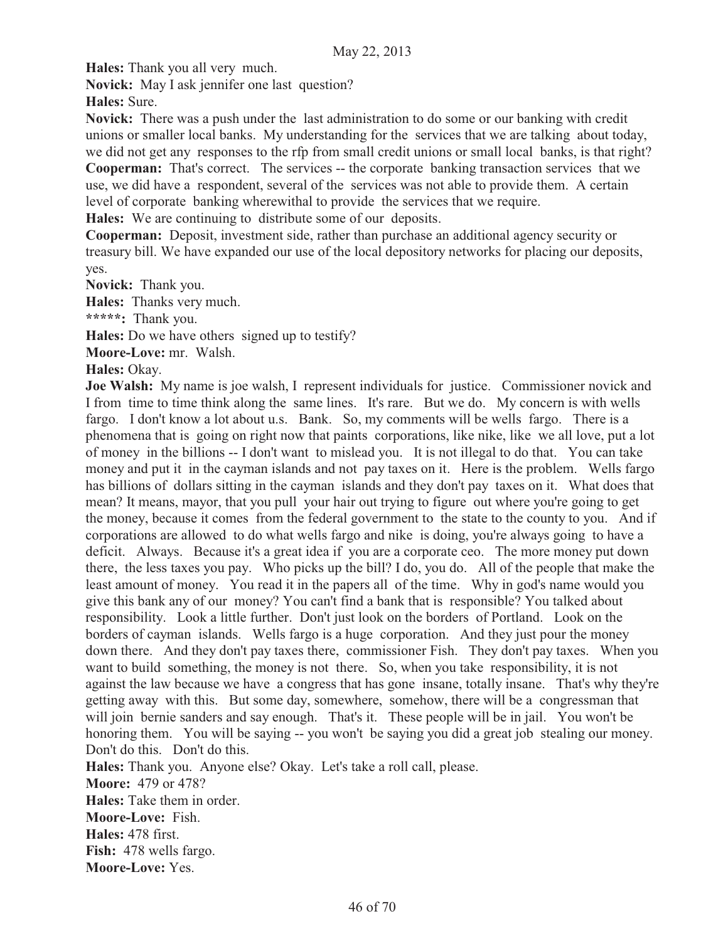**Hales:** Thank you all very much.

**Novick:** May I ask jennifer one last question?

**Hales:** Sure.

**Novick:** There was a push under the last administration to do some or our banking with credit unions or smaller local banks. My understanding for the services that we are talking about today, we did not get any responses to the rfp from small credit unions or small local banks, is that right? **Cooperman:** That's correct. The services -- the corporate banking transaction services that we

use, we did have a respondent, several of the services was not able to provide them. A certain level of corporate banking wherewithal to provide the services that we require.

**Hales:** We are continuing to distribute some of our deposits.

**Cooperman:** Deposit, investment side, rather than purchase an additional agency security or treasury bill. We have expanded our use of the local depository networks for placing our deposits, yes.

**Novick:** Thank you.

**Hales:** Thanks very much.

**\*\*\*\*\*:** Thank you.

**Hales:** Do we have others signed up to testify?

**Moore-Love:** mr. Walsh.

#### **Hales:** Okay.

**Joe Walsh:** My name is joe walsh, I represent individuals for justice. Commissioner novick and I from time to time think along the same lines. It's rare. But we do. My concern is with wells fargo. I don't know a lot about u.s. Bank. So, my comments will be wells fargo. There is a phenomena that is going on right now that paints corporations, like nike, like we all love, put a lot of money in the billions -- I don't want to mislead you. It is not illegal to do that. You can take money and put it in the cayman islands and not pay taxes on it. Here is the problem. Wells fargo has billions of dollars sitting in the cayman islands and they don't pay taxes on it. What does that mean? It means, mayor, that you pull your hair out trying to figure out where you're going to get the money, because it comes from the federal government to the state to the county to you. And if corporations are allowed to do what wells fargo and nike is doing, you're always going to have a deficit. Always. Because it's a great idea if you are a corporate ceo. The more money put down there, the less taxes you pay. Who picks up the bill? I do, you do. All of the people that make the least amount of money. You read it in the papers all of the time. Why in god's name would you give this bank any of our money? You can't find a bank that is responsible? You talked about responsibility. Look a little further. Don't just look on the borders of Portland. Look on the borders of cayman islands. Wells fargo is a huge corporation. And they just pour the money down there. And they don't pay taxes there, commissioner Fish. They don't pay taxes. When you want to build something, the money is not there. So, when you take responsibility, it is not against the law because we have a congress that has gone insane, totally insane. That's why they're getting away with this. But some day, somewhere, somehow, there will be a congressman that will join bernie sanders and say enough. That's it. These people will be in jail. You won't be honoring them. You will be saying -- you won't be saying you did a great job stealing our money. Don't do this. Don't do this.

**Hales:** Thank you. Anyone else? Okay. Let's take a roll call, please.

**Moore:** 479 or 478? **Hales:** Take them in order. **Moore-Love:** Fish. **Hales:** 478 first. **Fish:** 478 wells fargo. **Moore-Love:** Yes.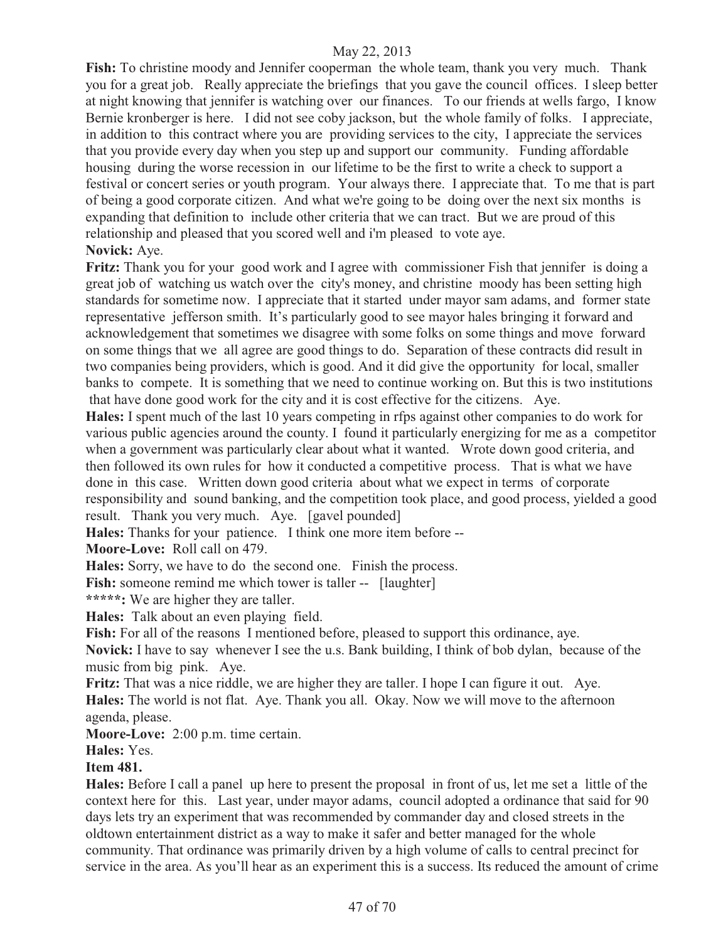**Fish:** To christine moody and Jennifer cooperman the whole team, thank you very much. Thank you for a great job. Really appreciate the briefings that you gave the council offices. I sleep better at night knowing that jennifer is watching over our finances. To our friends at wells fargo, I know Bernie kronberger is here. I did not see coby jackson, but the whole family of folks. I appreciate, in addition to this contract where you are providing services to the city, I appreciate the services that you provide every day when you step up and support our community. Funding affordable housing during the worse recession in our lifetime to be the first to write a check to support a festival or concert series or youth program. Your always there. I appreciate that. To me that is part of being a good corporate citizen. And what we're going to be doing over the next six months is expanding that definition to include other criteria that we can tract. But we are proud of this relationship and pleased that you scored well and i'm pleased to vote aye.

# **Novick:** Aye.

**Fritz:** Thank you for your good work and I agree with commissioner Fish that jennifer is doing a great job of watching us watch over the city's money, and christine moody has been setting high standards for sometime now. I appreciate that it started under mayor sam adams, and former state representative jefferson smith. It's particularly good to see mayor hales bringing it forward and acknowledgement that sometimes we disagree with some folks on some things and move forward on some things that we all agree are good things to do. Separation of these contracts did result in two companies being providers, which is good. And it did give the opportunity for local, smaller banks to compete. It is something that we need to continue working on. But this is two institutions that have done good work for the city and it is cost effective for the citizens. Aye.

**Hales:** I spent much of the last 10 years competing in rfps against other companies to do work for various public agencies around the county. I found it particularly energizing for me as a competitor when a government was particularly clear about what it wanted. Wrote down good criteria, and then followed its own rules for how it conducted a competitive process. That is what we have done in this case. Written down good criteria about what we expect in terms of corporate responsibility and sound banking, and the competition took place, and good process, yielded a good result. Thank you very much. Aye. [gavel pounded]

**Hales:** Thanks for your patience. I think one more item before --

**Moore-Love:** Roll call on 479.

**Hales:** Sorry, we have to do the second one. Finish the process.

Fish: someone remind me which tower is taller -- [laughter]

**\*\*\*\*\*:** We are higher they are taller.

**Hales:** Talk about an even playing field.

**Fish:** For all of the reasons I mentioned before, pleased to support this ordinance, aye.

**Novick:** I have to say whenever I see the u.s. Bank building, I think of bob dylan, because of the music from big pink. Aye.

**Fritz:** That was a nice riddle, we are higher they are taller. I hope I can figure it out. Aye. **Hales:** The world is not flat. Aye. Thank you all. Okay. Now we will move to the afternoon agenda, please.

**Moore-Love:** 2:00 p.m. time certain.

**Hales:** Yes.

#### **Item 481.**

**Hales:** Before I call a panel up here to present the proposal in front of us, let me set a little of the context here for this. Last year, under mayor adams, council adopted a ordinance that said for 90 days lets try an experiment that was recommended by commander day and closed streets in the oldtown entertainment district as a way to make it safer and better managed for the whole community. That ordinance was primarily driven by a high volume of calls to central precinct for service in the area. As you'll hear as an experiment this is a success. Its reduced the amount of crime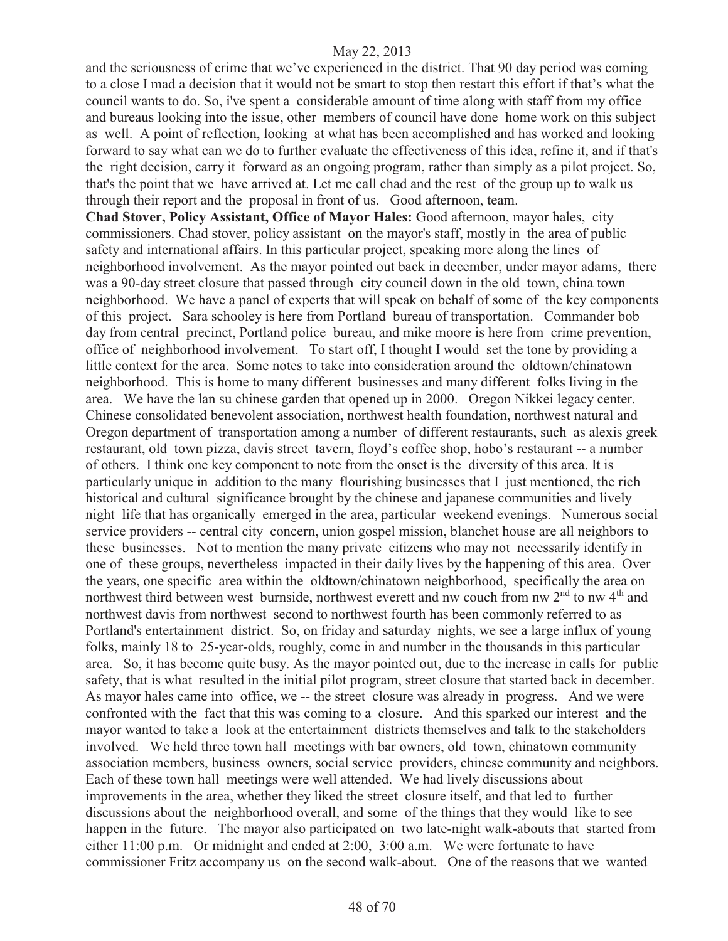and the seriousness of crime that we've experienced in the district. That 90 day period was coming to a close I mad a decision that it would not be smart to stop then restart this effort if that's what the council wants to do. So, i've spent a considerable amount of time along with staff from my office and bureaus looking into the issue, other members of council have done home work on this subject as well. A point of reflection, looking at what has been accomplished and has worked and looking forward to say what can we do to further evaluate the effectiveness of this idea, refine it, and if that's the right decision, carry it forward as an ongoing program, rather than simply as a pilot project. So, that's the point that we have arrived at. Let me call chad and the rest of the group up to walk us through their report and the proposal in front of us. Good afternoon, team.

**Chad Stover, Policy Assistant, Office of Mayor Hales:** Good afternoon, mayor hales, city commissioners. Chad stover, policy assistant on the mayor's staff, mostly in the area of public safety and international affairs. In this particular project, speaking more along the lines of neighborhood involvement. As the mayor pointed out back in december, under mayor adams, there was a 90-day street closure that passed through city council down in the old town, china town neighborhood. We have a panel of experts that will speak on behalf of some of the key components of this project. Sara schooley is here from Portland bureau of transportation. Commander bob day from central precinct, Portland police bureau, and mike moore is here from crime prevention, office of neighborhood involvement. To start off, I thought I would set the tone by providing a little context for the area. Some notes to take into consideration around the oldtown/chinatown neighborhood. This is home to many different businesses and many different folks living in the area. We have the lan su chinese garden that opened up in 2000. Oregon Nikkei legacy center. Chinese consolidated benevolent association, northwest health foundation, northwest natural and Oregon department of transportation among a number of different restaurants, such as alexis greek restaurant, old town pizza, davis street tavern, floyd's coffee shop, hobo's restaurant -- a number of others. I think one key component to note from the onset is the diversity of this area. It is particularly unique in addition to the many flourishing businesses that I just mentioned, the rich historical and cultural significance brought by the chinese and japanese communities and lively night life that has organically emerged in the area, particular weekend evenings. Numerous social service providers -- central city concern, union gospel mission, blanchet house are all neighbors to these businesses. Not to mention the many private citizens who may not necessarily identify in one of these groups, nevertheless impacted in their daily lives by the happening of this area. Over the years, one specific area within the oldtown/chinatown neighborhood, specifically the area on northwest third between west burnside, northwest everett and nw couch from nw  $2<sup>nd</sup>$  to nw  $4<sup>th</sup>$  and northwest davis from northwest second to northwest fourth has been commonly referred to as Portland's entertainment district. So, on friday and saturday nights, we see a large influx of young folks, mainly 18 to 25-year-olds, roughly, come in and number in the thousands in this particular area. So, it has become quite busy. As the mayor pointed out, due to the increase in calls for public safety, that is what resulted in the initial pilot program, street closure that started back in december. As mayor hales came into office, we -- the street closure was already in progress. And we were confronted with the fact that this was coming to a closure. And this sparked our interest and the mayor wanted to take a look at the entertainment districts themselves and talk to the stakeholders involved. We held three town hall meetings with bar owners, old town, chinatown community association members, business owners, social service providers, chinese community and neighbors. Each of these town hall meetings were well attended. We had lively discussions about improvements in the area, whether they liked the street closure itself, and that led to further discussions about the neighborhood overall, and some of the things that they would like to see happen in the future. The mayor also participated on two late-night walk-abouts that started from either 11:00 p.m. Or midnight and ended at 2:00, 3:00 a.m. We were fortunate to have commissioner Fritz accompany us on the second walk-about. One of the reasons that we wanted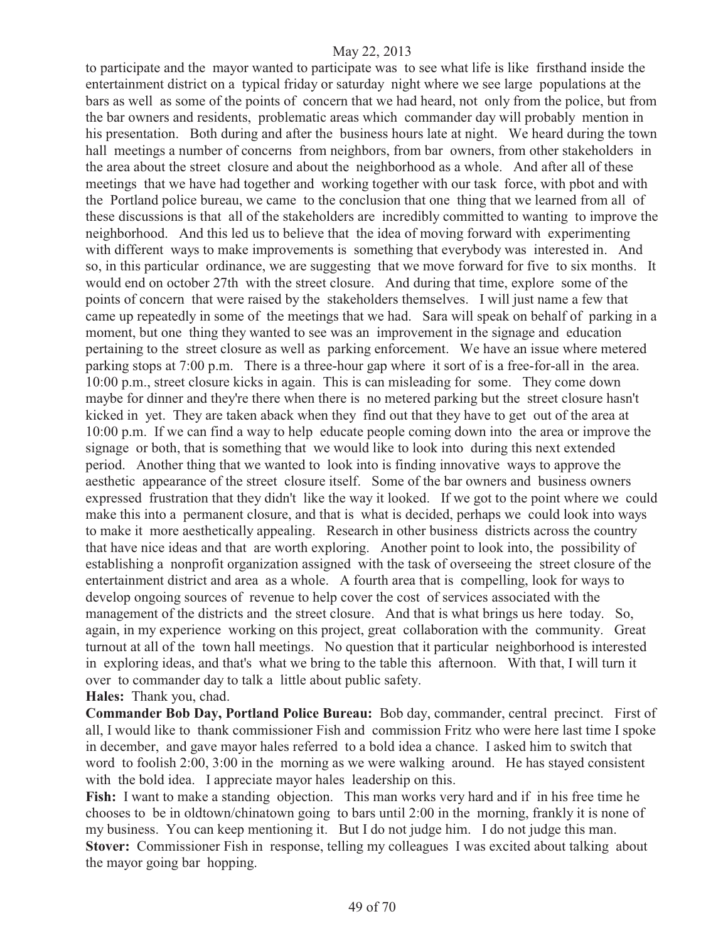to participate and the mayor wanted to participate was to see what life is like firsthand inside the entertainment district on a typical friday or saturday night where we see large populations at the bars as well as some of the points of concern that we had heard, not only from the police, but from the bar owners and residents, problematic areas which commander day will probably mention in his presentation. Both during and after the business hours late at night. We heard during the town hall meetings a number of concerns from neighbors, from bar owners, from other stakeholders in the area about the street closure and about the neighborhood as a whole. And after all of these meetings that we have had together and working together with our task force, with pbot and with the Portland police bureau, we came to the conclusion that one thing that we learned from all of these discussions is that all of the stakeholders are incredibly committed to wanting to improve the neighborhood. And this led us to believe that the idea of moving forward with experimenting with different ways to make improvements is something that everybody was interested in. And so, in this particular ordinance, we are suggesting that we move forward for five to six months. It would end on october 27th with the street closure. And during that time, explore some of the points of concern that were raised by the stakeholders themselves. I will just name a few that came up repeatedly in some of the meetings that we had. Sara will speak on behalf of parking in a moment, but one thing they wanted to see was an improvement in the signage and education pertaining to the street closure as well as parking enforcement. We have an issue where metered parking stops at 7:00 p.m. There is a three-hour gap where it sort of is a free-for-all in the area. 10:00 p.m., street closure kicks in again. This is can misleading for some. They come down maybe for dinner and they're there when there is no metered parking but the street closure hasn't kicked in yet. They are taken aback when they find out that they have to get out of the area at 10:00 p.m. If we can find a way to help educate people coming down into the area or improve the signage or both, that is something that we would like to look into during this next extended period. Another thing that we wanted to look into is finding innovative ways to approve the aesthetic appearance of the street closure itself. Some of the bar owners and business owners expressed frustration that they didn't like the way it looked. If we got to the point where we could make this into a permanent closure, and that is what is decided, perhaps we could look into ways to make it more aesthetically appealing. Research in other business districts across the country that have nice ideas and that are worth exploring. Another point to look into, the possibility of establishing a nonprofit organization assigned with the task of overseeing the street closure of the entertainment district and area as a whole. A fourth area that is compelling, look for ways to develop ongoing sources of revenue to help cover the cost of services associated with the management of the districts and the street closure. And that is what brings us here today. So, again, in my experience working on this project, great collaboration with the community. Great turnout at all of the town hall meetings. No question that it particular neighborhood is interested in exploring ideas, and that's what we bring to the table this afternoon. With that, I will turn it over to commander day to talk a little about public safety. **Hales:** Thank you, chad.

**Commander Bob Day, Portland Police Bureau:** Bob day, commander, central precinct. First of all, I would like to thank commissioner Fish and commission Fritz who were here last time I spoke in december, and gave mayor hales referred to a bold idea a chance. I asked him to switch that word to foolish 2:00, 3:00 in the morning as we were walking around. He has stayed consistent with the bold idea. I appreciate mayor hales leadership on this.

Fish: I want to make a standing objection. This man works very hard and if in his free time he chooses to be in oldtown/chinatown going to bars until 2:00 in the morning, frankly it is none of my business. You can keep mentioning it. But I do not judge him. I do not judge this man. **Stover:** Commissioner Fish in response, telling my colleagues I was excited about talking about the mayor going bar hopping.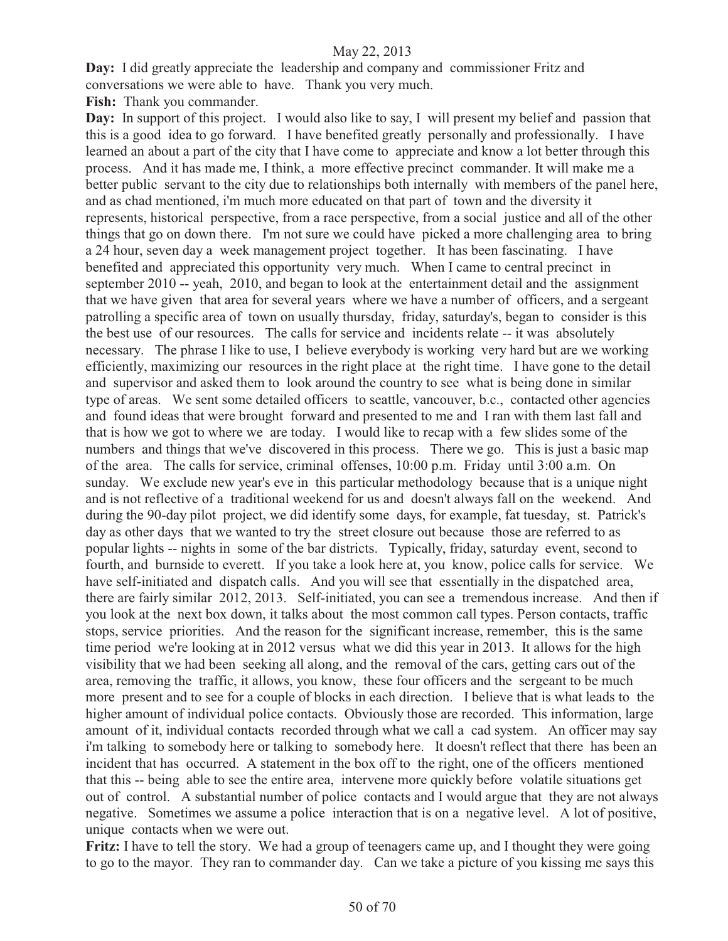**Day:** I did greatly appreciate the leadership and company and commissioner Fritz and conversations we were able to have. Thank you very much.

**Fish:** Thank you commander.

Day: In support of this project. I would also like to say, I will present my belief and passion that this is a good idea to go forward. I have benefited greatly personally and professionally. I have learned an about a part of the city that I have come to appreciate and know a lot better through this process. And it has made me, I think, a more effective precinct commander. It will make me a better public servant to the city due to relationships both internally with members of the panel here, and as chad mentioned, i'm much more educated on that part of town and the diversity it represents, historical perspective, from a race perspective, from a social justice and all of the other things that go on down there. I'm not sure we could have picked a more challenging area to bring a 24 hour, seven day a week management project together. It has been fascinating. I have benefited and appreciated this opportunity very much. When I came to central precinct in september 2010 -- yeah, 2010, and began to look at the entertainment detail and the assignment that we have given that area for several years where we have a number of officers, and a sergeant patrolling a specific area of town on usually thursday, friday, saturday's, began to consider is this the best use of our resources. The calls for service and incidents relate -- it was absolutely necessary. The phrase I like to use, I believe everybody is working very hard but are we working efficiently, maximizing our resources in the right place at the right time. I have gone to the detail and supervisor and asked them to look around the country to see what is being done in similar type of areas. We sent some detailed officers to seattle, vancouver, b.c., contacted other agencies and found ideas that were brought forward and presented to me and I ran with them last fall and that is how we got to where we are today. I would like to recap with a few slides some of the numbers and things that we've discovered in this process. There we go. This is just a basic map of the area. The calls for service, criminal offenses, 10:00 p.m. Friday until 3:00 a.m. On sunday. We exclude new year's eve in this particular methodology because that is a unique night and is not reflective of a traditional weekend for us and doesn't always fall on the weekend. And during the 90-day pilot project, we did identify some days, for example, fat tuesday, st. Patrick's day as other days that we wanted to try the street closure out because those are referred to as popular lights -- nights in some of the bar districts. Typically, friday, saturday event, second to fourth, and burnside to everett. If you take a look here at, you know, police calls for service. We have self-initiated and dispatch calls. And you will see that essentially in the dispatched area, there are fairly similar 2012, 2013. Self-initiated, you can see a tremendous increase. And then if you look at the next box down, it talks about the most common call types. Person contacts, traffic stops, service priorities. And the reason for the significant increase, remember, this is the same time period we're looking at in 2012 versus what we did this year in 2013. It allows for the high visibility that we had been seeking all along, and the removal of the cars, getting cars out of the area, removing the traffic, it allows, you know, these four officers and the sergeant to be much more present and to see for a couple of blocks in each direction. I believe that is what leads to the higher amount of individual police contacts. Obviously those are recorded. This information, large amount of it, individual contacts recorded through what we call a cad system. An officer may say i'm talking to somebody here or talking to somebody here. It doesn't reflect that there has been an incident that has occurred. A statement in the box off to the right, one of the officers mentioned that this -- being able to see the entire area, intervene more quickly before volatile situations get out of control. A substantial number of police contacts and I would argue that they are not always negative. Sometimes we assume a police interaction that is on a negative level. A lot of positive, unique contacts when we were out.

**Fritz:** I have to tell the story. We had a group of teenagers came up, and I thought they were going to go to the mayor. They ran to commander day. Can we take a picture of you kissing me says this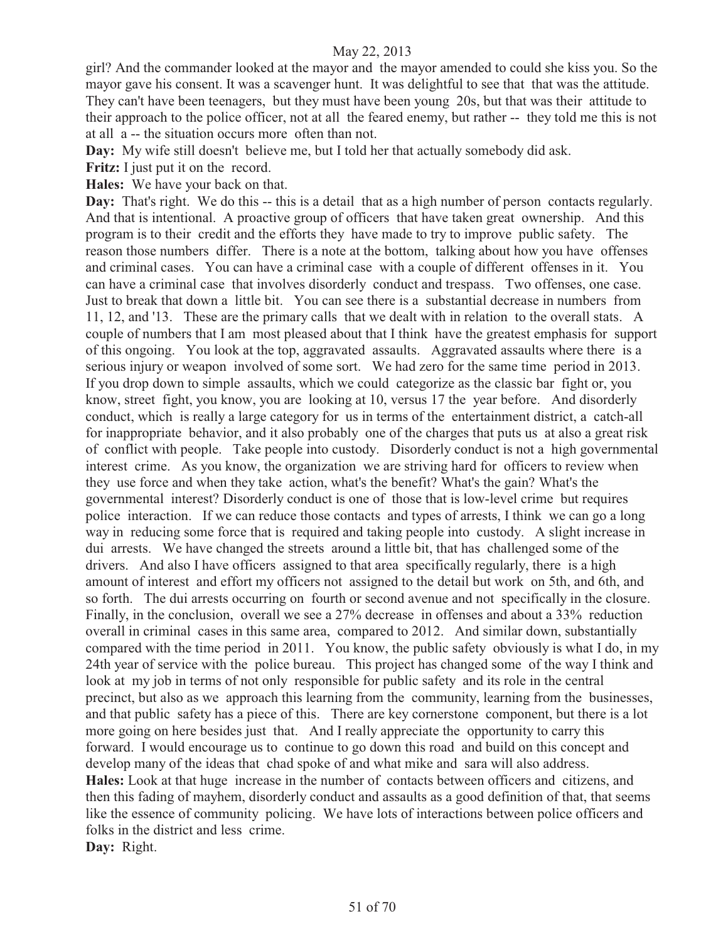girl? And the commander looked at the mayor and the mayor amended to could she kiss you. So the mayor gave his consent. It was a scavenger hunt. It was delightful to see that that was the attitude. They can't have been teenagers, but they must have been young 20s, but that was their attitude to their approach to the police officer, not at all the feared enemy, but rather -- they told me this is not at all a -- the situation occurs more often than not.

**Day:** My wife still doesn't believe me, but I told her that actually somebody did ask.

**Fritz:** I just put it on the record.

**Hales:** We have your back on that.

**Day:** That's right. We do this -- this is a detail that as a high number of person contacts regularly. And that is intentional. A proactive group of officers that have taken great ownership. And this program is to their credit and the efforts they have made to try to improve public safety. The reason those numbers differ. There is a note at the bottom, talking about how you have offenses and criminal cases. You can have a criminal case with a couple of different offenses in it. You can have a criminal case that involves disorderly conduct and trespass. Two offenses, one case. Just to break that down a little bit. You can see there is a substantial decrease in numbers from 11, 12, and '13. These are the primary calls that we dealt with in relation to the overall stats. A couple of numbers that I am most pleased about that I think have the greatest emphasis for support of this ongoing. You look at the top, aggravated assaults. Aggravated assaults where there is a serious injury or weapon involved of some sort. We had zero for the same time period in 2013. If you drop down to simple assaults, which we could categorize as the classic bar fight or, you know, street fight, you know, you are looking at 10, versus 17 the year before. And disorderly conduct, which is really a large category for us in terms of the entertainment district, a catch-all for inappropriate behavior, and it also probably one of the charges that puts us at also a great risk of conflict with people. Take people into custody. Disorderly conduct is not a high governmental interest crime. As you know, the organization we are striving hard for officers to review when they use force and when they take action, what's the benefit? What's the gain? What's the governmental interest? Disorderly conduct is one of those that is low-level crime but requires police interaction. If we can reduce those contacts and types of arrests, I think we can go a long way in reducing some force that is required and taking people into custody. A slight increase in dui arrests. We have changed the streets around a little bit, that has challenged some of the drivers. And also I have officers assigned to that area specifically regularly, there is a high amount of interest and effort my officers not assigned to the detail but work on 5th, and 6th, and so forth. The dui arrests occurring on fourth or second avenue and not specifically in the closure. Finally, in the conclusion, overall we see a 27% decrease in offenses and about a 33% reduction overall in criminal cases in this same area, compared to 2012. And similar down, substantially compared with the time period in 2011. You know, the public safety obviously is what I do, in my 24th year of service with the police bureau. This project has changed some of the way I think and look at my job in terms of not only responsible for public safety and its role in the central precinct, but also as we approach this learning from the community, learning from the businesses, and that public safety has a piece of this. There are key cornerstone component, but there is a lot more going on here besides just that. And I really appreciate the opportunity to carry this forward. I would encourage us to continue to go down this road and build on this concept and develop many of the ideas that chad spoke of and what mike and sara will also address. **Hales:** Look at that huge increase in the number of contacts between officers and citizens, and then this fading of mayhem, disorderly conduct and assaults as a good definition of that, that seems like the essence of community policing. We have lots of interactions between police officers and folks in the district and less crime. **Day:** Right.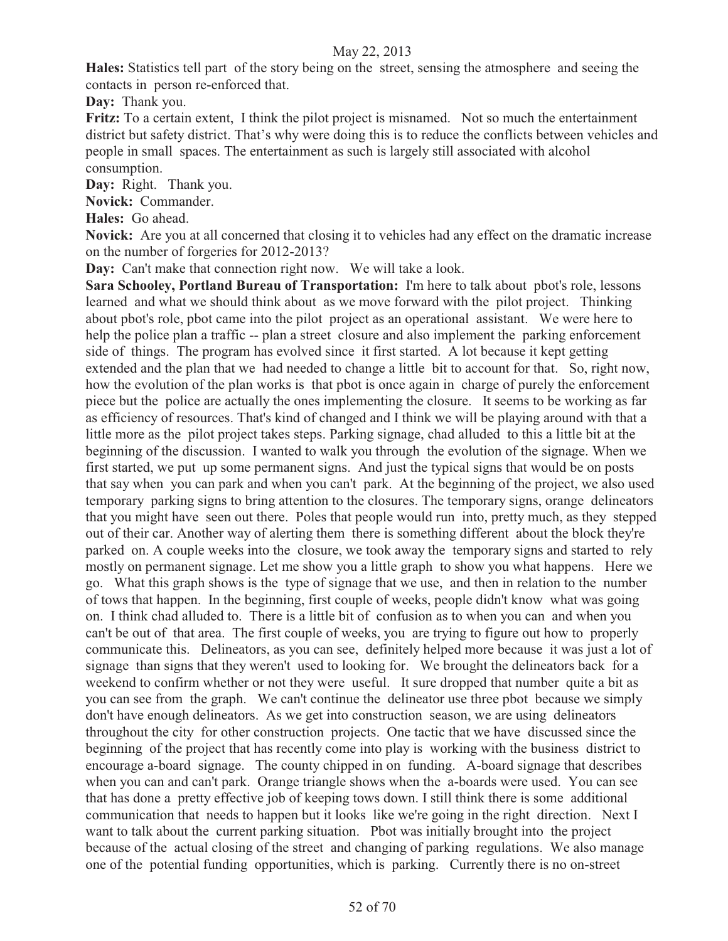**Hales:** Statistics tell part of the story being on the street, sensing the atmosphere and seeing the contacts in person re-enforced that.

**Day:** Thank you.

**Fritz:** To a certain extent, I think the pilot project is misnamed. Not so much the entertainment district but safety district. That's why were doing this is to reduce the conflicts between vehicles and people in small spaces. The entertainment as such is largely still associated with alcohol consumption.

**Day:** Right. Thank you.

**Novick:** Commander.

**Hales:** Go ahead.

**Novick:** Are you at all concerned that closing it to vehicles had any effect on the dramatic increase on the number of forgeries for 2012-2013?

**Day:** Can't make that connection right now. We will take a look.

**Sara Schooley, Portland Bureau of Transportation:** I'm here to talk about pbot's role, lessons learned and what we should think about as we move forward with the pilot project. Thinking about pbot's role, pbot came into the pilot project as an operational assistant. We were here to help the police plan a traffic -- plan a street closure and also implement the parking enforcement side of things. The program has evolved since it first started. A lot because it kept getting extended and the plan that we had needed to change a little bit to account for that. So, right now, how the evolution of the plan works is that pbot is once again in charge of purely the enforcement piece but the police are actually the ones implementing the closure. It seems to be working as far as efficiency of resources. That's kind of changed and I think we will be playing around with that a little more as the pilot project takes steps. Parking signage, chad alluded to this a little bit at the beginning of the discussion. I wanted to walk you through the evolution of the signage. When we first started, we put up some permanent signs. And just the typical signs that would be on posts that say when you can park and when you can't park. At the beginning of the project, we also used temporary parking signs to bring attention to the closures. The temporary signs, orange delineators that you might have seen out there. Poles that people would run into, pretty much, as they stepped out of their car. Another way of alerting them there is something different about the block they're parked on. A couple weeks into the closure, we took away the temporary signs and started to rely mostly on permanent signage. Let me show you a little graph to show you what happens. Here we go. What this graph shows is the type of signage that we use, and then in relation to the number of tows that happen. In the beginning, first couple of weeks, people didn't know what was going on. I think chad alluded to. There is a little bit of confusion as to when you can and when you can't be out of that area. The first couple of weeks, you are trying to figure out how to properly communicate this. Delineators, as you can see, definitely helped more because it was just a lot of signage than signs that they weren't used to looking for. We brought the delineators back for a weekend to confirm whether or not they were useful. It sure dropped that number quite a bit as you can see from the graph. We can't continue the delineator use three pbot because we simply don't have enough delineators. As we get into construction season, we are using delineators throughout the city for other construction projects. One tactic that we have discussed since the beginning of the project that has recently come into play is working with the business district to encourage a-board signage. The county chipped in on funding. A-board signage that describes when you can and can't park. Orange triangle shows when the a-boards were used. You can see that has done a pretty effective job of keeping tows down. I still think there is some additional communication that needs to happen but it looks like we're going in the right direction. Next I want to talk about the current parking situation. Pbot was initially brought into the project because of the actual closing of the street and changing of parking regulations. We also manage one of the potential funding opportunities, which is parking. Currently there is no on-street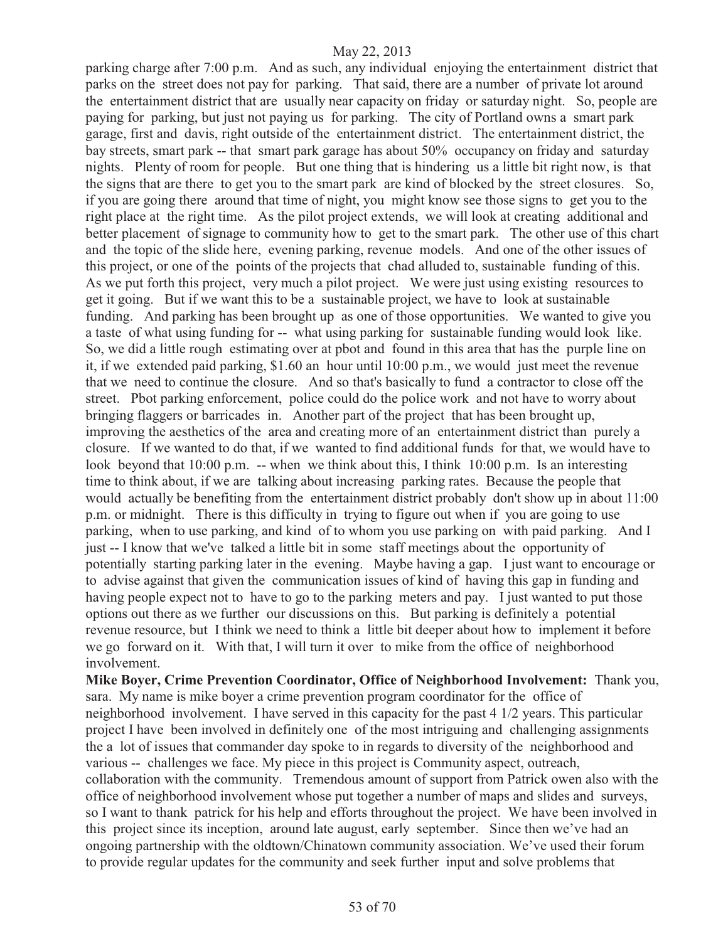parking charge after 7:00 p.m. And as such, any individual enjoying the entertainment district that parks on the street does not pay for parking. That said, there are a number of private lot around the entertainment district that are usually near capacity on friday or saturday night. So, people are paying for parking, but just not paying us for parking. The city of Portland owns a smart park garage, first and davis, right outside of the entertainment district. The entertainment district, the bay streets, smart park -- that smart park garage has about 50% occupancy on friday and saturday nights. Plenty of room for people. But one thing that is hindering us a little bit right now, is that the signs that are there to get you to the smart park are kind of blocked by the street closures. So, if you are going there around that time of night, you might know see those signs to get you to the right place at the right time. As the pilot project extends, we will look at creating additional and better placement of signage to community how to get to the smart park. The other use of this chart and the topic of the slide here, evening parking, revenue models. And one of the other issues of this project, or one of the points of the projects that chad alluded to, sustainable funding of this. As we put forth this project, very much a pilot project. We were just using existing resources to get it going. But if we want this to be a sustainable project, we have to look at sustainable funding. And parking has been brought up as one of those opportunities. We wanted to give you a taste of what using funding for -- what using parking for sustainable funding would look like. So, we did a little rough estimating over at pbot and found in this area that has the purple line on it, if we extended paid parking, \$1.60 an hour until 10:00 p.m., we would just meet the revenue that we need to continue the closure. And so that's basically to fund a contractor to close off the street. Pbot parking enforcement, police could do the police work and not have to worry about bringing flaggers or barricades in. Another part of the project that has been brought up, improving the aesthetics of the area and creating more of an entertainment district than purely a closure. If we wanted to do that, if we wanted to find additional funds for that, we would have to look beyond that 10:00 p.m. -- when we think about this, I think 10:00 p.m. Is an interesting time to think about, if we are talking about increasing parking rates. Because the people that would actually be benefiting from the entertainment district probably don't show up in about 11:00 p.m. or midnight. There is this difficulty in trying to figure out when if you are going to use parking, when to use parking, and kind of to whom you use parking on with paid parking. And I just -- I know that we've talked a little bit in some staff meetings about the opportunity of potentially starting parking later in the evening. Maybe having a gap. I just want to encourage or to advise against that given the communication issues of kind of having this gap in funding and having people expect not to have to go to the parking meters and pay. I just wanted to put those options out there as we further our discussions on this. But parking is definitely a potential revenue resource, but I think we need to think a little bit deeper about how to implement it before we go forward on it. With that, I will turn it over to mike from the office of neighborhood involvement.

**Mike Boyer, Crime Prevention Coordinator, Office of Neighborhood Involvement:** Thank you, sara. My name is mike boyer a crime prevention program coordinator for the office of neighborhood involvement. I have served in this capacity for the past 4 1/2 years. This particular project I have been involved in definitely one of the most intriguing and challenging assignments the a lot of issues that commander day spoke to in regards to diversity of the neighborhood and various -- challenges we face. My piece in this project is Community aspect, outreach, collaboration with the community. Tremendous amount of support from Patrick owen also with the office of neighborhood involvement whose put together a number of maps and slides and surveys, so I want to thank patrick for his help and efforts throughout the project. We have been involved in this project since its inception, around late august, early september. Since then we've had an ongoing partnership with the oldtown/Chinatown community association. We've used their forum to provide regular updates for the community and seek further input and solve problems that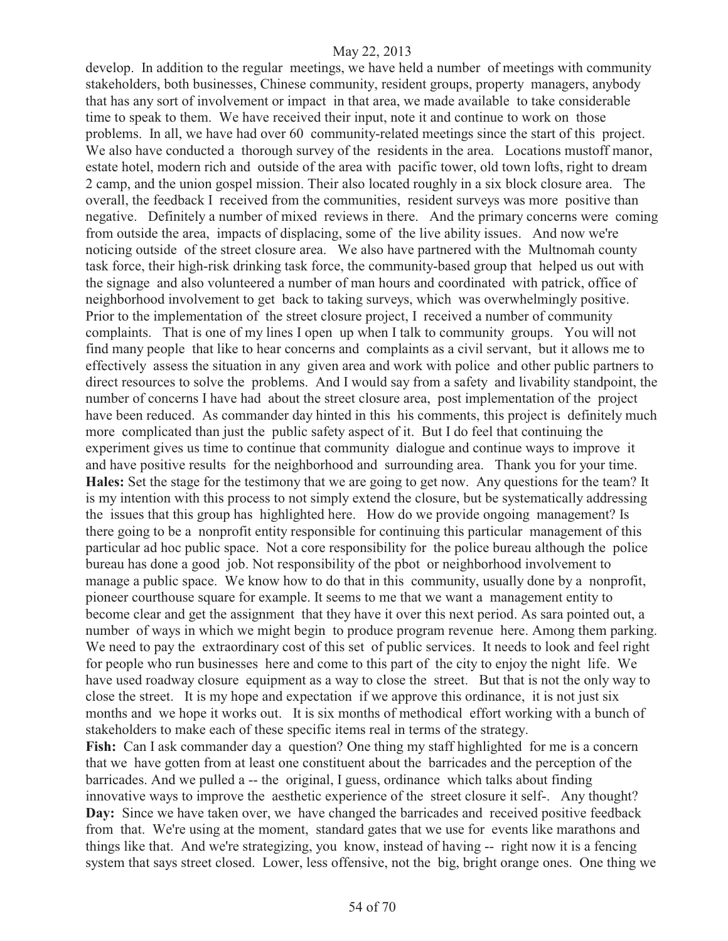develop. In addition to the regular meetings, we have held a number of meetings with community stakeholders, both businesses, Chinese community, resident groups, property managers, anybody that has any sort of involvement or impact in that area, we made available to take considerable time to speak to them. We have received their input, note it and continue to work on those problems. In all, we have had over 60 community-related meetings since the start of this project. We also have conducted a thorough survey of the residents in the area. Locations mustoff manor, estate hotel, modern rich and outside of the area with pacific tower, old town lofts, right to dream 2 camp, and the union gospel mission. Their also located roughly in a six block closure area. The overall, the feedback I received from the communities, resident surveys was more positive than negative. Definitely a number of mixed reviews in there. And the primary concerns were coming from outside the area, impacts of displacing, some of the live ability issues. And now we're noticing outside of the street closure area. We also have partnered with the Multnomah county task force, their high-risk drinking task force, the community-based group that helped us out with the signage and also volunteered a number of man hours and coordinated with patrick, office of neighborhood involvement to get back to taking surveys, which was overwhelmingly positive. Prior to the implementation of the street closure project, I received a number of community complaints. That is one of my lines I open up when I talk to community groups. You will not find many people that like to hear concerns and complaints as a civil servant, but it allows me to effectively assess the situation in any given area and work with police and other public partners to direct resources to solve the problems. And I would say from a safety and livability standpoint, the number of concerns I have had about the street closure area, post implementation of the project have been reduced. As commander day hinted in this his comments, this project is definitely much more complicated than just the public safety aspect of it. But I do feel that continuing the experiment gives us time to continue that community dialogue and continue ways to improve it and have positive results for the neighborhood and surrounding area. Thank you for your time. **Hales:** Set the stage for the testimony that we are going to get now. Any questions for the team? It is my intention with this process to not simply extend the closure, but be systematically addressing the issues that this group has highlighted here. How do we provide ongoing management? Is there going to be a nonprofit entity responsible for continuing this particular management of this particular ad hoc public space. Not a core responsibility for the police bureau although the police bureau has done a good job. Not responsibility of the pbot or neighborhood involvement to manage a public space. We know how to do that in this community, usually done by a nonprofit, pioneer courthouse square for example. It seems to me that we want a management entity to become clear and get the assignment that they have it over this next period. As sara pointed out, a number of ways in which we might begin to produce program revenue here. Among them parking. We need to pay the extraordinary cost of this set of public services. It needs to look and feel right for people who run businesses here and come to this part of the city to enjoy the night life. We have used roadway closure equipment as a way to close the street. But that is not the only way to close the street. It is my hope and expectation if we approve this ordinance, it is not just six months and we hope it works out. It is six months of methodical effort working with a bunch of stakeholders to make each of these specific items real in terms of the strategy.

**Fish:** Can I ask commander day a question? One thing my staff highlighted for me is a concern that we have gotten from at least one constituent about the barricades and the perception of the barricades. And we pulled a -- the original, I guess, ordinance which talks about finding innovative ways to improve the aesthetic experience of the street closure it self-. Any thought? Day: Since we have taken over, we have changed the barricades and received positive feedback from that. We're using at the moment, standard gates that we use for events like marathons and things like that. And we're strategizing, you know, instead of having -- right now it is a fencing system that says street closed. Lower, less offensive, not the big, bright orange ones. One thing we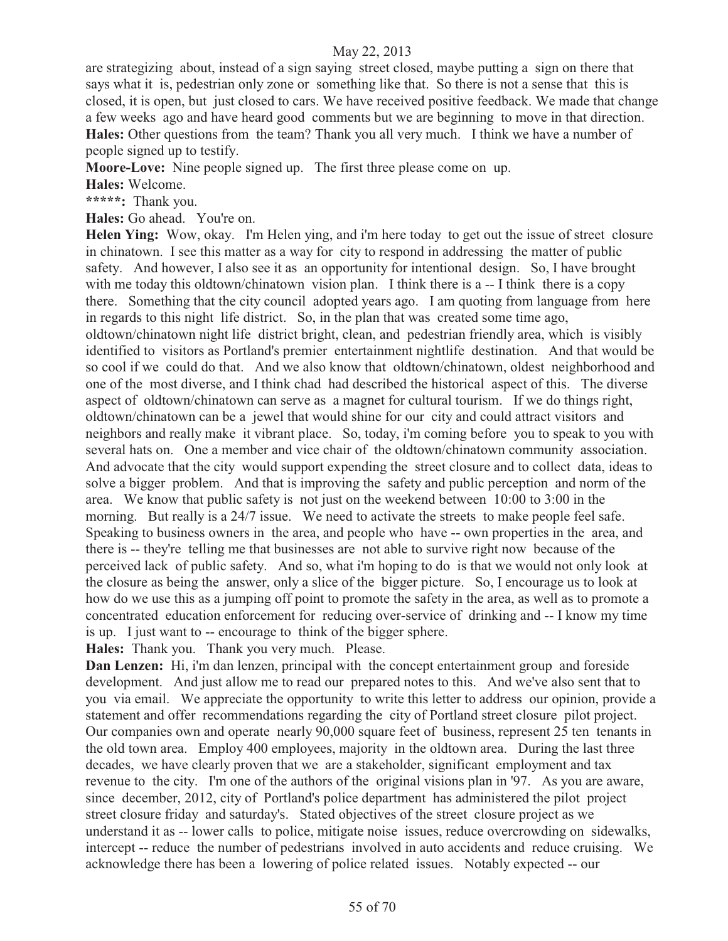are strategizing about, instead of a sign saying street closed, maybe putting a sign on there that says what it is, pedestrian only zone or something like that. So there is not a sense that this is closed, it is open, but just closed to cars. We have received positive feedback. We made that change a few weeks ago and have heard good comments but we are beginning to move in that direction. **Hales:** Other questions from the team? Thank you all very much. I think we have a number of people signed up to testify.

**Moore-Love:** Nine people signed up. The first three please come on up.

**Hales:** Welcome.

**\*\*\*\*\*:** Thank you.

**Hales:** Go ahead. You're on.

**Helen Ying:** Wow, okay. I'm Helen ying, and i'm here today to get out the issue of street closure in chinatown. I see this matter as a way for city to respond in addressing the matter of public safety. And however, I also see it as an opportunity for intentional design. So, I have brought with me today this oldtown/chinatown vision plan. I think there is a  $-1$  think there is a copy there. Something that the city council adopted years ago. I am quoting from language from here in regards to this night life district. So, in the plan that was created some time ago, oldtown/chinatown night life district bright, clean, and pedestrian friendly area, which is visibly identified to visitors as Portland's premier entertainment nightlife destination. And that would be so cool if we could do that. And we also know that oldtown/chinatown, oldest neighborhood and one of the most diverse, and I think chad had described the historical aspect of this. The diverse aspect of oldtown/chinatown can serve as a magnet for cultural tourism. If we do things right, oldtown/chinatown can be a jewel that would shine for our city and could attract visitors and neighbors and really make it vibrant place. So, today, i'm coming before you to speak to you with several hats on. One a member and vice chair of the oldtown/chinatown community association. And advocate that the city would support expending the street closure and to collect data, ideas to solve a bigger problem. And that is improving the safety and public perception and norm of the area. We know that public safety is not just on the weekend between 10:00 to 3:00 in the morning. But really is a 24/7 issue. We need to activate the streets to make people feel safe. Speaking to business owners in the area, and people who have -- own properties in the area, and there is -- they're telling me that businesses are not able to survive right now because of the perceived lack of public safety. And so, what i'm hoping to do is that we would not only look at the closure as being the answer, only a slice of the bigger picture. So, I encourage us to look at how do we use this as a jumping off point to promote the safety in the area, as well as to promote a concentrated education enforcement for reducing over-service of drinking and -- I know my time is up. I just want to -- encourage to think of the bigger sphere.

**Hales:** Thank you. Thank you very much. Please.

**Dan Lenzen:** Hi, i'm dan lenzen, principal with the concept entertainment group and foreside development. And just allow me to read our prepared notes to this. And we've also sent that to you via email. We appreciate the opportunity to write this letter to address our opinion, provide a statement and offer recommendations regarding the city of Portland street closure pilot project. Our companies own and operate nearly 90,000 square feet of business, represent 25 ten tenants in the old town area. Employ 400 employees, majority in the oldtown area. During the last three decades, we have clearly proven that we are a stakeholder, significant employment and tax revenue to the city. I'm one of the authors of the original visions plan in '97. As you are aware, since december, 2012, city of Portland's police department has administered the pilot project street closure friday and saturday's. Stated objectives of the street closure project as we understand it as -- lower calls to police, mitigate noise issues, reduce overcrowding on sidewalks, intercept -- reduce the number of pedestrians involved in auto accidents and reduce cruising. We acknowledge there has been a lowering of police related issues. Notably expected -- our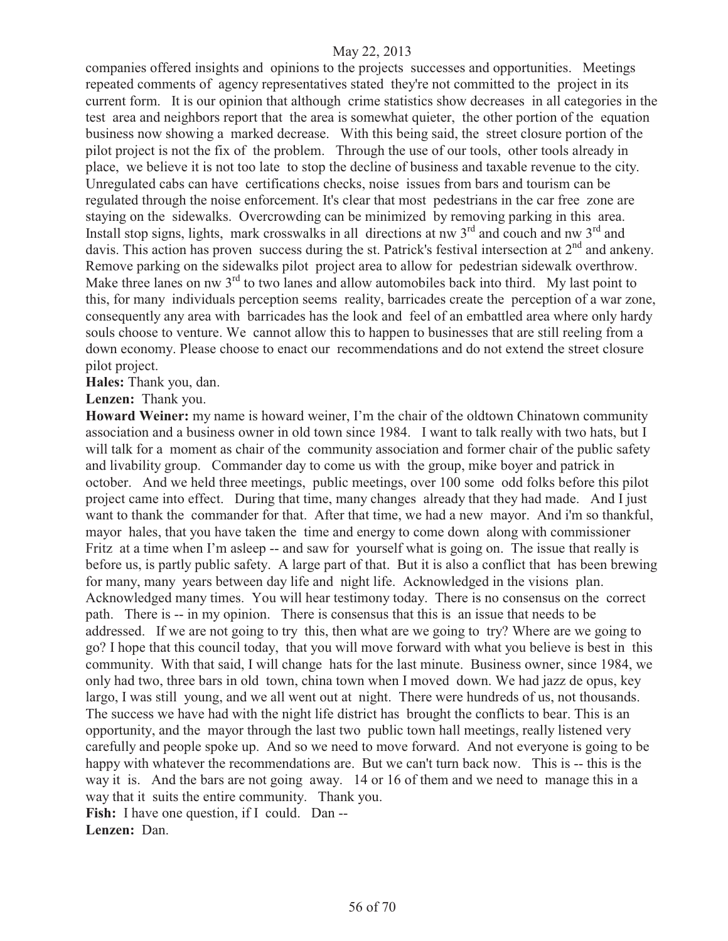companies offered insights and opinions to the projects successes and opportunities. Meetings repeated comments of agency representatives stated they're not committed to the project in its current form. It is our opinion that although crime statistics show decreases in all categories in the test area and neighbors report that the area is somewhat quieter, the other portion of the equation business now showing a marked decrease. With this being said, the street closure portion of the pilot project is not the fix of the problem. Through the use of our tools, other tools already in place, we believe it is not too late to stop the decline of business and taxable revenue to the city. Unregulated cabs can have certifications checks, noise issues from bars and tourism can be regulated through the noise enforcement. It's clear that most pedestrians in the car free zone are staying on the sidewalks. Overcrowding can be minimized by removing parking in this area. Install stop signs, lights, mark crosswalks in all directions at nw  $3<sup>rd</sup>$  and couch and nw  $3<sup>rd</sup>$  and davis. This action has proven success during the st. Patrick's festival intersection at 2<sup>nd</sup> and ankeny. Remove parking on the sidewalks pilot project area to allow for pedestrian sidewalk overthrow. Make three lanes on nw 3<sup>rd</sup> to two lanes and allow automobiles back into third. My last point to this, for many individuals perception seems reality, barricades create the perception of a war zone, consequently any area with barricades has the look and feel of an embattled area where only hardy souls choose to venture. We cannot allow this to happen to businesses that are still reeling from a down economy. Please choose to enact our recommendations and do not extend the street closure pilot project.

**Hales:** Thank you, dan.

**Lenzen:** Thank you.

**Howard Weiner:** my name is howard weiner, I'm the chair of the oldtown Chinatown community association and a business owner in old town since 1984. I want to talk really with two hats, but I will talk for a moment as chair of the community association and former chair of the public safety and livability group. Commander day to come us with the group, mike boyer and patrick in october. And we held three meetings, public meetings, over 100 some odd folks before this pilot project came into effect. During that time, many changes already that they had made. And I just want to thank the commander for that. After that time, we had a new mayor. And i'm so thankful, mayor hales, that you have taken the time and energy to come down along with commissioner Fritz at a time when I'm asleep -- and saw for yourself what is going on. The issue that really is before us, is partly public safety. A large part of that. But it is also a conflict that has been brewing for many, many years between day life and night life. Acknowledged in the visions plan. Acknowledged many times. You will hear testimony today. There is no consensus on the correct path. There is -- in my opinion. There is consensus that this is an issue that needs to be addressed. If we are not going to try this, then what are we going to try? Where are we going to go? I hope that this council today, that you will move forward with what you believe is best in this community. With that said, I will change hats for the last minute. Business owner, since 1984, we only had two, three bars in old town, china town when I moved down. We had jazz de opus, key largo, I was still young, and we all went out at night. There were hundreds of us, not thousands. The success we have had with the night life district has brought the conflicts to bear. This is an opportunity, and the mayor through the last two public town hall meetings, really listened very carefully and people spoke up. And so we need to move forward. And not everyone is going to be happy with whatever the recommendations are. But we can't turn back now. This is -- this is the way it is. And the bars are not going away. 14 or 16 of them and we need to manage this in a way that it suits the entire community. Thank you. Fish: I have one question, if I could. Dan --

**Lenzen:** Dan.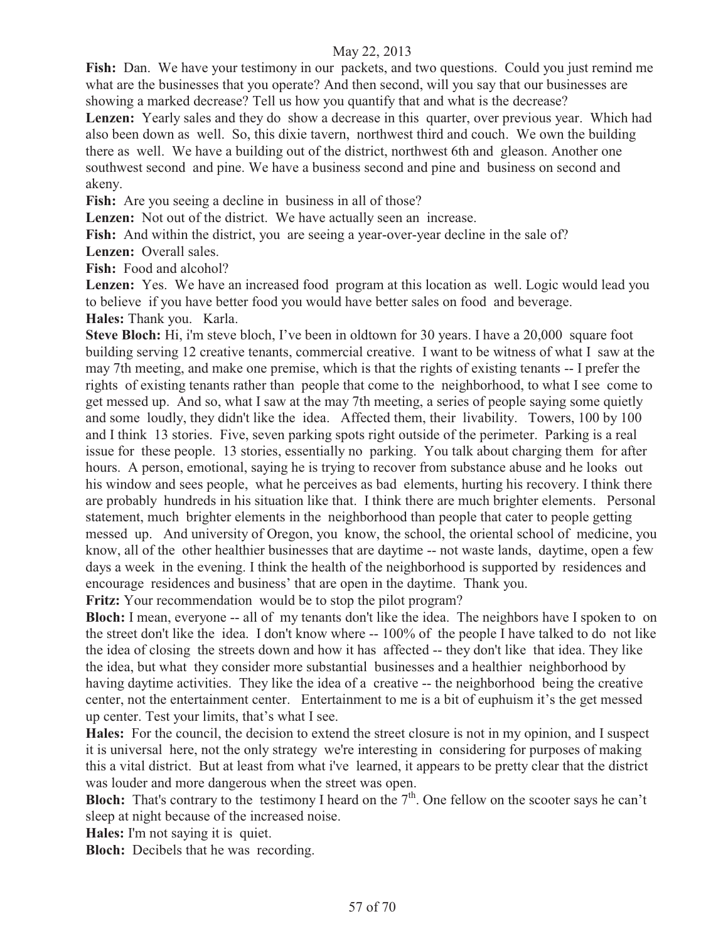Fish: Dan. We have your testimony in our packets, and two questions. Could you just remind me what are the businesses that you operate? And then second, will you say that our businesses are showing a marked decrease? Tell us how you quantify that and what is the decrease?

Lenzen: Yearly sales and they do show a decrease in this quarter, over previous year. Which had also been down as well. So, this dixie tavern, northwest third and couch. We own the building there as well. We have a building out of the district, northwest 6th and gleason. Another one southwest second and pine. We have a business second and pine and business on second and akeny.

**Fish:** Are you seeing a decline in business in all of those?

Lenzen: Not out of the district. We have actually seen an increase.

Fish: And within the district, you are seeing a year-over-year decline in the sale of?

**Lenzen:** Overall sales.

**Fish:** Food and alcohol?

**Lenzen:** Yes. We have an increased food program at this location as well. Logic would lead you to believe if you have better food you would have better sales on food and beverage.

**Hales:** Thank you. Karla.

**Steve Bloch:** Hi, i'm steve bloch, I've been in oldtown for 30 years. I have a 20,000 square foot building serving 12 creative tenants, commercial creative. I want to be witness of what I saw at the may 7th meeting, and make one premise, which is that the rights of existing tenants -- I prefer the rights of existing tenants rather than people that come to the neighborhood, to what I see come to get messed up. And so, what I saw at the may 7th meeting, a series of people saying some quietly and some loudly, they didn't like the idea. Affected them, their livability. Towers, 100 by 100 and I think 13 stories. Five, seven parking spots right outside of the perimeter. Parking is a real issue for these people. 13 stories, essentially no parking. You talk about charging them for after hours. A person, emotional, saying he is trying to recover from substance abuse and he looks out his window and sees people, what he perceives as bad elements, hurting his recovery. I think there are probably hundreds in his situation like that. I think there are much brighter elements. Personal statement, much brighter elements in the neighborhood than people that cater to people getting messed up. And university of Oregon, you know, the school, the oriental school of medicine, you know, all of the other healthier businesses that are daytime -- not waste lands, daytime, open a few days a week in the evening. I think the health of the neighborhood is supported by residences and encourage residences and business' that are open in the daytime. Thank you.

**Fritz:** Your recommendation would be to stop the pilot program?

**Bloch:** I mean, everyone -- all of my tenants don't like the idea. The neighbors have I spoken to on the street don't like the idea. I don't know where -- 100% of the people I have talked to do not like the idea of closing the streets down and how it has affected -- they don't like that idea. They like the idea, but what they consider more substantial businesses and a healthier neighborhood by having daytime activities. They like the idea of a creative -- the neighborhood being the creative center, not the entertainment center. Entertainment to me is a bit of euphuism it's the get messed up center. Test your limits, that's what I see.

**Hales:** For the council, the decision to extend the street closure is not in my opinion, and I suspect it is universal here, not the only strategy we're interesting in considering for purposes of making this a vital district. But at least from what i've learned, it appears to be pretty clear that the district was louder and more dangerous when the street was open.

**Bloch:** That's contrary to the testimony I heard on the  $7<sup>th</sup>$ . One fellow on the scooter says he can't sleep at night because of the increased noise.

**Hales:** I'm not saying it is quiet.

**Bloch:** Decibels that he was recording.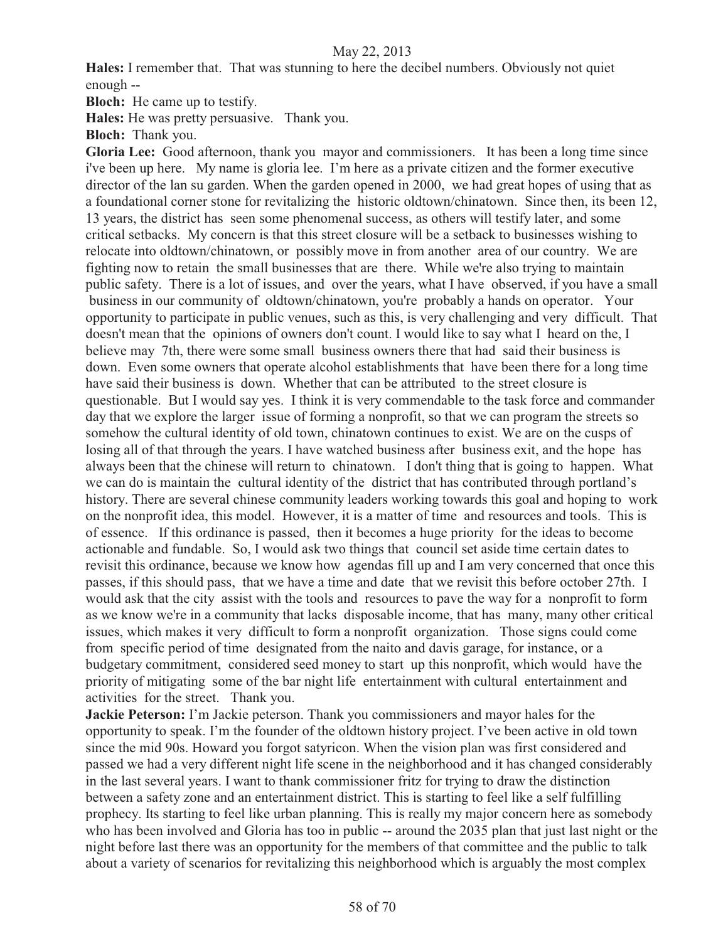**Hales:** I remember that. That was stunning to here the decibel numbers. Obviously not quiet enough --

**Bloch:** He came up to testify.

**Hales:** He was pretty persuasive. Thank you.

**Bloch:** Thank you.

**Gloria Lee:** Good afternoon, thank you mayor and commissioners. It has been a long time since i've been up here. My name is gloria lee. I'm here as a private citizen and the former executive director of the lan su garden. When the garden opened in 2000, we had great hopes of using that as a foundational corner stone for revitalizing the historic oldtown/chinatown. Since then, its been 12, 13 years, the district has seen some phenomenal success, as others will testify later, and some critical setbacks. My concern is that this street closure will be a setback to businesses wishing to relocate into oldtown/chinatown, or possibly move in from another area of our country. We are fighting now to retain the small businesses that are there. While we're also trying to maintain public safety. There is a lot of issues, and over the years, what I have observed, if you have a small business in our community of oldtown/chinatown, you're probably a hands on operator. Your opportunity to participate in public venues, such as this, is very challenging and very difficult. That doesn't mean that the opinions of owners don't count. I would like to say what I heard on the, I believe may 7th, there were some small business owners there that had said their business is down. Even some owners that operate alcohol establishments that have been there for a long time have said their business is down. Whether that can be attributed to the street closure is questionable. But I would say yes. I think it is very commendable to the task force and commander day that we explore the larger issue of forming a nonprofit, so that we can program the streets so somehow the cultural identity of old town, chinatown continues to exist. We are on the cusps of losing all of that through the years. I have watched business after business exit, and the hope has always been that the chinese will return to chinatown. I don't thing that is going to happen. What we can do is maintain the cultural identity of the district that has contributed through portland's history. There are several chinese community leaders working towards this goal and hoping to work on the nonprofit idea, this model. However, it is a matter of time and resources and tools. This is of essence. If this ordinance is passed, then it becomes a huge priority for the ideas to become actionable and fundable. So, I would ask two things that council set aside time certain dates to revisit this ordinance, because we know how agendas fill up and I am very concerned that once this passes, if this should pass, that we have a time and date that we revisit this before october 27th. I would ask that the city assist with the tools and resources to pave the way for a nonprofit to form as we know we're in a community that lacks disposable income, that has many, many other critical issues, which makes it very difficult to form a nonprofit organization. Those signs could come from specific period of time designated from the naito and davis garage, for instance, or a budgetary commitment, considered seed money to start up this nonprofit, which would have the priority of mitigating some of the bar night life entertainment with cultural entertainment and activities for the street. Thank you.

**Jackie Peterson:** I'm Jackie peterson. Thank you commissioners and mayor hales for the opportunity to speak. I'm the founder of the oldtown history project. I've been active in old town since the mid 90s. Howard you forgot satyricon. When the vision plan was first considered and passed we had a very different night life scene in the neighborhood and it has changed considerably in the last several years. I want to thank commissioner fritz for trying to draw the distinction between a safety zone and an entertainment district. This is starting to feel like a self fulfilling prophecy. Its starting to feel like urban planning. This is really my major concern here as somebody who has been involved and Gloria has too in public -- around the 2035 plan that just last night or the night before last there was an opportunity for the members of that committee and the public to talk about a variety of scenarios for revitalizing this neighborhood which is arguably the most complex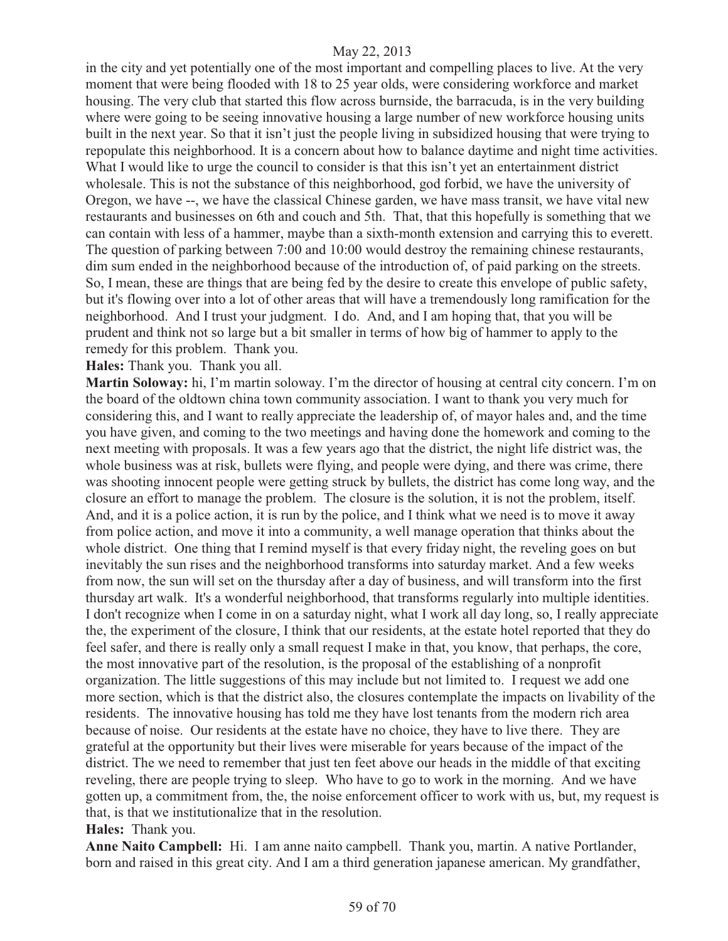in the city and yet potentially one of the most important and compelling places to live. At the very moment that were being flooded with 18 to 25 year olds, were considering workforce and market housing. The very club that started this flow across burnside, the barracuda, is in the very building where were going to be seeing innovative housing a large number of new workforce housing units built in the next year. So that it isn't just the people living in subsidized housing that were trying to repopulate this neighborhood. It is a concern about how to balance daytime and night time activities. What I would like to urge the council to consider is that this isn't yet an entertainment district wholesale. This is not the substance of this neighborhood, god forbid, we have the university of Oregon, we have --, we have the classical Chinese garden, we have mass transit, we have vital new restaurants and businesses on 6th and couch and 5th. That, that this hopefully is something that we can contain with less of a hammer, maybe than a sixth-month extension and carrying this to everett. The question of parking between 7:00 and 10:00 would destroy the remaining chinese restaurants, dim sum ended in the neighborhood because of the introduction of, of paid parking on the streets. So, I mean, these are things that are being fed by the desire to create this envelope of public safety, but it's flowing over into a lot of other areas that will have a tremendously long ramification for the neighborhood. And I trust your judgment. I do. And, and I am hoping that, that you will be prudent and think not so large but a bit smaller in terms of how big of hammer to apply to the remedy for this problem. Thank you.

**Hales:** Thank you. Thank you all.

**Martin Soloway:** hi, I'm martin soloway. I'm the director of housing at central city concern. I'm on the board of the oldtown china town community association. I want to thank you very much for considering this, and I want to really appreciate the leadership of, of mayor hales and, and the time you have given, and coming to the two meetings and having done the homework and coming to the next meeting with proposals. It was a few years ago that the district, the night life district was, the whole business was at risk, bullets were flying, and people were dying, and there was crime, there was shooting innocent people were getting struck by bullets, the district has come long way, and the closure an effort to manage the problem. The closure is the solution, it is not the problem, itself. And, and it is a police action, it is run by the police, and I think what we need is to move it away from police action, and move it into a community, a well manage operation that thinks about the whole district. One thing that I remind myself is that every friday night, the reveling goes on but inevitably the sun rises and the neighborhood transforms into saturday market. And a few weeks from now, the sun will set on the thursday after a day of business, and will transform into the first thursday art walk. It's a wonderful neighborhood, that transforms regularly into multiple identities. I don't recognize when I come in on a saturday night, what I work all day long, so, I really appreciate the, the experiment of the closure, I think that our residents, at the estate hotel reported that they do feel safer, and there is really only a small request I make in that, you know, that perhaps, the core, the most innovative part of the resolution, is the proposal of the establishing of a nonprofit organization. The little suggestions of this may include but not limited to. I request we add one more section, which is that the district also, the closures contemplate the impacts on livability of the residents. The innovative housing has told me they have lost tenants from the modern rich area because of noise. Our residents at the estate have no choice, they have to live there. They are grateful at the opportunity but their lives were miserable for years because of the impact of the district. The we need to remember that just ten feet above our heads in the middle of that exciting reveling, there are people trying to sleep. Who have to go to work in the morning. And we have gotten up, a commitment from, the, the noise enforcement officer to work with us, but, my request is that, is that we institutionalize that in the resolution.

#### **Hales:** Thank you.

**Anne Naito Campbell:** Hi. I am anne naito campbell. Thank you, martin. A native Portlander, born and raised in this great city. And I am a third generation japanese american. My grandfather,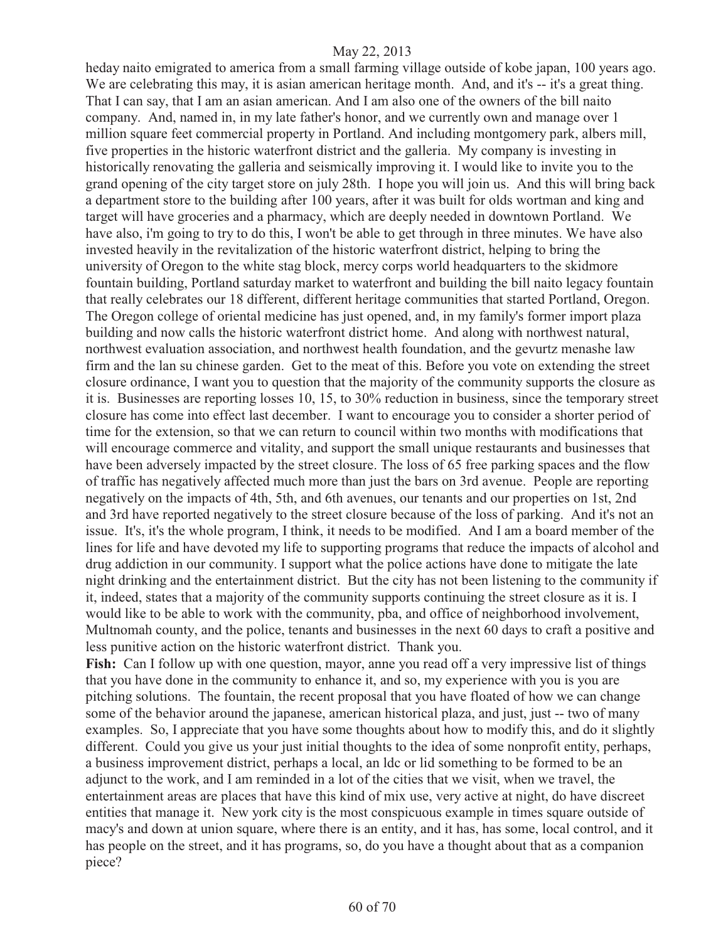heday naito emigrated to america from a small farming village outside of kobe japan, 100 years ago. We are celebrating this may, it is asian american heritage month. And, and it's -- it's a great thing. That I can say, that I am an asian american. And I am also one of the owners of the bill naito company. And, named in, in my late father's honor, and we currently own and manage over 1 million square feet commercial property in Portland. And including montgomery park, albers mill, five properties in the historic waterfront district and the galleria. My company is investing in historically renovating the galleria and seismically improving it. I would like to invite you to the grand opening of the city target store on july 28th. I hope you will join us. And this will bring back a department store to the building after 100 years, after it was built for olds wortman and king and target will have groceries and a pharmacy, which are deeply needed in downtown Portland. We have also, i'm going to try to do this, I won't be able to get through in three minutes. We have also invested heavily in the revitalization of the historic waterfront district, helping to bring the university of Oregon to the white stag block, mercy corps world headquarters to the skidmore fountain building, Portland saturday market to waterfront and building the bill naito legacy fountain that really celebrates our 18 different, different heritage communities that started Portland, Oregon. The Oregon college of oriental medicine has just opened, and, in my family's former import plaza building and now calls the historic waterfront district home. And along with northwest natural, northwest evaluation association, and northwest health foundation, and the gevurtz menashe law firm and the lan su chinese garden. Get to the meat of this. Before you vote on extending the street closure ordinance, I want you to question that the majority of the community supports the closure as it is. Businesses are reporting losses 10, 15, to 30% reduction in business, since the temporary street closure has come into effect last december. I want to encourage you to consider a shorter period of time for the extension, so that we can return to council within two months with modifications that will encourage commerce and vitality, and support the small unique restaurants and businesses that have been adversely impacted by the street closure. The loss of 65 free parking spaces and the flow of traffic has negatively affected much more than just the bars on 3rd avenue. People are reporting negatively on the impacts of 4th, 5th, and 6th avenues, our tenants and our properties on 1st, 2nd and 3rd have reported negatively to the street closure because of the loss of parking. And it's not an issue. It's, it's the whole program, I think, it needs to be modified. And I am a board member of the lines for life and have devoted my life to supporting programs that reduce the impacts of alcohol and drug addiction in our community. I support what the police actions have done to mitigate the late night drinking and the entertainment district. But the city has not been listening to the community if it, indeed, states that a majority of the community supports continuing the street closure as it is. I would like to be able to work with the community, pba, and office of neighborhood involvement, Multnomah county, and the police, tenants and businesses in the next 60 days to craft a positive and less punitive action on the historic waterfront district. Thank you.

Fish: Can I follow up with one question, mayor, anne you read off a very impressive list of things that you have done in the community to enhance it, and so, my experience with you is you are pitching solutions. The fountain, the recent proposal that you have floated of how we can change some of the behavior around the japanese, american historical plaza, and just, just -- two of many examples. So, I appreciate that you have some thoughts about how to modify this, and do it slightly different. Could you give us your just initial thoughts to the idea of some nonprofit entity, perhaps, a business improvement district, perhaps a local, an ldc or lid something to be formed to be an adjunct to the work, and I am reminded in a lot of the cities that we visit, when we travel, the entertainment areas are places that have this kind of mix use, very active at night, do have discreet entities that manage it. New york city is the most conspicuous example in times square outside of macy's and down at union square, where there is an entity, and it has, has some, local control, and it has people on the street, and it has programs, so, do you have a thought about that as a companion piece?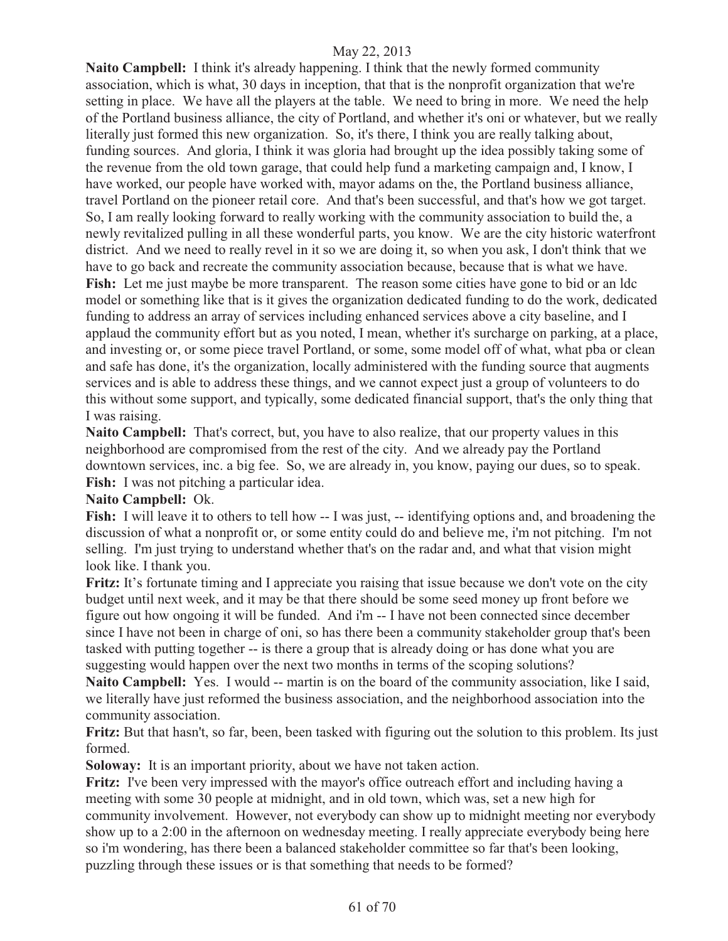**Naito Campbell:** I think it's already happening. I think that the newly formed community association, which is what, 30 days in inception, that that is the nonprofit organization that we're setting in place. We have all the players at the table. We need to bring in more. We need the help of the Portland business alliance, the city of Portland, and whether it's oni or whatever, but we really literally just formed this new organization. So, it's there, I think you are really talking about, funding sources. And gloria, I think it was gloria had brought up the idea possibly taking some of the revenue from the old town garage, that could help fund a marketing campaign and, I know, I have worked, our people have worked with, mayor adams on the, the Portland business alliance, travel Portland on the pioneer retail core. And that's been successful, and that's how we got target. So, I am really looking forward to really working with the community association to build the, a newly revitalized pulling in all these wonderful parts, you know. We are the city historic waterfront district. And we need to really revel in it so we are doing it, so when you ask, I don't think that we have to go back and recreate the community association because, because that is what we have. Fish: Let me just maybe be more transparent. The reason some cities have gone to bid or an ldc model or something like that is it gives the organization dedicated funding to do the work, dedicated funding to address an array of services including enhanced services above a city baseline, and I applaud the community effort but as you noted, I mean, whether it's surcharge on parking, at a place, and investing or, or some piece travel Portland, or some, some model off of what, what pba or clean and safe has done, it's the organization, locally administered with the funding source that augments services and is able to address these things, and we cannot expect just a group of volunteers to do this without some support, and typically, some dedicated financial support, that's the only thing that I was raising.

**Naito Campbell:** That's correct, but, you have to also realize, that our property values in this neighborhood are compromised from the rest of the city. And we already pay the Portland downtown services, inc. a big fee. So, we are already in, you know, paying our dues, so to speak. **Fish:** I was not pitching a particular idea.

#### **Naito Campbell:** Ok.

**Fish:** I will leave it to others to tell how -- I was just, -- identifying options and, and broadening the discussion of what a nonprofit or, or some entity could do and believe me, i'm not pitching. I'm not selling. I'm just trying to understand whether that's on the radar and, and what that vision might look like. I thank you.

**Fritz:** It's fortunate timing and I appreciate you raising that issue because we don't vote on the city budget until next week, and it may be that there should be some seed money up front before we figure out how ongoing it will be funded. And i'm -- I have not been connected since december since I have not been in charge of oni, so has there been a community stakeholder group that's been tasked with putting together -- is there a group that is already doing or has done what you are suggesting would happen over the next two months in terms of the scoping solutions?

Naito Campbell: Yes. I would -- martin is on the board of the community association, like I said, we literally have just reformed the business association, and the neighborhood association into the community association.

**Fritz:** But that hasn't, so far, been, been tasked with figuring out the solution to this problem. Its just formed.

**Soloway:** It is an important priority, about we have not taken action.

Fritz: I've been very impressed with the mayor's office outreach effort and including having a meeting with some 30 people at midnight, and in old town, which was, set a new high for community involvement. However, not everybody can show up to midnight meeting nor everybody show up to a 2:00 in the afternoon on wednesday meeting. I really appreciate everybody being here so i'm wondering, has there been a balanced stakeholder committee so far that's been looking, puzzling through these issues or is that something that needs to be formed?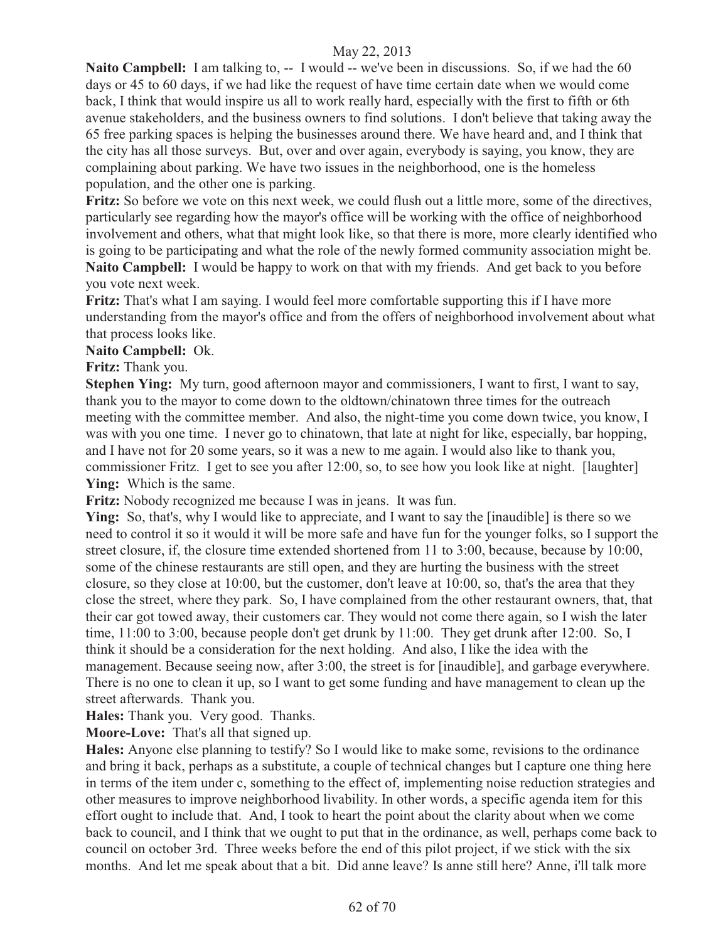**Naito Campbell:** I am talking to, -- I would -- we've been in discussions. So, if we had the 60 days or 45 to 60 days, if we had like the request of have time certain date when we would come back, I think that would inspire us all to work really hard, especially with the first to fifth or 6th avenue stakeholders, and the business owners to find solutions. I don't believe that taking away the 65 free parking spaces is helping the businesses around there. We have heard and, and I think that the city has all those surveys. But, over and over again, everybody is saying, you know, they are complaining about parking. We have two issues in the neighborhood, one is the homeless population, and the other one is parking.

**Fritz:** So before we vote on this next week, we could flush out a little more, some of the directives, particularly see regarding how the mayor's office will be working with the office of neighborhood involvement and others, what that might look like, so that there is more, more clearly identified who is going to be participating and what the role of the newly formed community association might be. **Naito Campbell:** I would be happy to work on that with my friends. And get back to you before you vote next week.

**Fritz:** That's what I am saying. I would feel more comfortable supporting this if I have more understanding from the mayor's office and from the offers of neighborhood involvement about what that process looks like.

**Naito Campbell:** Ok.

#### **Fritz:** Thank you.

**Stephen Ying:** My turn, good afternoon mayor and commissioners, I want to first, I want to say, thank you to the mayor to come down to the oldtown/chinatown three times for the outreach meeting with the committee member. And also, the night-time you come down twice, you know, I was with you one time. I never go to chinatown, that late at night for like, especially, bar hopping, and I have not for 20 some years, so it was a new to me again. I would also like to thank you, commissioner Fritz. I get to see you after 12:00, so, to see how you look like at night. [laughter] **Ying:** Which is the same.

**Fritz:** Nobody recognized me because I was in jeans. It was fun.

**Ying:** So, that's, why I would like to appreciate, and I want to say the [inaudible] is there so we need to control it so it would it will be more safe and have fun for the younger folks, so I support the street closure, if, the closure time extended shortened from 11 to 3:00, because, because by 10:00, some of the chinese restaurants are still open, and they are hurting the business with the street closure, so they close at 10:00, but the customer, don't leave at 10:00, so, that's the area that they close the street, where they park. So, I have complained from the other restaurant owners, that, that their car got towed away, their customers car. They would not come there again, so I wish the later time, 11:00 to 3:00, because people don't get drunk by 11:00. They get drunk after 12:00. So, I think it should be a consideration for the next holding. And also, I like the idea with the management. Because seeing now, after 3:00, the street is for [inaudible], and garbage everywhere. There is no one to clean it up, so I want to get some funding and have management to clean up the street afterwards. Thank you.

**Hales:** Thank you. Very good. Thanks.

**Moore-Love:** That's all that signed up.

**Hales:** Anyone else planning to testify? So I would like to make some, revisions to the ordinance and bring it back, perhaps as a substitute, a couple of technical changes but I capture one thing here in terms of the item under c, something to the effect of, implementing noise reduction strategies and other measures to improve neighborhood livability. In other words, a specific agenda item for this effort ought to include that. And, I took to heart the point about the clarity about when we come back to council, and I think that we ought to put that in the ordinance, as well, perhaps come back to council on october 3rd. Three weeks before the end of this pilot project, if we stick with the six months. And let me speak about that a bit. Did anne leave? Is anne still here? Anne, i'll talk more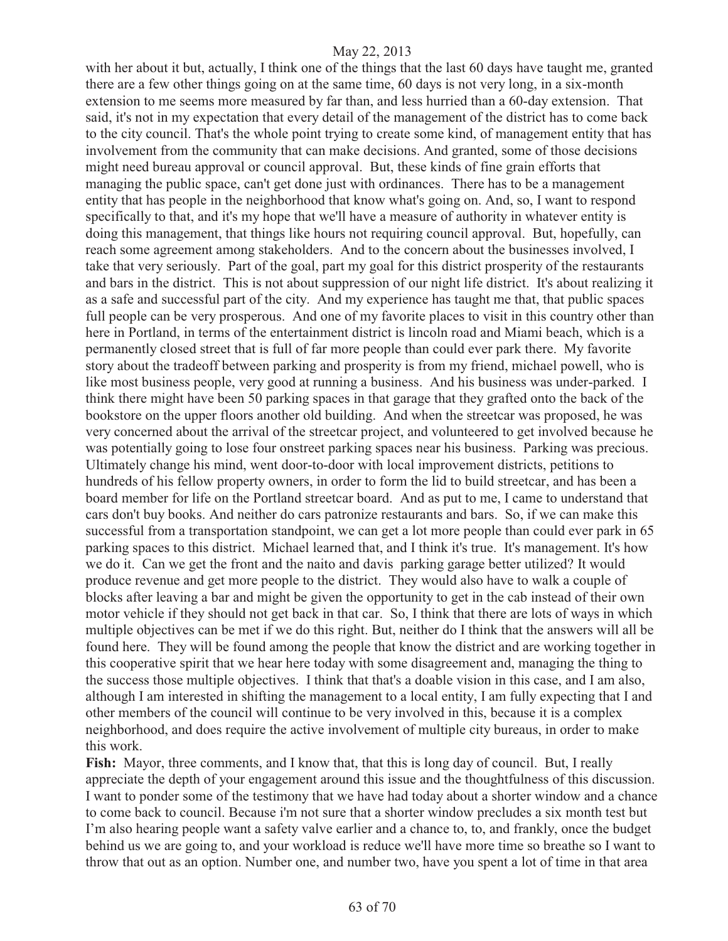with her about it but, actually, I think one of the things that the last 60 days have taught me, granted there are a few other things going on at the same time, 60 days is not very long, in a six-month extension to me seems more measured by far than, and less hurried than a 60-day extension. That said, it's not in my expectation that every detail of the management of the district has to come back to the city council. That's the whole point trying to create some kind, of management entity that has involvement from the community that can make decisions. And granted, some of those decisions might need bureau approval or council approval. But, these kinds of fine grain efforts that managing the public space, can't get done just with ordinances. There has to be a management entity that has people in the neighborhood that know what's going on. And, so, I want to respond specifically to that, and it's my hope that we'll have a measure of authority in whatever entity is doing this management, that things like hours not requiring council approval. But, hopefully, can reach some agreement among stakeholders. And to the concern about the businesses involved, I take that very seriously. Part of the goal, part my goal for this district prosperity of the restaurants and bars in the district. This is not about suppression of our night life district. It's about realizing it as a safe and successful part of the city. And my experience has taught me that, that public spaces full people can be very prosperous. And one of my favorite places to visit in this country other than here in Portland, in terms of the entertainment district is lincoln road and Miami beach, which is a permanently closed street that is full of far more people than could ever park there. My favorite story about the tradeoff between parking and prosperity is from my friend, michael powell, who is like most business people, very good at running a business. And his business was under-parked. I think there might have been 50 parking spaces in that garage that they grafted onto the back of the bookstore on the upper floors another old building. And when the streetcar was proposed, he was very concerned about the arrival of the streetcar project, and volunteered to get involved because he was potentially going to lose four onstreet parking spaces near his business. Parking was precious. Ultimately change his mind, went door-to-door with local improvement districts, petitions to hundreds of his fellow property owners, in order to form the lid to build streetcar, and has been a board member for life on the Portland streetcar board. And as put to me, I came to understand that cars don't buy books. And neither do cars patronize restaurants and bars. So, if we can make this successful from a transportation standpoint, we can get a lot more people than could ever park in 65 parking spaces to this district. Michael learned that, and I think it's true. It's management. It's how we do it. Can we get the front and the naito and davis parking garage better utilized? It would produce revenue and get more people to the district. They would also have to walk a couple of blocks after leaving a bar and might be given the opportunity to get in the cab instead of their own motor vehicle if they should not get back in that car. So, I think that there are lots of ways in which multiple objectives can be met if we do this right. But, neither do I think that the answers will all be found here. They will be found among the people that know the district and are working together in this cooperative spirit that we hear here today with some disagreement and, managing the thing to the success those multiple objectives. I think that that's a doable vision in this case, and I am also, although I am interested in shifting the management to a local entity, I am fully expecting that I and other members of the council will continue to be very involved in this, because it is a complex neighborhood, and does require the active involvement of multiple city bureaus, in order to make this work.

**Fish:** Mayor, three comments, and I know that, that this is long day of council. But, I really appreciate the depth of your engagement around this issue and the thoughtfulness of this discussion. I want to ponder some of the testimony that we have had today about a shorter window and a chance to come back to council. Because i'm not sure that a shorter window precludes a six month test but I'm also hearing people want a safety valve earlier and a chance to, to, and frankly, once the budget behind us we are going to, and your workload is reduce we'll have more time so breathe so I want to throw that out as an option. Number one, and number two, have you spent a lot of time in that area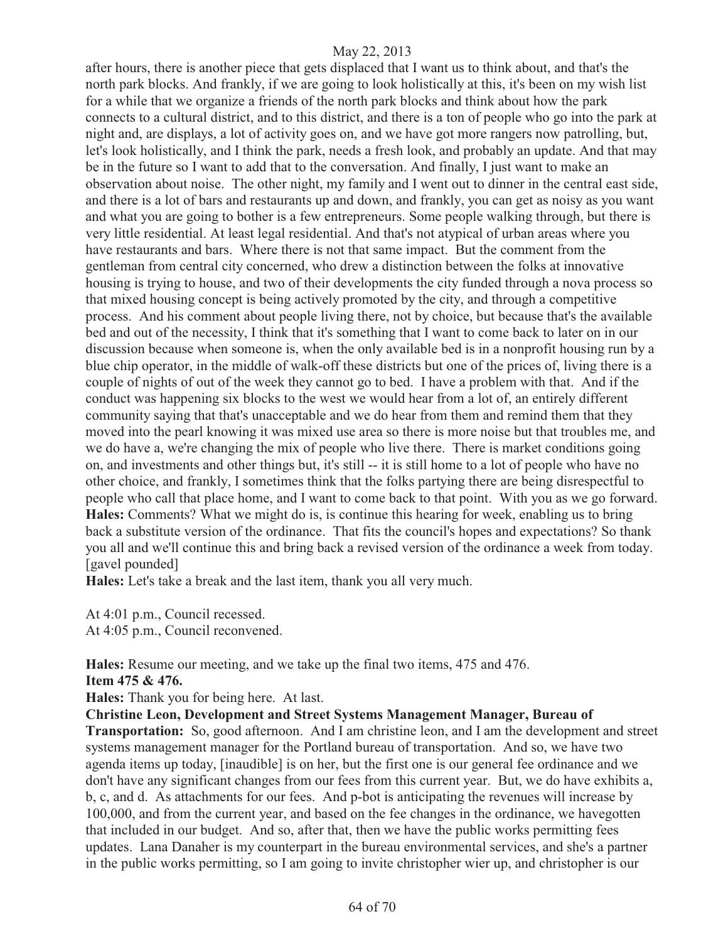after hours, there is another piece that gets displaced that I want us to think about, and that's the north park blocks. And frankly, if we are going to look holistically at this, it's been on my wish list for a while that we organize a friends of the north park blocks and think about how the park connects to a cultural district, and to this district, and there is a ton of people who go into the park at night and, are displays, a lot of activity goes on, and we have got more rangers now patrolling, but, let's look holistically, and I think the park, needs a fresh look, and probably an update. And that may be in the future so I want to add that to the conversation. And finally, I just want to make an observation about noise. The other night, my family and I went out to dinner in the central east side, and there is a lot of bars and restaurants up and down, and frankly, you can get as noisy as you want and what you are going to bother is a few entrepreneurs. Some people walking through, but there is very little residential. At least legal residential. And that's not atypical of urban areas where you have restaurants and bars. Where there is not that same impact. But the comment from the gentleman from central city concerned, who drew a distinction between the folks at innovative housing is trying to house, and two of their developments the city funded through a nova process so that mixed housing concept is being actively promoted by the city, and through a competitive process. And his comment about people living there, not by choice, but because that's the available bed and out of the necessity, I think that it's something that I want to come back to later on in our discussion because when someone is, when the only available bed is in a nonprofit housing run by a blue chip operator, in the middle of walk-off these districts but one of the prices of, living there is a couple of nights of out of the week they cannot go to bed. I have a problem with that. And if the conduct was happening six blocks to the west we would hear from a lot of, an entirely different community saying that that's unacceptable and we do hear from them and remind them that they moved into the pearl knowing it was mixed use area so there is more noise but that troubles me, and we do have a, we're changing the mix of people who live there. There is market conditions going on, and investments and other things but, it's still -- it is still home to a lot of people who have no other choice, and frankly, I sometimes think that the folks partying there are being disrespectful to people who call that place home, and I want to come back to that point. With you as we go forward. **Hales:** Comments? What we might do is, is continue this hearing for week, enabling us to bring back a substitute version of the ordinance. That fits the council's hopes and expectations? So thank you all and we'll continue this and bring back a revised version of the ordinance a week from today. [gavel pounded]

**Hales:** Let's take a break and the last item, thank you all very much.

At 4:01 p.m., Council recessed. At 4:05 p.m., Council reconvened.

**Hales:** Resume our meeting, and we take up the final two items, 475 and 476. **Item 475 & 476.** 

**Hales:** Thank you for being here. At last.

**Christine Leon, Development and Street Systems Management Manager, Bureau of** 

**Transportation:** So, good afternoon. And I am christine leon, and I am the development and street systems management manager for the Portland bureau of transportation. And so, we have two agenda items up today, [inaudible] is on her, but the first one is our general fee ordinance and we don't have any significant changes from our fees from this current year. But, we do have exhibits a, b, c, and d. As attachments for our fees. And p-bot is anticipating the revenues will increase by 100,000, and from the current year, and based on the fee changes in the ordinance, we havegotten that included in our budget. And so, after that, then we have the public works permitting fees updates. Lana Danaher is my counterpart in the bureau environmental services, and she's a partner in the public works permitting, so I am going to invite christopher wier up, and christopher is our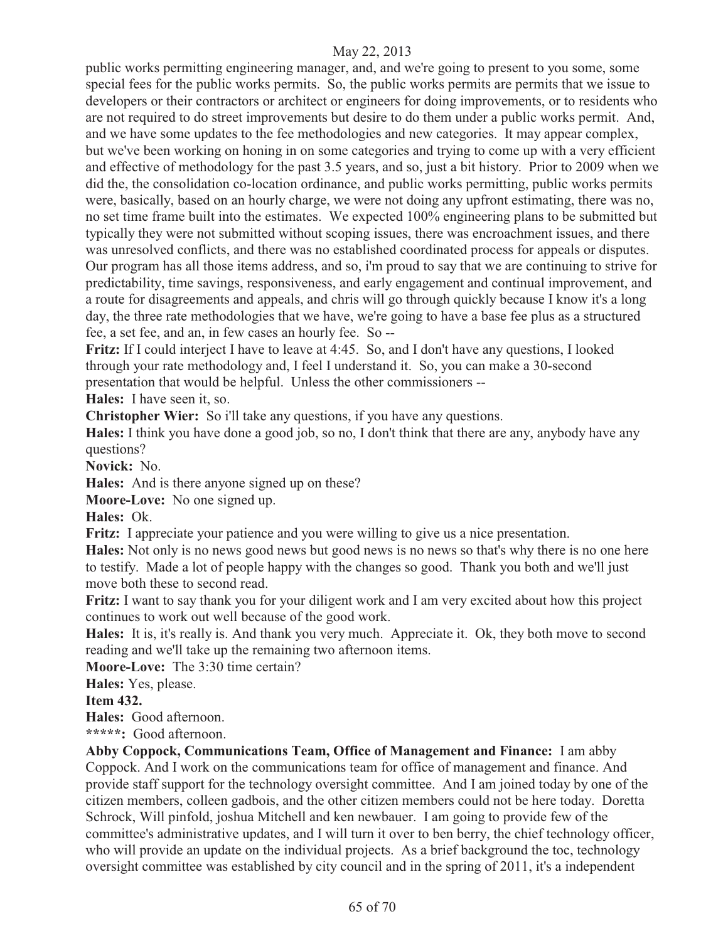public works permitting engineering manager, and, and we're going to present to you some, some special fees for the public works permits. So, the public works permits are permits that we issue to developers or their contractors or architect or engineers for doing improvements, or to residents who are not required to do street improvements but desire to do them under a public works permit. And, and we have some updates to the fee methodologies and new categories. It may appear complex, but we've been working on honing in on some categories and trying to come up with a very efficient and effective of methodology for the past 3.5 years, and so, just a bit history. Prior to 2009 when we did the, the consolidation co-location ordinance, and public works permitting, public works permits were, basically, based on an hourly charge, we were not doing any upfront estimating, there was no, no set time frame built into the estimates. We expected 100% engineering plans to be submitted but typically they were not submitted without scoping issues, there was encroachment issues, and there was unresolved conflicts, and there was no established coordinated process for appeals or disputes. Our program has all those items address, and so, i'm proud to say that we are continuing to strive for predictability, time savings, responsiveness, and early engagement and continual improvement, and a route for disagreements and appeals, and chris will go through quickly because I know it's a long day, the three rate methodologies that we have, we're going to have a base fee plus as a structured fee, a set fee, and an, in few cases an hourly fee. So --

**Fritz:** If I could interject I have to leave at 4:45. So, and I don't have any questions, I looked through your rate methodology and, I feel I understand it. So, you can make a 30-second presentation that would be helpful. Unless the other commissioners --

**Hales:** I have seen it, so.

**Christopher Wier:** So i'll take any questions, if you have any questions.

**Hales:** I think you have done a good job, so no, I don't think that there are any, anybody have any questions?

**Novick:** No.

**Hales:** And is there anyone signed up on these?

**Moore-Love:** No one signed up.

**Hales:** Ok.

**Fritz:** I appreciate your patience and you were willing to give us a nice presentation.

**Hales:** Not only is no news good news but good news is no news so that's why there is no one here to testify. Made a lot of people happy with the changes so good. Thank you both and we'll just move both these to second read.

**Fritz:** I want to say thank you for your diligent work and I am very excited about how this project continues to work out well because of the good work.

**Hales:** It is, it's really is. And thank you very much. Appreciate it. Ok, they both move to second reading and we'll take up the remaining two afternoon items.

**Moore-Love:** The 3:30 time certain?

**Hales:** Yes, please.

**Item 432.**

**Hales:** Good afternoon.

**\*\*\*\*\*:** Good afternoon.

**Abby Coppock, Communications Team, Office of Management and Finance:** I am abby Coppock. And I work on the communications team for office of management and finance. And provide staff support for the technology oversight committee. And I am joined today by one of the citizen members, colleen gadbois, and the other citizen members could not be here today. Doretta Schrock, Will pinfold, joshua Mitchell and ken newbauer. I am going to provide few of the committee's administrative updates, and I will turn it over to ben berry, the chief technology officer, who will provide an update on the individual projects. As a brief background the toc, technology oversight committee was established by city council and in the spring of 2011, it's a independent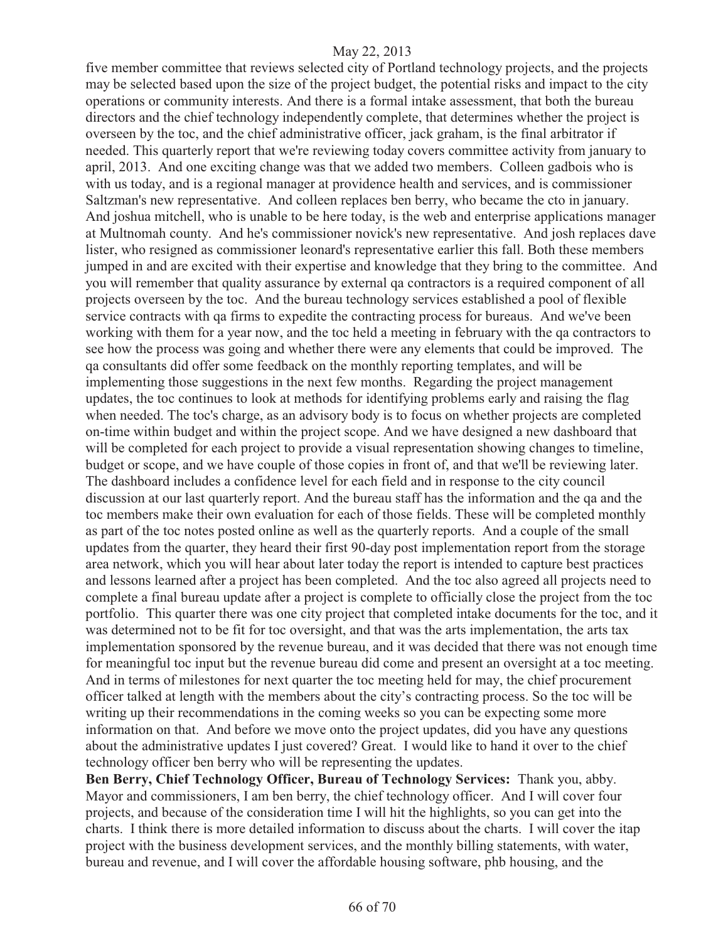five member committee that reviews selected city of Portland technology projects, and the projects may be selected based upon the size of the project budget, the potential risks and impact to the city operations or community interests. And there is a formal intake assessment, that both the bureau directors and the chief technology independently complete, that determines whether the project is overseen by the toc, and the chief administrative officer, jack graham, is the final arbitrator if needed. This quarterly report that we're reviewing today covers committee activity from january to april, 2013. And one exciting change was that we added two members. Colleen gadbois who is with us today, and is a regional manager at providence health and services, and is commissioner Saltzman's new representative. And colleen replaces ben berry, who became the cto in january. And joshua mitchell, who is unable to be here today, is the web and enterprise applications manager at Multnomah county. And he's commissioner novick's new representative. And josh replaces dave lister, who resigned as commissioner leonard's representative earlier this fall. Both these members jumped in and are excited with their expertise and knowledge that they bring to the committee. And you will remember that quality assurance by external qa contractors is a required component of all projects overseen by the toc. And the bureau technology services established a pool of flexible service contracts with qa firms to expedite the contracting process for bureaus. And we've been working with them for a year now, and the toc held a meeting in february with the qa contractors to see how the process was going and whether there were any elements that could be improved. The qa consultants did offer some feedback on the monthly reporting templates, and will be implementing those suggestions in the next few months. Regarding the project management updates, the toc continues to look at methods for identifying problems early and raising the flag when needed. The toc's charge, as an advisory body is to focus on whether projects are completed on-time within budget and within the project scope. And we have designed a new dashboard that will be completed for each project to provide a visual representation showing changes to timeline, budget or scope, and we have couple of those copies in front of, and that we'll be reviewing later. The dashboard includes a confidence level for each field and in response to the city council discussion at our last quarterly report. And the bureau staff has the information and the qa and the toc members make their own evaluation for each of those fields. These will be completed monthly as part of the toc notes posted online as well as the quarterly reports. And a couple of the small updates from the quarter, they heard their first 90-day post implementation report from the storage area network, which you will hear about later today the report is intended to capture best practices and lessons learned after a project has been completed. And the toc also agreed all projects need to complete a final bureau update after a project is complete to officially close the project from the toc portfolio. This quarter there was one city project that completed intake documents for the toc, and it was determined not to be fit for toc oversight, and that was the arts implementation, the arts tax implementation sponsored by the revenue bureau, and it was decided that there was not enough time for meaningful toc input but the revenue bureau did come and present an oversight at a toc meeting. And in terms of milestones for next quarter the toc meeting held for may, the chief procurement officer talked at length with the members about the city's contracting process. So the toc will be writing up their recommendations in the coming weeks so you can be expecting some more information on that. And before we move onto the project updates, did you have any questions about the administrative updates I just covered? Great. I would like to hand it over to the chief technology officer ben berry who will be representing the updates.

**Ben Berry, Chief Technology Officer, Bureau of Technology Services:** Thank you, abby. Mayor and commissioners, I am ben berry, the chief technology officer. And I will cover four projects, and because of the consideration time I will hit the highlights, so you can get into the charts. I think there is more detailed information to discuss about the charts. I will cover the itap project with the business development services, and the monthly billing statements, with water, bureau and revenue, and I will cover the affordable housing software, phb housing, and the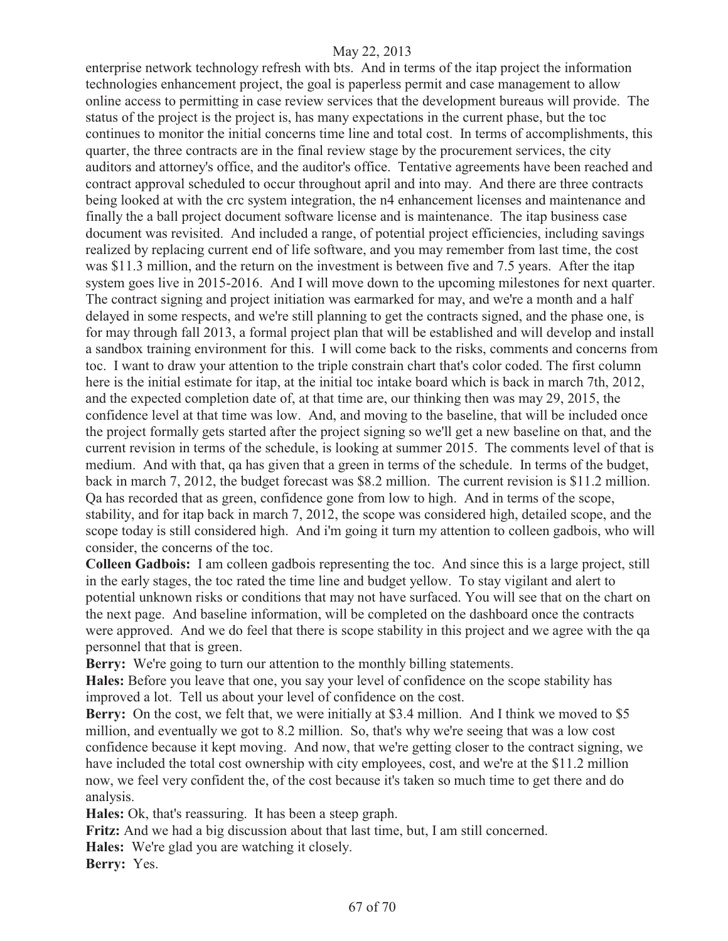enterprise network technology refresh with bts. And in terms of the itap project the information technologies enhancement project, the goal is paperless permit and case management to allow online access to permitting in case review services that the development bureaus will provide. The status of the project is the project is, has many expectations in the current phase, but the toc continues to monitor the initial concerns time line and total cost. In terms of accomplishments, this quarter, the three contracts are in the final review stage by the procurement services, the city auditors and attorney's office, and the auditor's office. Tentative agreements have been reached and contract approval scheduled to occur throughout april and into may. And there are three contracts being looked at with the crc system integration, the n4 enhancement licenses and maintenance and finally the a ball project document software license and is maintenance. The itap business case document was revisited. And included a range, of potential project efficiencies, including savings realized by replacing current end of life software, and you may remember from last time, the cost was \$11.3 million, and the return on the investment is between five and 7.5 years. After the itap system goes live in 2015-2016. And I will move down to the upcoming milestones for next quarter. The contract signing and project initiation was earmarked for may, and we're a month and a half delayed in some respects, and we're still planning to get the contracts signed, and the phase one, is for may through fall 2013, a formal project plan that will be established and will develop and install a sandbox training environment for this. I will come back to the risks, comments and concerns from toc. I want to draw your attention to the triple constrain chart that's color coded. The first column here is the initial estimate for itap, at the initial toc intake board which is back in march 7th, 2012, and the expected completion date of, at that time are, our thinking then was may 29, 2015, the confidence level at that time was low. And, and moving to the baseline, that will be included once the project formally gets started after the project signing so we'll get a new baseline on that, and the current revision in terms of the schedule, is looking at summer 2015. The comments level of that is medium. And with that, qa has given that a green in terms of the schedule. In terms of the budget, back in march 7, 2012, the budget forecast was \$8.2 million. The current revision is \$11.2 million. Qa has recorded that as green, confidence gone from low to high. And in terms of the scope, stability, and for itap back in march 7, 2012, the scope was considered high, detailed scope, and the scope today is still considered high. And i'm going it turn my attention to colleen gadbois, who will consider, the concerns of the toc.

**Colleen Gadbois:** I am colleen gadbois representing the toc. And since this is a large project, still in the early stages, the toc rated the time line and budget yellow. To stay vigilant and alert to potential unknown risks or conditions that may not have surfaced. You will see that on the chart on the next page. And baseline information, will be completed on the dashboard once the contracts were approved. And we do feel that there is scope stability in this project and we agree with the qa personnel that that is green.

**Berry:** We're going to turn our attention to the monthly billing statements.

**Hales:** Before you leave that one, you say your level of confidence on the scope stability has improved a lot. Tell us about your level of confidence on the cost.

**Berry:** On the cost, we felt that, we were initially at \$3.4 million. And I think we moved to \$5 million, and eventually we got to 8.2 million. So, that's why we're seeing that was a low cost confidence because it kept moving. And now, that we're getting closer to the contract signing, we have included the total cost ownership with city employees, cost, and we're at the \$11.2 million now, we feel very confident the, of the cost because it's taken so much time to get there and do analysis.

**Hales:** Ok, that's reassuring. It has been a steep graph.

**Fritz:** And we had a big discussion about that last time, but, I am still concerned.

**Hales:** We're glad you are watching it closely.

**Berry:** Yes.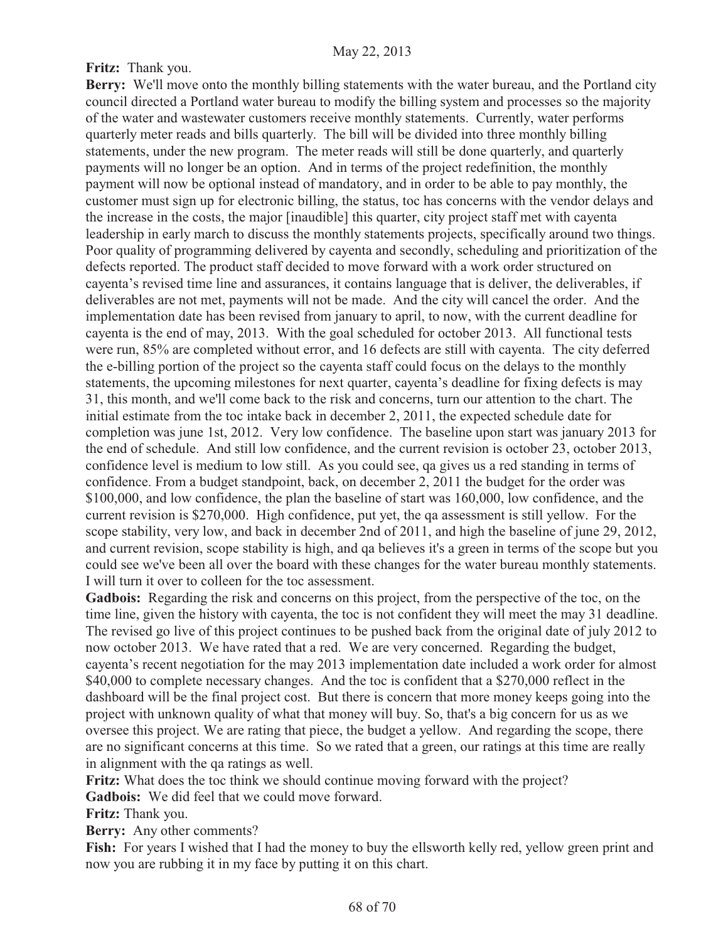# **Fritz:** Thank you.

**Berry:** We'll move onto the monthly billing statements with the water bureau, and the Portland city council directed a Portland water bureau to modify the billing system and processes so the majority of the water and wastewater customers receive monthly statements. Currently, water performs quarterly meter reads and bills quarterly. The bill will be divided into three monthly billing statements, under the new program. The meter reads will still be done quarterly, and quarterly payments will no longer be an option. And in terms of the project redefinition, the monthly payment will now be optional instead of mandatory, and in order to be able to pay monthly, the customer must sign up for electronic billing, the status, toc has concerns with the vendor delays and the increase in the costs, the major [inaudible] this quarter, city project staff met with cayenta leadership in early march to discuss the monthly statements projects, specifically around two things. Poor quality of programming delivered by cayenta and secondly, scheduling and prioritization of the defects reported. The product staff decided to move forward with a work order structured on cayenta's revised time line and assurances, it contains language that is deliver, the deliverables, if deliverables are not met, payments will not be made. And the city will cancel the order. And the implementation date has been revised from january to april, to now, with the current deadline for cayenta is the end of may, 2013. With the goal scheduled for october 2013. All functional tests were run, 85% are completed without error, and 16 defects are still with cayenta. The city deferred the e-billing portion of the project so the cayenta staff could focus on the delays to the monthly statements, the upcoming milestones for next quarter, cayenta's deadline for fixing defects is may 31, this month, and we'll come back to the risk and concerns, turn our attention to the chart. The initial estimate from the toc intake back in december 2, 2011, the expected schedule date for completion was june 1st, 2012. Very low confidence. The baseline upon start was january 2013 for the end of schedule. And still low confidence, and the current revision is october 23, october 2013, confidence level is medium to low still. As you could see, qa gives us a red standing in terms of confidence. From a budget standpoint, back, on december 2, 2011 the budget for the order was \$100,000, and low confidence, the plan the baseline of start was 160,000, low confidence, and the current revision is \$270,000. High confidence, put yet, the qa assessment is still yellow. For the scope stability, very low, and back in december 2nd of 2011, and high the baseline of june 29, 2012, and current revision, scope stability is high, and qa believes it's a green in terms of the scope but you could see we've been all over the board with these changes for the water bureau monthly statements. I will turn it over to colleen for the toc assessment.

**Gadbois:** Regarding the risk and concerns on this project, from the perspective of the toc, on the time line, given the history with cayenta, the toc is not confident they will meet the may 31 deadline. The revised go live of this project continues to be pushed back from the original date of july 2012 to now october 2013. We have rated that a red. We are very concerned. Regarding the budget, cayenta's recent negotiation for the may 2013 implementation date included a work order for almost \$40,000 to complete necessary changes. And the toc is confident that a \$270,000 reflect in the dashboard will be the final project cost. But there is concern that more money keeps going into the project with unknown quality of what that money will buy. So, that's a big concern for us as we oversee this project. We are rating that piece, the budget a yellow. And regarding the scope, there are no significant concerns at this time. So we rated that a green, our ratings at this time are really in alignment with the qa ratings as well.

**Fritz:** What does the toc think we should continue moving forward with the project?

**Gadbois:** We did feel that we could move forward.

**Fritz:** Thank you.

**Berry:** Any other comments?

**Fish:** For years I wished that I had the money to buy the ellsworth kelly red, yellow green print and now you are rubbing it in my face by putting it on this chart.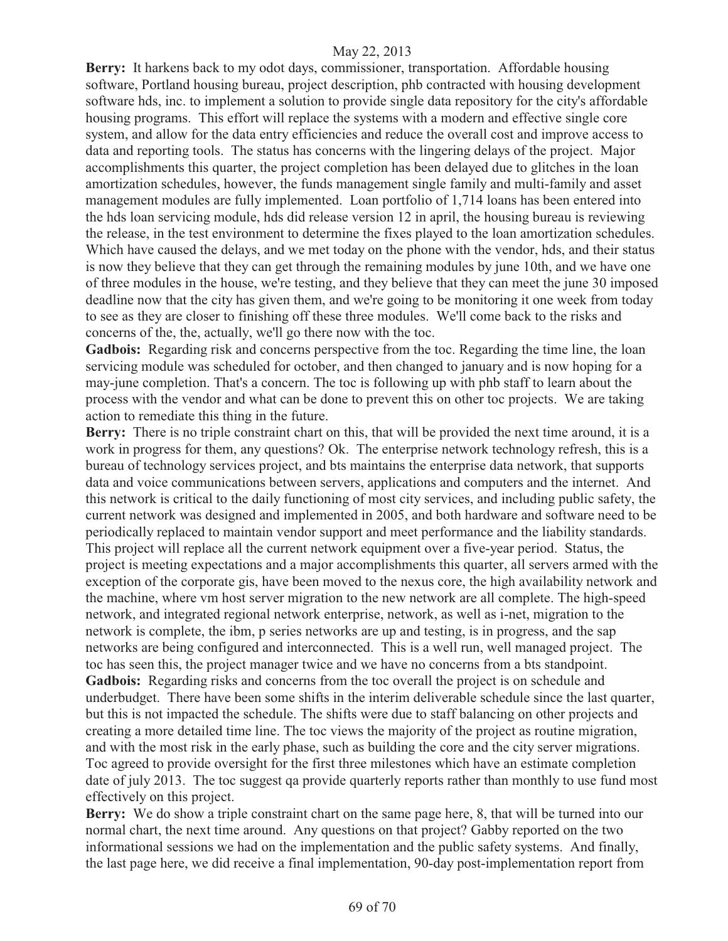**Berry:** It harkens back to my odot days, commissioner, transportation. Affordable housing software, Portland housing bureau, project description, phb contracted with housing development software hds, inc. to implement a solution to provide single data repository for the city's affordable housing programs. This effort will replace the systems with a modern and effective single core system, and allow for the data entry efficiencies and reduce the overall cost and improve access to data and reporting tools. The status has concerns with the lingering delays of the project. Major accomplishments this quarter, the project completion has been delayed due to glitches in the loan amortization schedules, however, the funds management single family and multi-family and asset management modules are fully implemented. Loan portfolio of 1,714 loans has been entered into the hds loan servicing module, hds did release version 12 in april, the housing bureau is reviewing the release, in the test environment to determine the fixes played to the loan amortization schedules. Which have caused the delays, and we met today on the phone with the vendor, hds, and their status is now they believe that they can get through the remaining modules by june 10th, and we have one of three modules in the house, we're testing, and they believe that they can meet the june 30 imposed deadline now that the city has given them, and we're going to be monitoring it one week from today to see as they are closer to finishing off these three modules. We'll come back to the risks and concerns of the, the, actually, we'll go there now with the toc.

**Gadbois:** Regarding risk and concerns perspective from the toc. Regarding the time line, the loan servicing module was scheduled for october, and then changed to january and is now hoping for a may-june completion. That's a concern. The toc is following up with phb staff to learn about the process with the vendor and what can be done to prevent this on other toc projects. We are taking action to remediate this thing in the future.

**Berry:** There is no triple constraint chart on this, that will be provided the next time around, it is a work in progress for them, any questions? Ok. The enterprise network technology refresh, this is a bureau of technology services project, and bts maintains the enterprise data network, that supports data and voice communications between servers, applications and computers and the internet. And this network is critical to the daily functioning of most city services, and including public safety, the current network was designed and implemented in 2005, and both hardware and software need to be periodically replaced to maintain vendor support and meet performance and the liability standards. This project will replace all the current network equipment over a five-year period. Status, the project is meeting expectations and a major accomplishments this quarter, all servers armed with the exception of the corporate gis, have been moved to the nexus core, the high availability network and the machine, where vm host server migration to the new network are all complete. The high-speed network, and integrated regional network enterprise, network, as well as i-net, migration to the network is complete, the ibm, p series networks are up and testing, is in progress, and the sap networks are being configured and interconnected. This is a well run, well managed project. The toc has seen this, the project manager twice and we have no concerns from a bts standpoint. **Gadbois:** Regarding risks and concerns from the toc overall the project is on schedule and underbudget. There have been some shifts in the interim deliverable schedule since the last quarter, but this is not impacted the schedule. The shifts were due to staff balancing on other projects and creating a more detailed time line. The toc views the majority of the project as routine migration, and with the most risk in the early phase, such as building the core and the city server migrations. Toc agreed to provide oversight for the first three milestones which have an estimate completion date of july 2013. The toc suggest qa provide quarterly reports rather than monthly to use fund most effectively on this project.

**Berry:** We do show a triple constraint chart on the same page here, 8, that will be turned into our normal chart, the next time around. Any questions on that project? Gabby reported on the two informational sessions we had on the implementation and the public safety systems. And finally, the last page here, we did receive a final implementation, 90-day post-implementation report from